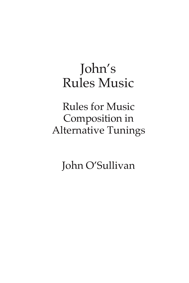# John's Rules Music

Rules for Music Composition in Alternative Tunings

John O'Sullivan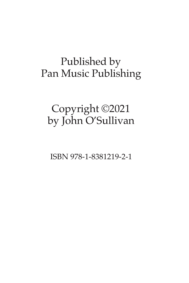### Published by Pan Music Publishing

## Copyright ©2021 by John O'Sullivan

ISBN 978-1-8381219-2-1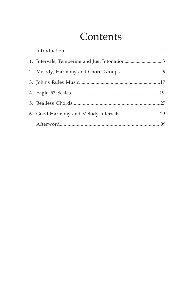### Contents

| 1. Intervals, Tempering and Just Intonation3 |  |
|----------------------------------------------|--|
|                                              |  |
|                                              |  |
|                                              |  |
|                                              |  |
|                                              |  |
|                                              |  |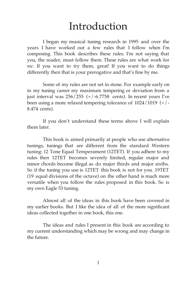#### Introduction

I began my musical tuning research in 1995 and over the years I have worked out a few rules that I follow when I'm composing. This book describes these rules. I'm not saying that you, the reader, must follow them. These rules are what work for *me*. If you want to try them, great! If you want to do things differently then that is your prerogative and that's fine by me.

Some of my rules are not set in stone. For example early on in my tuning career my maximum tempering or deviation from a just interval was  $256/255$  (+/-6.7758 cents). In recent years I've been using a more relaxed tempering tolerance of 1024/1019 (+/- 8.474 cents).

If you don't understand these terms above I will explain them later.

This book is aimed primarily at people who use alternative tunings, tunings that are different from the standard Western tuning: 12 Tone Equal Temperament (12TET). If you adhere to my rules then 12TET becomes severely limited, regular major and minor chords become illegal as do major thirds and major sixths. So if the tuning you use is 12TET this book is not for you. 19TET (19 equal divisions of the octave) on the other hand is much more versatile when you follow the rules proposed in this book. So is my own Eagle 53 tuning.

Almost all of the ideas in this book have been covered in my earlier books. But I like the idea of all of the more significant ideas collected together in one book, this one.

The ideas and rules I present in this book are according to my current understanding which may be wrong and may change in the future.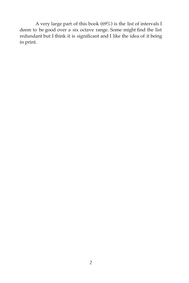A very large part of this book (69%) is the list of intervals I deem to be good over a six octave range. Some might find the list redundant but I think it is significant and I like the idea of it being in print.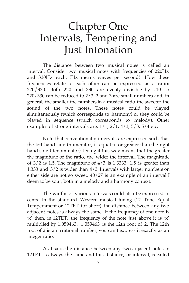### Chapter One Intervals, Tempering and Just Intonation

The distance between two musical notes is called an interval. Consider two musical notes with frequencies of 220Hz and 330Hz each. (Hz means waves per second). How these frequencies relate to each other can be expressed as a ratio: 220/330. Both 220 and 330 are evenly divisible by 110 so 220/330 can be reduced to 2/3. 2 and 3 are small numbers and, in general, the smaller the numbers in a musical ratio the sweeter the sound of the two notes. These notes could be played simultaneously (which corresponds to harmony) or they could be played in sequence (which corresponds to melody). Other examples of strong intervals are:  $1/1$ ,  $2/1$ ,  $4/3$ ,  $5/3$ ,  $5/4$  etc.

Note that conventionally intervals are expressed such that the left hand side (numerator) is equal to or greater than the right hand side (denominator). Doing it this way means that the greater the magnitude of the ratio, the wider the interval. The magnitude of  $3/2$  is 1.5. The magnitude of  $4/3$  is 1.3333. 1.5 is greater than 1.333 and 3/2 is wider than 4/3. Intervals with larger numbers on either side are not so sweet. 40/27 is an example of an interval I deem to be sour, both in a melody and a harmony context.

The widths of various intervals could also be expressed in cents. In the standard Western musical tuning (12 Tone Equal Temperament or 12TET for short) the distance between any two adjacent notes is always the same. If the frequency of one note is 'x' then, in 12TET, the frequency of the note just above it is 'x' multiplied by 1.059463. 1.059463 is the 12th root of 2. The 12th root of 2 is an irrational number, you can't express it exactly as an integer ratio.

As I said, the distance between any two adjacent notes in 12TET is always the same and this distance, or interval, is called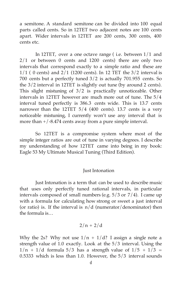a semitone. A standard semitone can be divided into 100 equal parts called cents. So in 12TET two adjacent notes are 100 cents apart. Wider intervals in 12TET are 200 cents, 300 cents, 400 cents etc.

In 12TET, over a one octave range ( i.e. between 1/1 and 2/1 or between 0 cents and 1200 cents) there are only two intervals that correspond exactly to a simple ratio and these are  $1/1$  ( 0 cents) and  $2/1$  (1200 cents). In 12 TET the  $3/2$  interval is 700 cents but a perfectly tuned 3/2 is actually 701.955 cents. So the 3/2 interval in 12TET is slightly out tune (by around 2 cents). This slight mistuning of 3/2 is practically unnoticeable. Other intervals in 12TET however are much more out of tune. The 5/4 interval tuned perfectly is 386.3 cents wide. This is 13.7 cents narrower than the 12TET 5/4 (400 cents). 13.7 cents is a very noticeable mistuning, I currently won't use any interval that is more than +/-8.474 cents away from a pure simple interval.

So 12TET is a compromise system where most of the simple integer ratios are out of tune in varying degrees. I describe my understanding of how 12TET came into being in my book: Eagle 53 My Ultimate Musical Tuning (Third Edition).

#### Just Intonation

Just Intonation is a term that can be used to describe music that uses only perfectly tuned rational intervals, in particular intervals composed of small numbers (e.g. 5/3 or 7/4). I came up with a formula for calculating how strong or sweet a just interval (or ratio) is. If the interval is  $n/d$  (numerator/denominator) then the formula is…

$$
2/n + 2/d
$$

Why the 2s? Why not use  $1/n + 1/d$ ? I assign a single note a strength value of 1.0 exactly. Look at the 5/3 interval. Using the  $1/n + 1/d$  formula 5/3 has a strength value of  $1/5 + 1/3 =$ 0.5333 which is less than 1.0. However, the 5/3 interval sounds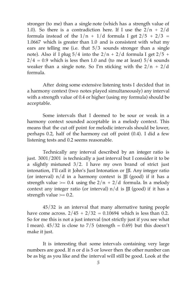stronger (to me) than a single note (which has a strength value of 1.0). So there is a contradiction here. If I use the  $2/n + 2/d$ formula instead of the  $1/n + 1/d$  formula I get  $2/5 + 2/3 =$ 1.0667 which is greater than 1.0 and is consistent with what my ears are telling me (i.e. that 5/3 sounds stronger than a single note). Also if I plug  $5/4$  into the  $2/n + 2/d$  formula I get  $2/5 +$  $2/4 = 0.9$  which is less then 1.0 and (to me at least)  $5/4$  sounds weaker than a single note. So I'm sticking with the  $2/n + 2/d$ formula.

After doing some extensive listening tests I decided that in a harmony context (two notes played simultaneously) any interval with a strength value of 0.4 or higher (using my formula) should be acceptable.

Some intervals that I deemed to be sour or weak in a harmony context sounded acceptable in a melody context. This means that the cut off point for melodic intervals should be lower, perhaps 0.2, half of the harmony cut off point (0.4). I did a few listening tests and 0.2 seems reasonable.

Technically any interval described by an integer ratio is just. 3001/2001 is technically a just interval but I consider it to be a slightly mistuned 3/2. I have my own brand of strict just intonation, I'll call it John's Just Intonation or JJI. Any integer ratio (or interval)  $n/d$  in a harmony context is JJI (good) if it has a strength value  $> = 0.4$  using the  $2/n + 2/d$  formula. In a melody context any integer ratio (or interval)  $n/d$  is  $\overline{J}$  (good) if it has a strength value  $\geq 0.2$ .

45/32 is an interval that many alternative tuning people have come across.  $2/45 + 2/32 = 0.10694$  which is less than 0.2. So for me this is not a just interval (not strictly just if you see what I mean).  $45/32$  is close to  $7/5$  (strength = 0.69) but this doesn't make it just.

It is interesting that some intervals containing very large numbers are good. If n or d is 5 or lower then the other number can be as big as you like and the interval will still be good. Look at the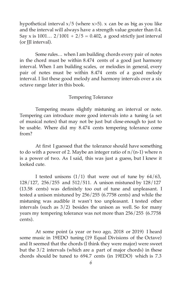hypothetical interval  $x/5$  (where  $x>5$ ). x can be as big as you like and the interval will always have a strength value greater than 0.4. Say x is  $1001...$   $2/1001 + 2/5 = 0.402$ , a good strictly just interval (or III interval).

Some rules… when I am building chords every pair of notes in the chord must be within 8.474 cents of a good just harmony interval. When I am building scales, or melodies in general, every pair of notes must be within 8.474 cents of a good melody interval. I list these good melody and harmony intervals over a six octave range later in this book.

#### Tempering Tolerance

Tempering means slightly mistuning an interval or note. Tempering can introduce more good intervals into a tuning (a set of musical notes) that may not be just but close enough to just to be usable. Where did my 8.474 cents tempering tolerance come from?

At first I guessed that the tolerance should have something to do with a power of 2. Maybe an integer ratio of  $n/(n-1)$  where n is a power of two. As I said, this was just a guess, but I knew it looked cute.

I tested unisons  $(1/1)$  that were out of tune by  $64/63$ , 128/127, 256/255 and 512/511. A unison mistuned by 128/127 (13.58 cents) was definitely too out of tune and unpleasant. I tested a unison mistuned by 256/255 (6.7758 cents) and while the mistuning was audible it wasn't too unpleasant. I tested other intervals (such as  $3/2$ ) besides the unison as well. So for many years my tempering tolerance was not more than 256/255 (6.7758 cents).

At some point (a year or two ago, 2018 or 2019) I heard some music in 19EDO tuning (19 Equal Divisions of the Octave) and It seemed that the chords (I think they were major) were sweet but the 3/2 intervals (which are a part of major chords) in these chords should be tuned to 694.7 cents (in 19EDO) which is 7.3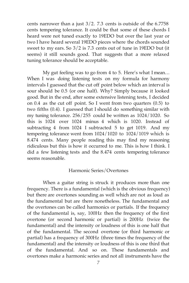cents narrower than a just 3/2. 7.3 cents is outside of the 6.7758 cents tempering tolerance. It could be that some of these chords I heard were not tuned exactly to 19EDO but over the last year or two I have heard several 19EDO pieces where the chords sounded sweet to my ears. So 3/2 is 7.3 cents out of tune in 19EDO but (it seems) it still sounds good. That suggests that a more relaxed tuning tolerance should be acceptable.

My gut feeling was to go from 4 to 5. Here's what I mean… When I was doing listening tests on my formula for harmony intervals I guessed that the cut off point below which an interval is sour should be 0.5 (or one half). Why? Simply because it looked good. But in the end, after some extensive listening tests, I decided on 0.4 as the cut off point. So I went from two quarters (0.5) to two fifths (0.4). I guessed that I should do something similar with my tuning tolerance. 256/255 could be written as 1024/1020. So this is 1024 over 1024 minus 4 which is 1020. Instead of subtracting 4 from 1024 I subtracted 5 to get 1019. And my tempering tolerance went from 1024/1020 to 1024/1019 which is 8.474 cents. Many people reading this may find my reasoning ridiculous but this is how it occurred to me. This is how I think. I did a few listening tests and the 8.474 cents tempering tolerance seems reasonable.

#### Harmonic Series/Overtones

When a guitar string is struck it produces more than one frequency. There is a fundamental (which is the obvious frequency) but there are overtones sounding as well which are not as loud as the fundamental but are there nonetheless. The fundamental and the overtones can be called harmonics or partials. If the frequency of the fundamental is, say, 100Hz then the frequency of the first overtone (or second harmonic or partial) is 200Hz (twice the fundamental) and the intensity or loudness of this is one half that of the fundamental. The second overtone (or third harmonic or partial) has a frequency of 300Hz (three times the frequency of the fundamental) and the intensity or loudness of this is one third that of the fundamental. And so on. These fundamentals and overtones make a harmonic series and not all instruments have the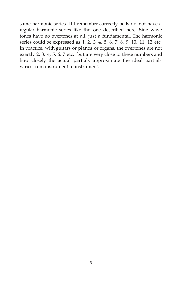same harmonic series. If I remember correctly bells do not have a regular harmonic series like the one described here. Sine wave tones have no overtones at all, just a fundamental. The harmonic series could be expressed as 1, 2, 3, 4, 5, 6, 7, 8, 9, 10, 11, 12 etc. In practice, with guitars or pianos or organs, the overtones are not exactly 2, 3, 4, 5, 6, 7 etc. but are very close to these numbers and how closely the actual partials approximate the ideal partials varies from instrument to instrument.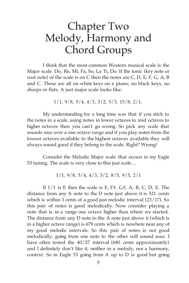### Chapter Two Melody, Harmony and Chord Groups

I think that the most common Western musical scale is the Major scale. Do, Re, Mi, Fa, So, La Ti, Do. If the tonic (key note or root note) of the scale is on C then the notes are C, D, E, F, G, A, B and C. These are all on white keys on a piano, no black keys, no sharps or flats. A just major scale looks like:

1/1, 9/8, 5/4, 4/3, 3/2, 5/3, 15/8, 2/1.

My understanding for a long time was that if you stick to the notes in a scale, using notes in lower octaves to mid octaves to higher octaves then you can't go wrong. So pick any scale that sounds nice over a one octave range and if you play notes from the lowest octaves available to the highest octaves available they will always sound good if they belong to the scale. Right? Wrong!

Consider the Melodic Major scale that occurs in my Eagle 53 tuning. The scale is very close to this just scale…

1/1, 9/8, 5/4, 4/3, 3/2, 8/5, 9/5, 2/1

If  $1/1$  is E then the scale is E, F#, G#, A, B, C, D, E. The distance from any A note to the D note just above it is 521 cents which is within 3 cents of a good just melodic interval (23/17). So this pair of notes is good melodically. Now consider playing a note that is in a range one octave higher than where we started. The distance from any D note to the A note just above it (which is in a higher octave range) is 679 cents which is nowhere near any of my good melodic intervals. So this pair of notes is not good melodically, going from one note to the other will sound sour. I have often tested the 40/27 interval (680 cents approximately) and I definitely don't like it, neither in a melody, nor a harmony, context. So in Eagle 53 going from A up to D is good but going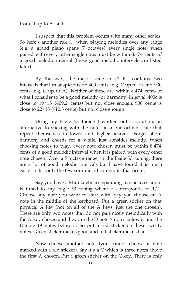from D up to A isn't.

I suspect that this problem occurs with many other scales. So here's another rule… when playing melodies over any range (e.g. a grand piano spans 7+octaves) every single note, when paired with every other single note, must be within 8.474 cents of a good melodic interval (these good melodic intervals are listed later).

By the way, the major scale in 12TET contains two intervals that I'm suspicious of: 400 cents (e.g. C up to E) and 900 cents (e.g. C up to A). Neither of these are within 8.474 cents of what I consider to be a good melody (or harmony) interval. 400c is close to 19/15 (409.2 cents) but not close enough. 900 cents is close to 22/13 (910.8 cents) but not close enough.

Using my Eagle 53 tuning I worked out a solution, an alternative to sticking with the notes in a one octave scale that repeat themselves in lower and higher octaves. Forget about harmony and chords for a while, just consider melody. When choosing notes to play, every note chosen must be within 8.474 cents of a good melodic interval when it is paired with every other note chosen. Over a 7 octave range, in the Eagle 53 tuning, there are a lot of good melodic intervals but I have found it is much easier to list only the few sour melodic intervals that occur.

Say you have a Midi keyboard spanning five octaves and it is tuned to my Eagle 53 tuning where E corresponds to  $1/1$ . Choose any note you want to start with. Say you choose an A note in the middle of the keyboard. Put a green sticker on that physical A key (not on all of the A keys, just the one chosen). There are only two notes that do not pair nicely melodically with the A key chosen and they are the D note 7 notes below it and the D note 19 notes below it. So put a red sticker on these two D notes. Green sticker means good and red sticker means bad.

Now choose another note (you cannot choose a note marked with a red sticker). Say it's a C which is three notes above the first A chosen. Put a green sticker on the C key. There is only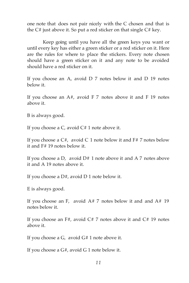one note that does not pair nicely with the C chosen and that is the  $C#$  just above it. So put a red sticker on that single  $C#$  key.

Keep going until you have all the green keys you want or until every key has either a green sticker or a red sticker on it. Here are the rules for where to place the stickers. Every note chosen should have a green sticker on it and any note to be avoided should have a red sticker on it.

If you choose an A, avoid D 7 notes below it and D 19 notes below it.

If you choose an  $A#$ , avoid F 7 notes above it and F 19 notes above it.

B is always good.

If you choose a  $C$ , avoid  $C \# 1$  note above it.

If you choose a  $C#$ , avoid C 1 note below it and  $F#$  7 notes below it and F# 19 notes below it.

If you choose a D, avoid  $D# 1$  note above it and A 7 notes above it and A 19 notes above it.

If you choose a  $D#$ , avoid D 1 note below it.

E is always good.

If you choose an F, avoid  $A \# 7$  notes below it and and  $A \# 19$ notes below it.

If you choose an  $F#$ , avoid  $C# 7$  notes above it and  $C# 19$  notes above it.

If you choose a G, avoid G# 1 note above it.

If you choose a G#, avoid G 1 note below it.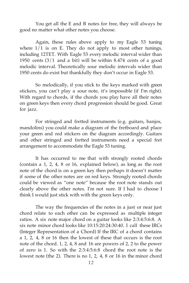You get all the E and B notes for free, they will always be good no matter what other notes you choose.

Again, these rules above apply to my Eagle 53 tuning where  $1/1$  is on E. They do not apply to most other tunings, including 12TET. With Eagle 53 every melodic interval wider than 1950 cents (3/1 and a bit) will be within 8.474 cents of a good melodic interval. Theoretically sour melodic intervals wider than 1950 cents do exist but thankfully they don't occur in Eagle 53.

So melodically, if you stick to the keys marked with green stickers, you can't play a sour note, it's impossible (if I'm right). With regard to chords, if the chords you play have all their notes on green keys then every chord progression should be good. Great for jazz.

For stringed and fretted instruments (e.g. guitars, banjos, mandolins) you could make a diagram of the fretboard and place your green and red stickers on the diagram accordingly. Guitars and other stringed and fretted instruments need a special fret arrangement to accommodate the Eagle 53 tuning.

It has occurred to me that with strongly rooted chords (contain a 1, 2, 4, 8 or 16, explained below), as long as the root note of the chord is on a green key then perhaps it doesn't matter if some of the other notes are on red keys. Strongly rooted chords could be viewed as "one note" because the root note stands out clearly above the other notes. I'm not sure. If I had to choose I think I would just stick with with the green keys only.

The way the frequencies of the notes in a just or near just chord relate to each other can be expressed as multiple integer ratios. A six note major chord on a guitar looks like 2:3:4:5:6:8. A six note minor chord looks like 10:15:20:24:30:40. I call these IRCs (Integer Representation of a Chord) If the IRC of a chord contains a 1, 2, 4, 8 or 16 then the lowest of these that occurs is the root note of the chord. 1, 2, 4, 8 and 16 are powers of 2, 2 to the power of zero is 1. So with the 2:3:4:5:6:8 chord the root note is the lowest note (the 2). There is no 1, 2, 4, 8 or 16 in the minor chord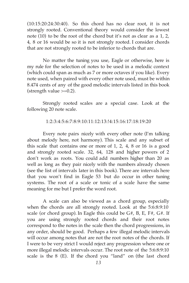(10:15:20:24:30:40). So this chord has no clear root, it is not strongly rooted. Conventional theory would consider the lowest note (10) to be the root of the chord but it's not as clear as a 1, 2, 4, 8 or 16 would be so it is not strongly rooted. I consider chords that are not strongly rooted to be inferior to chords that are.

No matter the tuning you use, Eagle or otherwise, here is my rule for the selection of notes to be used in a melodic context (which could span as much as 7 or more octaves if you like). Every note used, when paired with every other note used, must be within 8.474 cents of any of the good melodic intervals listed in this book (strength value  $>=0.2$ ).

Strongly rooted scales are a special case. Look at the following 20 note scale.

1:2:3:4:5:6:7:8:9:10:11:12:13:!4:15:16:17:18:19:20

Every note pairs nicely with every other note (I'm talking about melody here, not harmony). This scale and any subset of this scale that contains one or more of 1, 2, 4, 8 or 16 is a good and strongly rooted scale. 32, 64, 128 and higher powers of 2 don't work as roots. You could add numbers higher than 20 as well as long as they pair nicely with the numbers already chosen (see the list of intervals later in this book). There are intervals here that you won't find in Eagle 53 but do occur in other tuning systems. The root of a scale or tonic of a scale have the same meaning for me but I prefer the word root.

A scale can also be viewed as a chord group, especially when the chords are all strongly rooted. Look at the 5:6:8:9:10 scale (or chord group). In Eagle this could be  $G#$ , B, E, F#,  $G#$ . If you are using strongly rooted chords and their root notes correspond to the notes in the scale then the chord progressions, in any order, should be good. Perhaps a few illegal melodic intervals will occur among notes that are not the root notes of the chords. If I were to be very strict I would reject any progression where one or more illegal melodic intervals occur. The root note of the 5:6:8:9:10 scale is the 8 (E). If the chord you "land" on (the last chord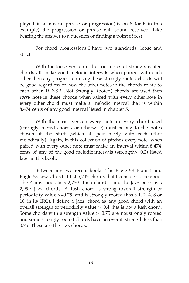played in a musical phrase or progression) is on 8 (or E in this example) the progression or phrase will sound resolved. Like hearing the answer to a question or finding a point of rest.

For chord progressions I have two standards: loose and strict.

With the loose version if the root notes of strongly rooted chords all make good melodic intervals when paired with each other then any progression using these strongly rooted chords will be good regardless of how the other notes in the chords relate to each other. If NSR (Not Strongly Rooted) chords are used then *every* note in these chords when paired with every other note in every other chord must make a melodic interval that is within 8.474 cents of any good interval listed in chapter 5.

With the strict version every note in every chord used (strongly rooted chords or otherwise) must belong to the notes chosen at the start (which all pair nicely with each other melodically). Again, in this collection of pitches every note, when paired with every other note must make an interval within 8.474 cents of any of the good melodic intervals (strength>=0.2) listed later in this book.

Between my two recent books: The Eagle 53 Pianist and Eagle 53 Jazz Chords I list 5,749 chords that I consider to be good. The Pianist book lists 2,750 "lush chords" and the Jazz book lists 2,999 jazz chords. A lush chord is strong (overall strength or periodicity value >=0.75) and is strongly rooted (has a 1, 2, 4, 8 or 16 in its IRC). I define a jazz chord as any good chord with an overall strength or periodicity value >=0.4 that is not a lush chord. Some chords with a strength value >=0.75 are not strongly rooted and some strongly rooted chords have an overall strength less than 0.75. These are the jazz chords.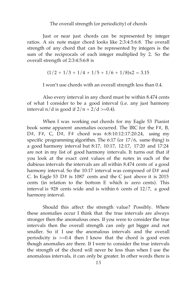#### The overall strength (or periodicity) of chords

Just or near just chords can be represented by integer ratios. A six note major chord looks like 2:3:4:5:6:8. The overall strength of any chord that can be represented by integers is the sum of the reciprocals of each integer multiplied by 2. So the overall strength of 2:3:4:5:6:8 is

$$
(1/2 + 1/3 + 1/4 + 1/5 + 1/6 + 1/8)x^2 = 3.15
$$

I won't use chords with an overall strength less than 0.4.

Also every interval in any chord must be within 8.474 cents of what I consider to be a good interval (i.e. any just harmony interval  $n/d$  is good if  $2/n + 2/d \ge 0.4$ .

When I was working out chords for my Eagle 53 Pianist book some apparent anomalies occurred. The IRC for the F#, B, D#, F#, C, D#, F# chord was 6:8:10:12:17:20:24, using my specific programming algorithm. The 6:17 (or 17/6, same thing) is a good harmony interval but 8:17, 10:17, 12:17, 17:20 and 17:24 are not in my list of good harmony intervals. It turns out that if you look at the exact cent values of the notes in each of the dubious intervals the intervals are all within 8.474 cents of a good harmony interval. So the 10:17 interval was composed of  $D#$  and C. In Eagle 53 D# is 1087 cents and the C just above it is 2015 cents (in relation to the bottom E which is zero cents). This interval is 928 cents wide and is within 6 cents of 12/7, a good harmony interval.

Should this affect the strength value? Possibly. Where these anomalies occur I think that the true intervals are always stronger then the anomalous ones. If you were to consider the true intervals then the overall strength can only get bigger and not smaller. So if I use the anomalous intervals and the overall periodicity is  $>=0.4$  then I know that the chord is good even though anomalies are there. If I were to consider the true intervals the strength of the chord will never be less than when I use the anomalous intervals, it can only be greater. In other words there is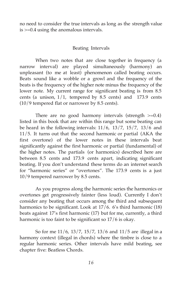no need to consider the true intervals as long as the strength value is >=0.4 using the anomalous intervals.

#### Beating Intervals

When two notes that are close together in frequency (a narrow interval) are played simultaneously (harmony) an unpleasant (to me at least) phenomenon called beating occurs. Beats sound like a wobble or a growl and the frequency of the beats is the frequency of the higher note minus the frequency of the lower note. My current range for significant beating is from 8.5 cents (a unison,  $1/1$ , tempered by 8.5 cents) and 173.9 cents (10/9 tempered flat or narrower by 8.5 cents).

There are no good harmony intervals (strength  $>=0.4$ ) listed in this book that are within this range but some beating can be heard in the following intervals:  $11/6$ ,  $13/7$ ,  $15/7$ ,  $13/6$  and 11/5. It turns out that the second harmonic or partial (AKA the first overtone) of the lower notes in these intervals beat significantly against the first harmonic or partial (fundamental) of the higher notes. The partials (or harmonics) described here are between 8.5 cents and 173.9 cents apart, indicating significant beating. If you don't understand these terms do an internet search for "harmonic series" or "overtones". The 173.9 cents is a just 10/9 tempered narrower by 8.5 cents.

As you progress along the harmonic series the harmonics or overtones get progressively fainter (less loud). Currently I don't consider any beating that occurs among the third and subsequent harmonics to be significant. Look at 17/6. 6's third harmonic (18) beats against 17's first harmonic (17) but for me, currently, a third harmonic is too faint to be significant so 17/6 is okay.

So for me 11/6, 13/7, 15/7, 13/6 and 11/5 are illegal in a harmony context (illegal in chords) where the timbre is close to a regular harmonic series. Other intervals have mild beating, see chapter five: Beatless Chords.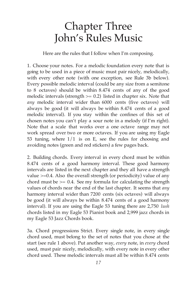## Chapter Three John's Rules Music

Here are the rules that I follow when I'm composing.

1. Choose your notes. For a melodic foundation every note that is going to be used in a piece of music must pair nicely, melodically, with every other note (with one exception, see Rule 3b below). Every possible melodic interval (could be any size from a semitone to 8 octaves) should be within 8.474 cents of any of the good melodic intervals (strength  $>= 0.2$ ) listed in chapter six. Note that *any* melodic interval wider than 6000 cents (five octaves) will always be good (it will always be within 8.474 cents of a good melodic interval). If you stay within the confines of this set of chosen notes you can't play a sour note in a melody (if I'm right). Note that a scale that works over a one octave range may not work spread over two or more octaves. If you are using my Eagle 53 tuning, where 1/1 is on E, see the rules for choosing and avoiding notes (green and red stickers) a few pages back.

2. Building chords. Every interval in every chord must be within 8.474 cents of a good harmony interval. These good harmony intervals are listed in the next chapter and they all have a strength value  $\geq$ =0.4. Also the overall strength (or periodicity) value of any chord must be  $\geq$  0.4. See my formula for calculating the strength values of chords near the end of the last chapter. It seems that *any* harmony interval wider than 7200 cents (six octaves) will always be good (it will always be within 8.474 cents of a good harmony interval). If you are using the Eagle 53 tuning there are 2,750 *lush* chords listed in my Eagle 53 Pianist book and 2,999 jazz chords in my Eagle 53 Jazz Chords book.

3a. Chord progressions Strict. Every single note, in every single chord used, must belong to the set of notes that you chose at the start (see rule 1 above). Put another way, *every* note, in *every* chord used, must pair nicely, melodically, with every note in every other chord used. These melodic intervals must all be within 8.474 cents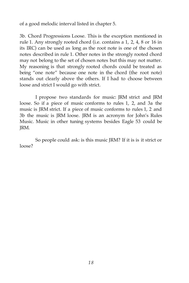of a good melodic interval listed in chapter 5.

3b. Chord Progressions Loose. This is the exception mentioned in rule 1. Any strongly rooted chord (i.e. contains a 1, 2, 4, 8 or 16 in its IRC) can be used as long as the root note is one of the chosen notes described in rule 1. Other notes in the strongly rooted chord may not belong to the set of chosen notes but this may not matter. My reasoning is that strongly rooted chords could be treated as being "one note" because one note in the chord (the root note) stands out clearly above the others. If I had to choose between loose and strict I would go with strict.

I propose two standards for music: JRM strict and JRM loose. So if a piece of music conforms to rules 1, 2, and 3a the music is JRM strict. If a piece of music conforms to rules 1, 2 and 3b the music is JRM loose. JRM is an acronym for John's Rules Music. Music in other tuning systems besides Eagle 53 could be JRM.

So people could ask: is this music JRM? If it is is it strict or loose?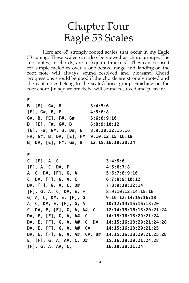#### Chapter Four Eagle 53 Scales

Here are 65 strongly rooted scales that occur in my Eagle 53 tuning. These scales can also be viewed as chord groups. The root notes, or chords, are in [square brackets]. They can be used for simple melodies over a one octave range and landing on the root note will always sound resolved and pleasant. Chord progressions should be good if the chords are strongly rooted and the root notes belong to the scale/chord group. Finishing on the root chord [in square brackets] will sound resolved and pleasant.

#### **E B, [E], G#, B 3:4:5:6 [E], G#, B, E 4:5:6:8 G#, B, [E], F#, G# 5:6:8:9:10 B, [E], F#, G#, B 6:8:9:10:12 [E], F#, G#, B, D#, E 8:9:10:12:15:16 F#, G#, B, D#, [E], F# 9:10:12:15:16:18 B, D#, [E], F#, G#, B 12:15:16:18:20:24 F C, [F], A, C 3:4:5:6 [F], A, C, D#, F 4:5:6:7:8 A, C, D#, [F], G, A 5:6:7:8:9:10 C, D#, [F], G, A, C 6:7:8:9:10:12 D#, [F], G, A, C, D# 7:8:9:10:12:14 [F], G, A, C, D#, E, F 8:9:10:12:14:15:16 G, A, C, D#, E, [F], G 9:10:12:14:15:16:18 A, C, D#, E, [F], G, A 10:12:14:15:16:18:20 C, D#, E, [F], G, A, A#, C 12:14:15:16:18:20:21:24 D#, E, [F], G, A, A#, C 14:15:16:18:20:21:24 D#, E, [F], G, A, A#, C, D# 14:15:16:18:20:21:24:28 D#, E, [F], G, A, A#, C# 14:15:16:18:20:21:25 D#, E, [F], G, A, A#, C#, D# 14:15:16:18:20:21:25:28 E, [F], G, A, A#, C, D# 15:16:18:20:21:24:28 [F], G, A, A#, C, 16:18:20:21:24**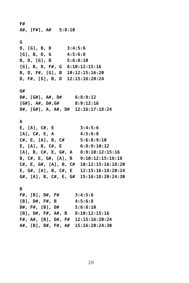**F# A#, [F#], A# 5:8:10 G D, [G], B, D 3:4:5:6 [G], B, D, G 4:5:6:8 B, D, [G], B 5:6:8:10 [G], B, D, F#, G 8:10:12:15:16 B, D, F#, [G], B 10:12:15:16:20 D, F#, [G], B, D 12:15:16:20:24 G# D#, [G#], A#, D# 6:8:9:12 [G#], A#, D#,G# 8:9:12:16 D#, [G#], A, A#, D# 12:16:17:18:24 A E, [A], C#, E 3:4:5:6 [A], C#, E, A 4:5:6:8 C#, E, [A], B, C# 5:6:8:9:10 E, [A], B, C#, E 6:8:9:10:12 [A], B, C#, E, G#, A 8:9:10:12:15:16 B, C#, E, G#, [A], B 9:10:12:15:16:18 C#, E, G#, [A], B, C# 10:12:15:16:18:20 E, G#, [A], B, C#, E 12:15:16:18:20:24 G#, [A], B, C#, E, G# 15:16:18:20:24:30 B F#, [B], D#, F# 3:4:5:6 [B], D#, F#, B 4:5:6:8 D#, F#, [B], D# 5:6:8:10 [B], D#, F#, A#, B 8:10:12:15:16 F#, A#, [B], D#, F# 12:15:16:20:24 A#, [B], D#, F#, A# 15:16:20:24:30**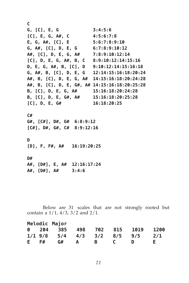**C G, [C], E, G 3:4:5:6 [C], E, G, A#, C 4:5:6:7:8 E, G, A#, [C], E 5:6:7:8:9:10 G, A#, [C], D, E, G 6:7:8:9:10:12 A#, [C], D, E, G, A# 7:8:9:10:12:14 [C], D, E, G, A#, B, C 8:9:10:12:14:15:16 D, E, G, A#, B, [C], D 9:10:12:14:15:16:18 G, A#, B, [C], D, E, G 12:14:15:16:18:20:24 A#, B, [C], D, E, G, A# 14:15:16:18:20:24:28 A#, B, [C], D, E, G#, A# 14:15:16:18:20:25:28 B, [C], D, E, G, A# 15:16:18:20:24:28 B, [C], D, E, G#, A# 15:16:18:20:25:28 [C], D, E, G# 16:18:20:25 C# G#, [C#], D#, G# 6:8:9:12 [C#], D#, G#, C# 8:9:12:16 D [D], F, F#, A# 16:19:20:25 D# A#, [D#], E, A# 12:16:17:24 A#, [D#], A# 3:4:6**

Below are 31 scales that are not strongly rooted but contain a  $1/1$ ,  $4/3$ ,  $3/2$  and  $2/1$ .

| Melodic Major |  |                               |              |          |              |   |      |
|---------------|--|-------------------------------|--------------|----------|--------------|---|------|
|               |  | 0 204 385 498 702 815 1019    |              |          |              |   | 1200 |
|               |  | $1/1$ 9/8 5/4 4/3 3/2 8/5 9/5 |              |          |              |   | 2/1  |
| E F#          |  | G#                            | $\mathbf{A}$ | <b>B</b> | $\mathbb{C}$ | D | F.   |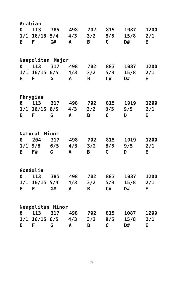| Arabian              |                     |                     |              |                |              |      |      |  |  |  |  |  |
|----------------------|---------------------|---------------------|--------------|----------------|--------------|------|------|--|--|--|--|--|
|                      | 0 113 385           |                     | 498          | 702            | 815          | 1087 | 1200 |  |  |  |  |  |
|                      | $1/1$ $16/15$ $5/4$ |                     | 4/3          | 3/2            | 8/5          | 15/8 | 2/1  |  |  |  |  |  |
| E.<br><b>F</b>       |                     | G#                  | $\mathbf{A}$ | B <sub>1</sub> | $\mathsf{C}$ | D#   | E.   |  |  |  |  |  |
|                      |                     |                     |              |                |              |      |      |  |  |  |  |  |
|                      | Neapolitan Major    |                     |              |                |              |      |      |  |  |  |  |  |
| 0                    | 113                 | 317 498             |              | 702            | 883          | 1087 | 1200 |  |  |  |  |  |
|                      |                     | $1/1$ 16/15 6/5 4/3 |              | 3/2            | 5/3          | 15/8 | 2/1  |  |  |  |  |  |
| E.<br>$\overline{F}$ |                     | G                   | A            | B <sub>a</sub> | C#           | D#   | E.   |  |  |  |  |  |
|                      |                     |                     |              |                |              |      |      |  |  |  |  |  |
|                      |                     |                     |              |                |              |      |      |  |  |  |  |  |
|                      | Phrygian            |                     |              |                |              |      |      |  |  |  |  |  |
| Ø                    | 113                 | 317 498             |              | 702            | 815          | 1019 | 1200 |  |  |  |  |  |
|                      | $1/1$ 16/15 6/5     |                     | 4/3          | 3/2            | 8/5          | 9/5  | 2/1  |  |  |  |  |  |
| E.                   | F                   | G                   | A            | B              | $\mathsf{C}$ | D    | Е    |  |  |  |  |  |
|                      |                     |                     |              |                |              |      |      |  |  |  |  |  |
|                      | Natural Minor       |                     |              |                |              |      |      |  |  |  |  |  |
| 0 204                |                     | 317                 | 498          | 702            | 815          | 1019 | 1200 |  |  |  |  |  |
|                      |                     | $1/1$ 9/8 6/5       | 4/3          | 3/2            | 8/5          | 9/5  | 2/1  |  |  |  |  |  |
| E.                   | <b>F#</b>           | G                   | A            | B I            | $\mathsf{C}$ | D    | Е.   |  |  |  |  |  |
|                      |                     |                     |              |                |              |      |      |  |  |  |  |  |
|                      | Gondolin            |                     |              |                |              |      |      |  |  |  |  |  |
| 0                    | 113 385             |                     | 498          | 702            | 883          | 1087 | 1200 |  |  |  |  |  |
|                      |                     | $1/1$ 16/15 5/4     | 4/3          | 3/2            | 5/3          | 15/8 | 2/1  |  |  |  |  |  |
| Е.                   | F                   | G#                  | $\mathsf{A}$ | B <sub>a</sub> | C#           | D#   | Е.   |  |  |  |  |  |
|                      |                     |                     |              |                |              |      |      |  |  |  |  |  |
|                      |                     | Neapolitan Minor    |              |                |              |      |      |  |  |  |  |  |
| Ø                    | 113                 | 317                 | 498 702      |                | 815          | 1087 | 1200 |  |  |  |  |  |
|                      | $1/1$ 16/15 6/5     |                     | 4/3          | 3/2            | 8/5          | 15/8 | 2/1  |  |  |  |  |  |
| E.                   | F                   | G                   | A            | B              | $\mathsf{C}$ | D#   | E    |  |  |  |  |  |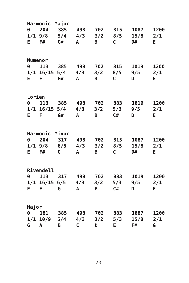|           | Harmonic        | Major                     |                   |                |              |      |      |
|-----------|-----------------|---------------------------|-------------------|----------------|--------------|------|------|
| Ø         | 204             | 385                       | 498               | 702            | 815          | 1087 | 1200 |
|           |                 |                           | $1/1$ 9/8 5/4 4/3 |                | $3/2$ $8/5$  | 15/8 | 2/1  |
| E.        | <b>F#</b>       | G#                        | $\mathbf{A}$      | B <sub>1</sub> | $\mathsf{C}$ | D#   | E.   |
|           |                 |                           |                   |                |              |      |      |
| Numenor   |                 |                           |                   |                |              |      |      |
| 0         | 113             | 385 498                   |                   | 702            | 815          | 1019 | 1200 |
|           |                 | $1/1$ $16/15$ $5/4$ $4/3$ |                   | 3/2            | 8/5          | 9/5  | 2/1  |
| E.<br>- F |                 | G#                        | $\mathsf{A}$      | <b>B</b>       | $\mathsf{C}$ | D    | E.   |
|           |                 |                           |                   |                |              |      |      |
| Lorien    |                 |                           |                   |                |              |      |      |
| 0         | 113             |                           | 385 498 702       |                | 883          | 1019 | 1200 |
|           | $1/1$ 16/15 5/4 |                           | 4/3               | 3/2            | 5/3          | 9/5  | 2/1  |
| E         | F               | G#                        | A                 | B              | C#           | D    | E    |
|           |                 |                           |                   |                |              |      |      |
|           | Harmonic Minor  |                           |                   |                |              |      |      |
|           | 0 204           | 317                       | 498               | 702            | 815          | 1087 | 1200 |
|           |                 |                           | $1/1$ 9/8 6/5 4/3 | 3/2            | 8/5          | 15/8 | 2/1  |
| E         | <b>F#</b>       | G                         | $\mathsf{A}$      | <b>B</b>       | $\mathsf{C}$ | D#   | Е.   |
|           |                 |                           |                   |                |              |      |      |
|           | Rivendell       |                           |                   |                |              |      |      |
| Ø         | 113             | 317 498                   |                   | 702            | 883          | 1019 | 1200 |
|           |                 | $1/1$ 16/15 6/5           | 4/3               | 3/2            | 5/3          | 9/5  | 2/1  |
| E.        | F.              | G                         | $\mathsf{A}$      | B <sub>1</sub> | C#           | D    | E.   |
|           |                 |                           |                   |                |              |      |      |
| Major     |                 |                           |                   |                |              |      |      |
| 0         |                 |                           | 181 385 498       | 702            | 883          | 1087 | 1200 |
|           | $1/1$ $10/9$    | 5/4                       | 4/3               | 3/2            | 5/3          | 15/8 | 2/1  |
| G         | A               | B                         | C                 | D              | E.           | F#   | G    |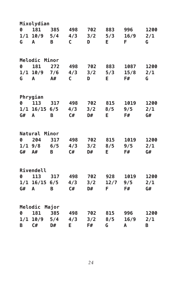|                       | Mixolydian      |            |              |     |      |      |      |
|-----------------------|-----------------|------------|--------------|-----|------|------|------|
| 0                     | 181             | 385        | 498          | 702 | 883  | 996  | 1200 |
| 1/1                   |                 | $10/9$ 5/4 | 4/3          | 3/2 | 5/3  | 16/9 | 2/1  |
| G                     | A               | B          | $\mathsf{C}$ | D   | E.   | F.   | G    |
|                       |                 |            |              |     |      |      |      |
|                       | Melodic Minor   |            |              |     |      |      |      |
| 0                     | 181             | 272        | 498          | 702 | 883  | 1087 | 1200 |
|                       | $1/1$ 10/9 7/6  |            | 4/3          | 3/2 | 5/3  | 15/8 | 2/1  |
| G                     | A               | A#         | $\mathsf{C}$ | D   | E.   | F#   | G    |
|                       |                 |            |              |     |      |      |      |
|                       | Phrygian        |            |              |     |      |      |      |
| $\boldsymbol{\theta}$ | 113             | 317        | 498          | 702 | 815  | 1019 | 1200 |
|                       | $1/1$ 16/15 6/5 |            | 4/3          | 3/2 | 8/5  | 9/5  | 2/1  |
| G#                    | A               | B          | C#           | D#  | Е    | F#   | G#   |
|                       |                 |            |              |     |      |      |      |
|                       | Natural Minor   |            |              |     |      |      |      |
|                       | 0 204           | 317        | 498          | 702 | 815  | 1019 | 1200 |
|                       | $1/1$ 9/8 6/5   |            | 4/3          | 3/2 | 8/5  | 9/5  | 2/1  |
| G# A#                 |                 | B          | C#           | D#  | E.   | F#   | G#   |
|                       |                 |            |              |     |      |      |      |
|                       | Rivendell       |            |              |     |      |      |      |
| 0                     | 113             | 317        | 498          | 702 | 928  | 1019 | 1200 |
|                       | $1/1$ 16/15 6/5 |            | 4/3          | 3/2 | 12/7 | 9/5  | 2/1  |
| G#                    | A               | B          | C#           | D#  | F.   | F#   | G#   |
|                       |                 |            |              |     |      |      |      |
|                       | Melodic Major   |            |              |     |      |      |      |
| 0                     | 181             | 385        | 498          | 702 | 815  | 996  | 1200 |
|                       | $1/1$ 10/9 5/4  |            | 4/3          | 3/2 | 8/5  | 16/9 | 2/1  |
| B                     | C#              | D#         | E            | F#  | G    | A    | B    |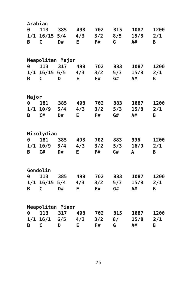|                  | Arabian             |             |                     |     |     |      |      |
|------------------|---------------------|-------------|---------------------|-----|-----|------|------|
| $\boldsymbol{0}$ | 113                 | 385         | 498                 | 702 | 815 | 1087 | 1200 |
|                  | $1/1$ $16/15$ $5/4$ |             | 4/3                 | 3/2 | 8/5 | 15/8 | 2/1  |
| B                | $\mathsf{C}$        | D#          | <b>E</b>            | F#  | G – | A#   | B    |
|                  |                     |             |                     |     |     |      |      |
|                  | Neapolitan Major    |             |                     |     |     |      |      |
| 0                | 113                 | 317         | 498                 | 702 | 883 | 1087 | 1200 |
|                  |                     |             | $1/1$ 16/15 6/5 4/3 | 3/2 | 5/3 | 15/8 | 2/1  |
| B                | $\mathsf{C}$        | D           | E                   | F#  | G#  | A#   | B    |
|                  |                     |             |                     |     |     |      |      |
| Major            |                     |             |                     |     |     |      |      |
| 0                |                     | 181 385 498 |                     | 702 | 883 | 1087 | 1200 |
|                  | $1/1$ 10/9          | 5/4         | 4/3                 | 3/2 | 5/3 | 15/8 | 2/1  |
| B                | C#                  | D#          | Е                   | F#  | G#  | A#   | B    |
|                  |                     |             |                     |     |     |      |      |
|                  | Mixolydian          |             |                     |     |     |      |      |
| Ø                | 181 385             |             | 498                 | 702 | 883 | 996  | 1200 |
|                  | $1/1$ $10/9$ 5/4    |             | 4/3                 | 3/2 | 5/3 | 16/9 | 2/1  |
| B                | C#                  | D#          | E.                  | F#  | G#  | A    | B    |
|                  |                     |             |                     |     |     |      |      |
|                  | Gondolin            |             |                     |     |     |      |      |
| Ø                | 113                 | 385         | 498                 | 702 | 883 | 1087 | 1200 |
|                  | $1/1$ 16/15 5/4     |             | 4/3                 | 3/2 | 5/3 | 15/8 | 2/1  |
| B                | C                   | D#          | Е                   | F#  | G#  | A#   | B    |
|                  |                     |             |                     |     |     |      |      |
|                  | Neapolitan Minor    |             |                     |     |     |      |      |
| Ø                | 113                 | 317         | 498                 | 702 | 815 | 1087 | 1200 |
|                  | $1/1$ $16/1$        | 6/5         | 4/3                 | 3/2 | 8/  | 15/8 | 2/1  |
| B                | $\mathsf{C}$        | D           | E                   | F#  | G   | A#   | B    |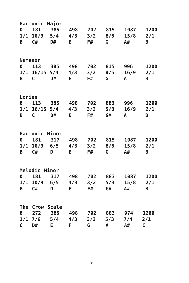|                  | Harmonic Major  |                      |                 |             |     |              |              |
|------------------|-----------------|----------------------|-----------------|-------------|-----|--------------|--------------|
| 0                | 181             | 385                  | 498             | 702         | 815 | 1087         | 1200         |
|                  |                 | $1/1$ $10/9$ 5/4 4/3 |                 | 3/2         | 8/5 | 15/8         | 2/1          |
| B                | C#              | D#                   | E.              | F#          | G — | A#           | B            |
|                  |                 |                      |                 |             |     |              |              |
| Numenor          |                 |                      |                 |             |     |              |              |
| 0                | 113             | 385 498              |                 | 702         | 815 | 996          | 1200         |
|                  |                 | $1/1$ 16/15 5/4      | 4/3             | $3/2$ $8/5$ |     | 16/9         | 2/1          |
| B                | $\mathsf{C}$    | D#                   | E.              | F#          | G   | $\mathsf{A}$ | B            |
|                  |                 |                      |                 |             |     |              |              |
| Lorien           |                 |                      |                 |             |     |              |              |
| $\boldsymbol{0}$ | 113             | 385 498              |                 | 702         | 883 | 996          | 1200         |
|                  | $1/1$ 16/15 5/4 |                      | 4/3             | 3/2         | 5/3 | 16/9         | 2/1          |
| B                | $\mathsf{C}$    | D#                   | E.              | F#          | G#  | A            | B            |
|                  |                 |                      |                 |             |     |              |              |
|                  | Harmonic Minor  |                      |                 |             |     |              |              |
| 0                | 181             | 317                  | 498             | 702         | 815 | 1087         | 1200         |
|                  |                 | $1/1$ $10/9$ 6/5     | 4/3             | 3/2         | 8/5 | 15/8         | 2/1          |
| B                | C#              | D                    | E.              | F#          | G   | A#           | B            |
|                  |                 |                      |                 |             |     |              |              |
|                  | Melodic Minor   |                      |                 |             |     |              |              |
| 0                | 181             | 317                  | 498             | 702         | 883 | 1087         | 1200         |
|                  |                 | $1/1$ 10/9 6/5       | 4/3             | 3/2         | 5/3 | 15/8         | 2/1          |
| B                | C#              | D                    | E.              | F#          | G#  | A#           | B            |
|                  |                 |                      |                 |             |     |              |              |
|                  | The Crow Scale  |                      |                 |             |     |              |              |
| 0                |                 |                      | 272 385 498 702 |             | 883 | 974          | 1200         |
| 1/17/6           |                 | 5/4                  | 4/3             | 3/2         | 5/3 | 7/4          | 2/1          |
| $\mathsf{C}$     | D#              | E.                   | F               | G           | A   | A#           | $\mathsf{C}$ |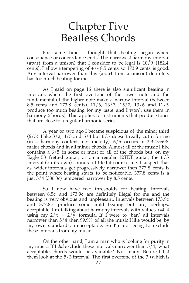#### Chapter Five Beatless Chords

For some time I thought that beating began where consonance or concordance ends. The narrowest harmony interval (apart from a unison) that I consider to be legal is  $10/9$  (182.4) cents). I allow a tempering of  $+/- 8.5$  cents so 173.9 cents is good. Any interval narrower than this (apart from a unison) definitely has too much beating for me.

As I said on page 16 there is also significant beating in intervals where the first overtone of the lower note and the fundamental of the higher note make a narrow interval (between 8.5 cents and 173.8 cents). 11/6, 13/7, 15/7, 13/6 and 11/5 produce too much beating for my taste and I won't use them in harmony (chords). This applies to instruments that produce tones that are close to a regular harmonic series.

A year or two ago I became suspicious of the minor third  $(6/5)$  I like  $3/2$ ,  $4/3$  and  $5/4$  but  $6/5$  doesn't really cut it for me (in a harmony context, not melody). 6/5 occurs in 2:3:4:5:6:8 major chords and in all minor chords. Almost all of the music I like contains a 6/5 in some or most or all of the chords but, on my Eagle 53 fretted guitar, or on a regular 12TET guitar, the 6/5 interval (on its own) sounds a little bit sour to me. I suspect that as wider intervals get progressively narrower then 377.8 cents is the point where beating starts to be noticeable. 377.8 cents is a just 5/4 (386.3c) tempered narrower by 8.5 cents.

So I now have two thresholds for beating. Intervals between 8.5c and 173.9c are definitely illegal for me and the beating is very obvious and unpleasant. Intervals between 173.9c and 377.8c produce some mild beating but are, perhaps, acceptable. I'm talking about harmony intervals with values  $\geq 0.4$ using my  $2/x + 2/\tilde{y}$  formula. If I were to 'ban' all intervals narrower than 5/4 then 99.9% of all the music I like would be, by my own standards, unacceptable. So I'm not going to exclude these intervals from my music.

On the other hand, I am a man who is looking for purity in my music. If I *did* exclude these intervals narrower than 5/4, what acceptable chords would be available? Not many. Before I list them look at the 5/3 interval. The first overtone of the 3 (which is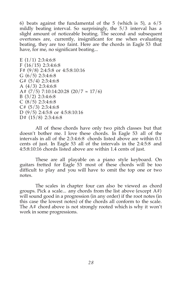6) beats against the fundamental of the 5 (which is 5), a  $6/5$ mildly beating interval. So surprisingly, the 5/3 interval has a slight amount of noticeable beating. The second and subsequent overtones are, currently, insignificant for me when evaluating beating, they are too faint. Here are the chords in Eagle 53 that have, for me, no significant beating...

E  $(1/1)$  2:3:4:6:8 F (16/15) 2:3:4:6:8 F# (9/8) 2:4:5:8 or 4:5:8:10:16 G  $(6/5)$  2:3:4:6:8 G#  $(5/4)$  2:3:4:6:8 A (4/3) 2:3:4:6:8 A#  $(7/5)$  7:10:14:20:28  $(20/7 \approx 17/6)$ B (3/2) 2:3:4:6:8 C  $(8/5)$  2:3:4:6:8  $C# (5/3)$  2:3:4:6:8 D (9/5) 2:4:5:8 or 4:5:8:10:16 D# (15/8) 2:3:4:6:8

All of these chords have only two pitch classes but that doesn't bother me. I love these chords. In Eagle 53 all of the intervals in all of the 2:3:4:6:8 chords listed above are within 0.1 cents of just. In Eagle 53 all of the intervals in the 2:4:5:8 and 4:5:8:10:16 chords listed above are within 1.4 cents of just.

These are all playable on a piano style keyboard. On guitars fretted for Eagle 53 most of these chords will be too difficult to play and you will have to omit the top one or two notes.

The scales in chapter four can also be viewed as chord groups. Pick a scale... any chords from the list above (except  $A#$ ) will sound good in a progression (in any order) if the root notes (in this case the lowest notes) of the chords all conform to the scale. The A# chord above is not strongly rooted which is why it won't work in some progressions.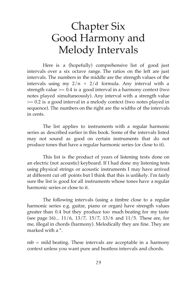### Chapter Six Good Harmony and Melody Intervals

Here is a (hopefully) comprehensive list of good just intervals over a six octave range. The ratios on the left are just intervals. The numbers in the middle are the strength values of the intervals using my  $2/n + 2/d$  formula. Any interval with a strength value  $> = 0.4$  is a good interval in a harmony context (two notes played simultaneously). Any interval with a strength value >= 0.2 is a good interval in a melody context (two notes played in sequence). The numbers on the right are the widths of the intervals in cents.

The list applies to instruments with a regular harmonic series as described earlier in this book. Some of the intervals listed may not sound as good on certain instruments that do not produce tones that have a regular harmonic series (or close to it).

This list is the product of years of listening tests done on an electric (not acoustic) keyboard. If I had done my listening tests using physical strings or acoustic instruments I may have arrived at different cut off points but I think that this is unlikely. I'm fairly sure the list is good for all instruments whose tones have a regular harmonic series or close to it.

The following intervals (using a timbre close to a regular harmonic series e.g. guitar, piano or organ) have strength values greater than 0.4 but they produce too much beating for my taste (see page 16)... 11/6, 13/7, 15/7, 13/6 and 11/5. These are, for me, illegal in chords (harmony). Melodically they are fine. They are marked with a \*.

mb = mild beating. These intervals are acceptable in a harmony context unless you want pure and beatless intervals and chords.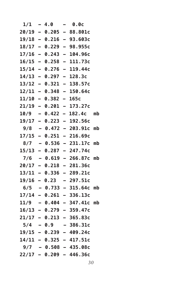| $1/1 - 4.0$ |                        | $\sim$ $\sim$ | 0.0c                        |  |
|-------------|------------------------|---------------|-----------------------------|--|
|             |                        |               | $20/19 - 0.205 - 88.801c$   |  |
|             |                        |               | $19/18 - 0.216 - 93.603c$   |  |
|             |                        |               | $18/17 - 0.229 - 98.955c$   |  |
|             |                        |               | $17/16 - 0.243 - 104.96c$   |  |
|             |                        |               | $16/15 - 0.258 - 111.73c$   |  |
|             |                        |               | $15/14 - 0.276 - 119.44c$   |  |
|             |                        |               | $14/13 - 0.297 - 128.3c$    |  |
|             |                        |               | $13/12 - 0.321 - 138.57c$   |  |
|             |                        |               | $12/11 - 0.348 - 150.64c$   |  |
|             | $11/10 - 0.382 - 165c$ |               |                             |  |
|             |                        |               | $21/19 - 0.201 - 173.27c$   |  |
|             |                        |               | $10/9$ - 0.422 - 182.4c mb  |  |
|             |                        |               | $19/17 - 0.223 - 192.56c$   |  |
|             |                        |               | $9/8$ - 0.472 - 203.91c mb  |  |
|             |                        |               | $17/15 - 0.251 - 216.69c$   |  |
|             |                        |               | $8/7 - 0.536 - 231.17c$ mb  |  |
|             |                        |               | $15/13 - 0.287 - 247.74c$   |  |
|             |                        |               | $7/6 - 0.619 - 266.87c$ mb  |  |
|             |                        |               | $20/17 - 0.218 - 281.36c$   |  |
|             |                        |               | $13/11 - 0.336 - 289.21c$   |  |
|             |                        |               | $19/16 - 0.23 - 297.51c$    |  |
|             |                        |               | $6/5 - 0.733 - 315.64c$ mb  |  |
|             |                        |               | $17/14 - 0.261 - 336.13c$   |  |
|             |                        |               | $11/9$ - 0.404 - 347.41c mb |  |
|             |                        |               | $16/13 - 0.279 - 359.47c$   |  |
|             |                        |               | $21/17 - 0.213 - 365.83c$   |  |
| $5/4 - 0.9$ |                        |               | $-386.31c$                  |  |
|             | $19/15 - 0.239$        |               | $-409.24c$                  |  |
|             |                        |               | $14/11 - 0.325 - 417.51c$   |  |
|             |                        |               | $9/7 - 0.508 - 435.08c$     |  |
|             |                        |               | 22/17 - 0.209 - 446.36c     |  |
|             |                        |               |                             |  |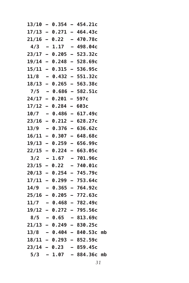|  |                        | $13/10 - 0.354 - 454.21c$   |  |
|--|------------------------|-----------------------------|--|
|  |                        | $17/13 - 0.271 - 464.43c$   |  |
|  |                        | $21/16 - 0.22 - 470.78c$    |  |
|  |                        | $4/3$ - 1.17 - 498.04c      |  |
|  |                        | $23/17 - 0.205 - 523.32c$   |  |
|  |                        | $19/14 - 0.248 - 528.69c$   |  |
|  |                        | $15/11 - 0.315 - 536.95c$   |  |
|  |                        | $11/8$ - 0.432 - 551.32c    |  |
|  |                        | $18/13 - 0.265 - 563.38c$   |  |
|  |                        | $7/5 - 0.686 - 582.51c$     |  |
|  | $24/17 - 0.201 - 597c$ |                             |  |
|  | $17/12 - 0.284 - 603c$ |                             |  |
|  |                        | $10/7 - 0.486 - 617.49c$    |  |
|  |                        | $23/16 - 0.212 - 628.27c$   |  |
|  |                        | $13/9$ - 0.376 - 636.62c    |  |
|  |                        | $16/11 - 0.307 - 648.68c$   |  |
|  |                        | $19/13 - 0.259 - 656.99c$   |  |
|  |                        | $22/15 - 0.224 - 663.05c$   |  |
|  |                        | $3/2$ - 1.67 - 701.96c      |  |
|  |                        | $23/15 - 0.22 - 740.01c$    |  |
|  |                        | $20/13 - 0.254 - 745.79c$   |  |
|  |                        | $17/11 - 0.299 - 753.64c$   |  |
|  |                        | $14/9$ - 0.365 - 764.92c    |  |
|  |                        | $25/16 - 0.205 - 772.63c$   |  |
|  |                        | $11/7 - 0.468 - 782.49c$    |  |
|  |                        | $19/12 - 0.272 - 795.56c$   |  |
|  |                        | $8/5$ - 0.65 - 813.69c      |  |
|  |                        | $21/13 - 0.249 - 830.25c$   |  |
|  |                        | $13/8$ - 0.404 - 840.53c mb |  |
|  |                        | $18/11 - 0.293 - 852.59c$   |  |
|  |                        | $23/14 - 0.23 - 859.45c$    |  |
|  |                        | $5/3 - 1.07 - 884.36c$ mb   |  |
|  |                        |                             |  |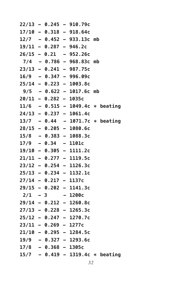|  |                         | $22/13 - 0.245 - 910.79c$          |                                   |
|--|-------------------------|------------------------------------|-----------------------------------|
|  |                         | $17/10 - 0.318 - 918.64c$          |                                   |
|  |                         | $12/7 - 0.452 - 933.13c$ mb        |                                   |
|  |                         | $19/11 - 0.287 - 946.2c$           |                                   |
|  |                         | $26/15 - 0.21 - 952.26c$           |                                   |
|  |                         | $7/4$ - 0.786 - 968.83c mb         |                                   |
|  |                         | $23/13 - 0.241 - 987.75c$          |                                   |
|  |                         | $16/9$ - 0.347 - 996.09c           |                                   |
|  |                         | $25/14 - 0.223 - 1003.8c$          |                                   |
|  |                         | $9/5 - 0.622 - 1017.6c$ mb         |                                   |
|  | $20/11 - 0.282 - 1035c$ |                                    |                                   |
|  |                         | $11/6$ - 0.515 - 1049.4c * beating |                                   |
|  |                         | $24/13 - 0.237 - 1061.4c$          |                                   |
|  |                         |                                    | $13/7 - 0.44 - 1071.7c * beating$ |
|  |                         | $28/15 - 0.205 - 1080.6c$          |                                   |
|  |                         | $15/8$ - 0.383 - 1088.3c           |                                   |
|  | $17/9$ - 0.34 - 1101c   |                                    |                                   |
|  |                         | $19/10 - 0.305 - 1111.2c$          |                                   |
|  |                         | $21/11 - 0.277 - 1119.5c$          |                                   |
|  |                         | $23/12 - 0.254 - 1126.3c$          |                                   |
|  |                         | $25/13 - 0.234 - 1132.1c$          |                                   |
|  | $27/14 - 0.217 - 1137c$ |                                    |                                   |
|  |                         | $29/15 - 0.202 - 1141.3c$          |                                   |
|  |                         | $2/1 - 3 - 1200c$                  |                                   |
|  |                         | $29/14 - 0.212 - 1260.8c$          |                                   |
|  |                         | $27/13 - 0.228 - 1265.3c$          |                                   |
|  |                         | $25/12 - 0.247 - 1270.7c$          |                                   |
|  | $23/11 - 0.269 - 1277c$ |                                    |                                   |
|  |                         | $21/10 - 0.295 - 1284.5c$          |                                   |
|  |                         | $19/9$ - 0.327 - 1293.6c           |                                   |
|  | $17/8$ - 0.368 - 1305c  |                                    |                                   |
|  |                         | $15/7 - 0.419 - 1319.4c * beating$ |                                   |
|  |                         |                                    |                                   |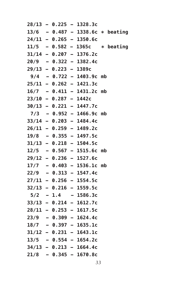|  |                         | $28/13 - 0.225 - 1328.3c$          |  |
|--|-------------------------|------------------------------------|--|
|  |                         | $13/6$ - 0.487 - 1338.6c * beating |  |
|  |                         | $24/11 - 0.265 - 1350.6c$          |  |
|  |                         | $11/5 - 0.582 - 1365c$ * beating   |  |
|  |                         | $31/14 - 0.207 - 1376.2c$          |  |
|  |                         | $20/9$ - 0.322 - 1382.4c           |  |
|  | $29/13 - 0.223 - 1389c$ |                                    |  |
|  |                         | $9/4 - 0.722 - 1403.9c$ mb         |  |
|  |                         | $25/11 - 0.262 - 1421.3c$          |  |
|  |                         | $16/7 - 0.411 - 1431.2c$ mb        |  |
|  | $23/10 - 0.287 - 1442c$ |                                    |  |
|  |                         | $30/13 - 0.221 - 1447.7c$          |  |
|  |                         | $7/3 - 0.952 - 1466.9c$ mb         |  |
|  |                         | $33/14 - 0.203 - 1484.4c$          |  |
|  |                         | $26/11 - 0.259 - 1489.2c$          |  |
|  |                         | $19/8$ - 0.355 - 1497.5c           |  |
|  |                         | $31/13 - 0.218 - 1504.5c$          |  |
|  |                         | $12/5 - 0.567 - 1515.6c$ mb        |  |
|  |                         | $29/12 - 0.236 - 1527.6c$          |  |
|  |                         | $17/7 - 0.403 - 1536.1c$ mb        |  |
|  |                         | $22/9$ - 0.313 - 1547.4c           |  |
|  |                         | $27/11 - 0.256 - 1554.5c$          |  |
|  |                         | $32/13 - 0.216 - 1559.5c$          |  |
|  |                         | $5/2$ - 1.4 - 1586.3c              |  |
|  |                         | $33/13 - 0.214 - 1612.7c$          |  |
|  |                         | $28/11 - 0.253 - 1617.5c$          |  |
|  |                         | $23/9$ - 0.309 - 1624.4c           |  |
|  |                         | $18/7 - 0.397 - 1635.1c$           |  |
|  |                         | $31/12 - 0.231 - 1643.1c$          |  |
|  |                         | $13/5 - 0.554 - 1654.2c$           |  |
|  |                         | $34/13 - 0.213 - 1664.4c$          |  |
|  |                         | $21/8$ - 0.345 - 1670.8c           |  |
|  |                         |                                    |  |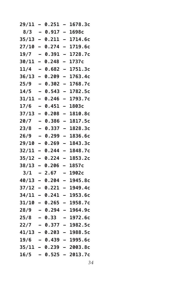| 29/11 | $\overline{\phantom{0}}$ | 0.251         | $\overline{a}$           | 1678.3c                   |
|-------|--------------------------|---------------|--------------------------|---------------------------|
| 8/3   | $\qquad \qquad$          | $0.917 -$     |                          | 1698c                     |
| 35/13 | $\overline{\phantom{0}}$ | 0.211         | $\overline{\phantom{0}}$ | 1714.6c                   |
| 27/10 | $\overline{\phantom{0}}$ | 0.274         | -                        | 1719.6c                   |
| 19/7  |                          | 0.391         | -                        | 1728.7c                   |
| 30/11 | $\overline{\phantom{0}}$ | 0.248         | -                        | 1737c                     |
| 11/4  | -                        | 0.682         | $\overline{\phantom{0}}$ | 1751.3c                   |
| 36/13 | $\overline{\phantom{0}}$ | 0.209         | -                        | 1763.4c                   |
| 25/9  | $\overline{\phantom{0}}$ | 0.302         | $\overline{\phantom{0}}$ | 1768.7c                   |
| 14/5  | -                        | 0.543         | $\overline{\phantom{0}}$ | 1782.5c                   |
| 31/11 | -                        | 0.246         | -                        | 1793.7c                   |
| 17/6  | -                        | 0.451         | -                        | 1803с                     |
| 37/13 | $\equiv$                 | 0.208         | $\overline{\phantom{0}}$ | 1810.8c                   |
| 20/7  | -                        | 0.386         | $\overline{\phantom{0}}$ | 1817.5c                   |
| 23/8  | $\overline{a}$           | 0.337         | $\overline{\phantom{0}}$ | 1828.3c                   |
| 26/9  | -                        | 0.299         | $\overline{\phantom{0}}$ | 1836.6c                   |
| 29/10 | $\overline{\phantom{0}}$ | 0.269         | -                        | 1843.3c                   |
| 32/11 | $\overline{\phantom{0}}$ | 0.244         | -                        | 1848.7c                   |
| 35/12 | $\overline{\phantom{0}}$ | 0.224         | $\overline{\phantom{0}}$ | 1853.2c                   |
| 38/13 | $\overline{\phantom{0}}$ | 0.206         | $\overline{\phantom{0}}$ | 1857c                     |
| 3/1   | -                        | 2.67          | -                        | 1902c                     |
| 40/13 | $\overline{\phantom{0}}$ | 0.204         | $\overline{\phantom{0}}$ | 1945.8c                   |
| 37/12 | -                        | 0.221         |                          | 1949.4c                   |
| 34/11 | $\overline{\phantom{0}}$ | 0.241         | -                        | 1953.6c                   |
| 31/10 | $\overline{\phantom{0}}$ | 0.265         | $\overline{\phantom{0}}$ | 1958.7c                   |
| 28/9  |                          | 0.294         | -                        | 1964.9c                   |
| 25/8  | $\qquad \qquad$          | 0.33          | $\overline{\phantom{a}}$ | 1972.6c                   |
| 22/7  |                          | $-0.377 -$    |                          | 1982.5c                   |
|       |                          | 41/13 – 0.203 |                          | — 1988.5с                 |
| 19/6  |                          |               |                          | $-$ 0.439 $-$ 1995.6c     |
|       |                          |               |                          | $35/11 - 0.239 - 2003.8c$ |
| 16/5  | $\sim$                   | $0.525 -$     |                          | 2013.7c                   |
|       |                          |               |                          |                           |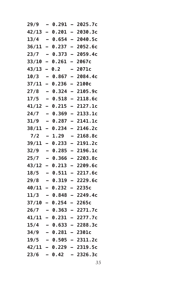| 29/9  |                          | 0.291                  |                          | 2025.7c                   |
|-------|--------------------------|------------------------|--------------------------|---------------------------|
| 42/13 | $\equiv$                 | 0.201                  | $\overline{\phantom{0}}$ | 2030.3c                   |
| 13/4  | $\overline{\phantom{0}}$ | 0.654                  | $\equiv$                 | 2040.5c                   |
| 36/11 | $\overline{\phantom{0}}$ | 0.237                  | $\overline{\phantom{0}}$ | 2052.6c                   |
| 23/7  | $\overline{ }$           | 0.373                  | -                        | 2059.4c                   |
| 33/10 | $\overline{\phantom{0}}$ | 0.261                  | -                        | 2067c                     |
| 43/13 | -                        | 0.2                    |                          | 2071c                     |
| 10/3  | $\overline{\phantom{0}}$ | 0.867                  | $\overline{\phantom{0}}$ | 2084.4c                   |
| 37/11 | —                        | 0.236                  | -                        | 2100c                     |
| 27/8  |                          | 0.324                  | $\overline{\phantom{0}}$ | 2105.9c                   |
| 17/5  | -                        | 0.518                  | $\overline{\phantom{0}}$ | 2118.6c                   |
| 41/12 | —                        | 0.215                  | -                        | 2127.1c                   |
| 24/7  |                          | 0.369                  | $\overline{\phantom{0}}$ | 2133.1c                   |
| 31/9  | —                        | 0.287                  | $\overline{\phantom{0}}$ | 2141.1c                   |
| 38/11 | -                        | 0.234                  | -                        | 2146.2c                   |
| 7/2   | —                        | 1.29                   | -                        | 2168.8c                   |
| 39/11 | -                        | 0.233                  | -                        | 2191.2c                   |
| 32/9  |                          | 0.285                  | $\overline{\phantom{0}}$ | 2196.1c                   |
| 25/7  |                          | 0.366                  | $\overline{\phantom{0}}$ | 2203.8c                   |
| 43/12 | -                        | 0.213                  | $\overline{\phantom{0}}$ | 2209.6c                   |
| 18/5  | $\overline{\phantom{0}}$ | 0.511                  | $\overline{\phantom{0}}$ | 2217.6c                   |
| 29/8  |                          | 0.319                  | $\overline{\phantom{0}}$ | 2229.6c                   |
| 40/11 | Ξ.                       | 0.232                  | $\overline{\phantom{0}}$ | 2235c                     |
| 11/3  |                          | 0.848                  | $\overline{\phantom{0}}$ | 2249.4c                   |
| 37/10 | $\overline{\phantom{0}}$ | 0.254                  |                          | 2265c                     |
| 26/7  |                          | 0.363                  | $\overline{\phantom{0}}$ | 2271.7c                   |
| 41/11 |                          | $-0.231$               |                          | 2277.7c                   |
|       |                          |                        |                          | $15/4 - 0.633 - 2288.3c$  |
|       |                          | $34/9$ - 0.281 - 2301c |                          |                           |
|       |                          |                        |                          | $19/5 - 0.505 - 2311.2c$  |
|       |                          |                        |                          | $42/11 - 0.229 - 2319.5c$ |
|       |                          |                        |                          | $23/6$ - 0.42 - 2326.3c   |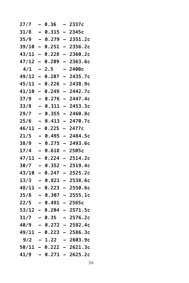| 27/7  |                          | 0.36   | -                        | 2337c                     |
|-------|--------------------------|--------|--------------------------|---------------------------|
| 31/8  | $\overline{a}$           | 0.315  | $\overline{\phantom{0}}$ | 2345с                     |
| 35/9  | $\overline{\phantom{0}}$ | 0.279  | $\equiv$                 | 2351.2c                   |
| 39/10 | $\overline{\phantom{0}}$ | 0.251  | $\overline{\phantom{0}}$ | 2356.2c                   |
| 43/11 | $\overline{\phantom{0}}$ | 0.228  | -                        | 2360.2c                   |
| 47/12 | -                        | 0.209  |                          | 2363.6c                   |
| 4/1   | $\overline{\phantom{0}}$ | 2.5    | -                        | 2400с                     |
| 49/12 | -                        | 0.207  | -                        | 2435.7c                   |
| 45/11 | -                        | 0.226  | -                        | 2438.9c                   |
| 41/10 | $\overline{\phantom{0}}$ | 0.249  | $\overline{\phantom{0}}$ | 2442.7c                   |
| 37/9  | -                        | 0.276  | $\overline{\phantom{0}}$ | 2447.4c                   |
| 33/8  |                          | 0.311  | -                        | 2453.3c                   |
| 29/7  | $\overline{\phantom{0}}$ | 0.355  | $\overline{\phantom{0}}$ | 2460.8c                   |
| 25/6  | $\overline{\phantom{0}}$ | 0.413  | —                        | 2470.7c                   |
| 46/11 | $\overline{\phantom{0}}$ | 0.225  | $\equiv$                 | 2477c                     |
| 21/5  |                          | 0.495  | $\overline{\phantom{0}}$ | 2484.5c                   |
| 38/9  | -                        | 0.275  | —                        | 2493.6c                   |
| 17/4  |                          | 0.618  |                          | 2505c                     |
| 47/11 | -                        | 0.224  | $\overline{\phantom{0}}$ | 2514.2c                   |
| 30/7  |                          | 0.352  | $\overline{\phantom{0}}$ | 2519.4c                   |
| 43/10 | $\overline{\phantom{0}}$ | 0.247  | $\overline{\phantom{0}}$ | 2525.2c                   |
| 13/3  |                          | 0.821  | $\overline{\phantom{0}}$ | 2538.6c                   |
| 48/11 | $\overline{\phantom{0}}$ | 0.223  | -                        | 2550.6c                   |
| 35/8  |                          | 0.307  |                          | 2555.1c                   |
| 22/5  |                          | 0.491  |                          | 2565c                     |
| 53/12 |                          | 0.204  |                          | 2571.5c                   |
| 31/7  |                          | 0.35   |                          | 2576.2c                   |
|       |                          |        |                          | 40/9 – 0.272 – 2582.4c    |
|       |                          |        |                          | $49/11 - 0.223 - 2586.3c$ |
| 9/2   |                          | - 1.22 |                          | — 2603.9с                 |
|       |                          |        |                          | 50/11 – 0.222 – 2621.3c   |
|       |                          |        |                          | $41/9$ - 0.271 - 2625.2c  |
|       |                          |        |                          |                           |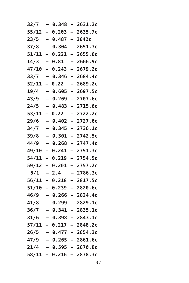| 32/7         |                          | 0.348 | $\overline{\phantom{0}}$ | 2631.2c                   |
|--------------|--------------------------|-------|--------------------------|---------------------------|
| 55/12        | $\overline{\phantom{0}}$ | 0.203 | $\overline{\phantom{0}}$ | 2635.7c                   |
| 23/5         | $\overline{\phantom{0}}$ | 0.487 | $\overline{\phantom{0}}$ | 2642c                     |
| 37/8         | $\overline{\phantom{0}}$ | 0.304 | $\overline{\phantom{0}}$ | 2651.3c                   |
| 51/11        | $\overline{\phantom{0}}$ | 0.221 | -                        | 2655.6c                   |
| 14/3         | -                        | 0.81  |                          | 2666.9c                   |
| <b>47/10</b> | —                        | 0.243 | -                        | 2679.2c                   |
| 33/7         | $\overline{\phantom{0}}$ | 0.346 | $\overline{\phantom{0}}$ | 2684.4c                   |
| 52/11        | —                        | 0.22  |                          | 2689.2c                   |
| 19/4         |                          | 0.605 | $\overline{\phantom{0}}$ | 2697.5c                   |
| 43/9         | -                        | 0.269 | -                        | 2707.6c                   |
| 24/5         |                          | 0.483 | -                        | 2715.6c                   |
| 53/11        | Ξ,                       | 0.22  |                          | 2722.2c                   |
| 29/6         | $\overline{\phantom{0}}$ | 0.402 | $\overline{\phantom{0}}$ | 2727.6c                   |
| 34/7         | $\overline{\phantom{0}}$ | 0.345 | $\overline{\phantom{0}}$ | 2736.1c                   |
| 39/8         |                          | 0.301 | $\overline{\phantom{0}}$ | 2742.5c                   |
| 44/9         | -                        | 0.268 | -                        | 2747.4c                   |
| 49/10        | —                        | 0.241 | -                        | 2751.3c                   |
| 54/11        | -                        | 0.219 | -                        | 2754.5c                   |
| 59/12        | $\overline{\phantom{0}}$ | 0.201 | $\overline{\phantom{0}}$ | 2757.2c                   |
| 5/1          | $\overline{\phantom{0}}$ | 2.4   | -                        | 2786.3c                   |
| 56/11        | -                        | 0.218 | $\overline{\phantom{0}}$ | 2817.5c                   |
| 51/10        | -                        | 0.239 | -                        | 2820.6c                   |
| 46/9         |                          | 0.266 | -                        | 2824.4c                   |
| 41/8         |                          | 0.299 |                          | 2829.1c                   |
| 36/7         |                          | 0.341 | $\overline{\phantom{0}}$ | 2835.1c                   |
| 31/6         |                          | 0.398 |                          | 2843.1c                   |
|              |                          |       |                          | 57/11 - 0.217 - 2848.2c   |
|              |                          |       |                          | $26/5 - 0.477 - 2854.2c$  |
|              |                          |       |                          | 47/9 – 0.265 – 2861.6c    |
| 21/4         |                          |       |                          | $-$ 0.595 - 2870.8c       |
|              |                          |       |                          | $58/11 - 0.216 - 2878.3c$ |
|              |                          |       |                          |                           |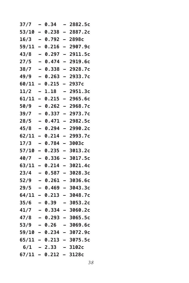| 37/7  | -                        | 0.34            | $\overline{\phantom{0}}$ | 2882.5c                   |
|-------|--------------------------|-----------------|--------------------------|---------------------------|
| 53/10 | $\overline{\phantom{0}}$ | 0.238           | $\blacksquare$           | 2887.2c                   |
| 16/3  | -                        | 0.792           | $\overline{\phantom{0}}$ | 2898c                     |
| 59/11 | $\overline{\phantom{0}}$ | 0.216           | $\overline{\phantom{0}}$ | 2907.9c                   |
| 43/8  |                          | 0.297           | $\overline{\phantom{0}}$ | 2911.5c                   |
| 27/5  | $\overline{\phantom{0}}$ | 0.474           | $\overline{\phantom{0}}$ | 2919.6c                   |
| 38/7  | -                        | 0.338           | $\overline{\phantom{0}}$ | 2928.7c                   |
| 49/9  | -                        | 0.263           | $\overline{\phantom{0}}$ | 2933.7c                   |
| 60/11 | $\overline{\phantom{0}}$ | 0.215           | $\overline{\phantom{0}}$ | 2937c                     |
| 11/2  | -                        | 1.18            | -                        | 2951.3c                   |
| 61/11 | Ξ.                       | 0.215           | Ξ.                       | 2965.6c                   |
| 50/9  | -                        | 0.262           | $\qquad \qquad$          | 2968.7c                   |
| 39/7  |                          | 0.337           | $\equiv$                 | 2973.7c                   |
| 28/5  | $\overline{\phantom{0}}$ | 0.471           | $\overline{\phantom{0}}$ | 2982.5c                   |
| 45/8  | $\overline{\phantom{0}}$ | 0.294           | $\overline{\phantom{0}}$ | 2990.2c                   |
| 62/11 | $\overline{\phantom{0}}$ | 0.214           | $\overline{\phantom{0}}$ | 2993.7c                   |
| 17/3  | -                        | 0.784           | $\overline{\phantom{0}}$ | 3003c                     |
| 57/10 | Ξ.                       | 0.235           | Ξ.                       | 3013.2c                   |
| 40/7  | -                        | 0.336           | $\overline{\phantom{0}}$ | 3017.5c                   |
| 63/11 | -                        | 0.214           | $\overline{\phantom{0}}$ | 3021.4c                   |
| 23/4  | -                        | 0.587           | $\overline{\phantom{0}}$ | 3028.3c                   |
| 52/9  | $\overline{\phantom{0}}$ | 0.261           | $\overline{\phantom{0}}$ | 3036.6c                   |
| 29/5  | -                        | 0.469           | $\overline{\phantom{0}}$ | 3043.3c                   |
| 64/11 | Ξ.                       | 0.213           | Ξ.                       | 3048.7c                   |
| 35/6  | $\equiv$                 | 0.39            |                          | 3053.2c                   |
| 41/7  |                          | 0.334           | $\overline{\phantom{0}}$ | 3060.2c                   |
| 47/8  | $\sim$                   | $0.293 -$       |                          | 3065.5c                   |
| 53/9  |                          |                 |                          | $-$ 0.26 $-$ 3069.6c      |
|       |                          | 59/10 - 0.234   |                          | - 3072.9с                 |
|       |                          |                 |                          | $65/11 - 0.213 - 3075.5c$ |
|       |                          | $6/1 - 2.33$    |                          | - 3102с                   |
|       |                          | 67/11 - 0.212 - |                          | 3128c                     |
|       |                          |                 |                          |                           |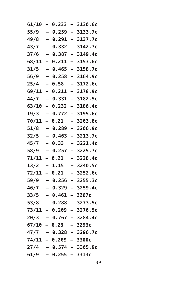| 61/10 |                          | 0.233             |                          | 3130.6с                |
|-------|--------------------------|-------------------|--------------------------|------------------------|
| 55/9  | $\overline{\phantom{0}}$ | 0.259             | $\overline{\phantom{0}}$ | 3133.7c                |
| 49/8  | $\overline{\phantom{0}}$ | 0.291             | $\overline{\phantom{0}}$ | 3137.7c                |
| 43/7  |                          | 0.332             | $\overline{\phantom{0}}$ | 3142.7c                |
| 37/6  | -                        | 0.387             | -                        | 3149.4c                |
| 68/11 | -                        | 0.211             | -                        | 3153.6c                |
| 31/5  |                          | 0.465             | -                        | 3158.7c                |
| 56/9  | $\overline{\phantom{0}}$ | 0.258             | $\overline{\phantom{0}}$ | 3164.9c                |
| 25/4  | -                        | 0.58              |                          | 3172.6c                |
| 69/11 | -                        | 0.211             | -                        | 3178.9c                |
| 44/7  | -                        | 0.331             | -                        | 3182.5c                |
| 63/10 | -                        | 0.232             | -                        | 3186.4c                |
| 19/3  |                          | 0.772             | -                        | 3195.6c                |
| 70/11 | $\overline{\phantom{0}}$ | 0.21              | -                        | 3203.8c                |
| 51/8  | $\overline{\phantom{0}}$ | 0.289             | $\overline{\phantom{0}}$ | 3206.9c                |
| 32/5  |                          | 0.463             | $\overline{\phantom{0}}$ | 3213.7c                |
| 45/7  | $\overline{\phantom{0}}$ | 0.33              | -                        | 3221.4c                |
| 58/9  |                          | 0.257             | -                        | 3225.7c                |
| 71/11 | -                        | 0.21              |                          | 3228.4c                |
| 13/2  | —                        | 1.15              | -                        | 3240.5c                |
| 72/11 | $\overline{\phantom{0}}$ | 0.21              | -                        | 3252.6c                |
| 59/9  |                          | 0.256             | $\overline{\phantom{0}}$ | 3255.3c                |
| 46/7  | -                        | 0.329             | -                        | 3259.4c                |
| 33/5  | $\overline{\phantom{0}}$ | 0.461             | -                        | 3267c                  |
| 53/8  |                          | 0.288             |                          | 3273.5c                |
| 73/11 | -                        | 0.209             |                          | 3276.5c                |
| 20/3  |                          | 0.767             |                          | 3284.4c                |
|       |                          | 67/10 - 0.23      |                          | – 3293с                |
|       |                          |                   |                          | 47/7 - 0.328 - 3296.7c |
|       |                          | 74/11 – 0.209     |                          | $-3300c$               |
| 27/4  |                          |                   |                          | $-$ 0.574 - 3305.9c    |
| 61/9  |                          | $-$ 0.255 - 3313c |                          |                        |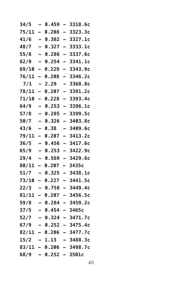| 34/5  |                          | 0.459          | $\overline{\phantom{0}}$ | 3318.6c                 |
|-------|--------------------------|----------------|--------------------------|-------------------------|
| 75/11 | $\blacksquare$           | 0.208          | $\overline{\phantom{0}}$ | 3323.3c                 |
| 41/6  | $\overline{\phantom{0}}$ | 0.382          | $\overline{\phantom{0}}$ | 3327.1c                 |
| 48/7  | $\overline{\phantom{0}}$ | 0.327          | $\overline{\phantom{0}}$ | 3333.1c                 |
| 55/8  |                          | 0.286          | -                        | 3337.6c                 |
| 62/9  | $\overline{\phantom{0}}$ | 0.254          | $\overline{\phantom{0}}$ | 3341.1c                 |
| 69/10 | $\overline{\phantom{0}}$ | 0.229          | $\overline{\phantom{0}}$ | 3343.9c                 |
| 76/11 | $\overline{\phantom{0}}$ | 0.208          | $\overline{\phantom{0}}$ | 3346.2c                 |
| 7/1   | $\overline{\phantom{0}}$ | 2.29           | $\overline{\phantom{0}}$ | 3368.8c                 |
| 78/11 | $\overline{\phantom{0}}$ | 0.207          | $\overline{\phantom{0}}$ | 3391.2c                 |
| 71/10 | $\overline{\phantom{0}}$ | 0.228          | Ξ.                       | 3393.4c                 |
| 64/9  | -                        | 0.253          | $\qquad \qquad$          | 3396.1c                 |
| 57/8  |                          | 0.285          | $\overline{\phantom{0}}$ | 3399.5c                 |
| 50/7  | $\overline{\phantom{0}}$ | 0.326          | $\overline{\phantom{0}}$ | 3403.8c                 |
| 43/6  | $\overline{\phantom{0}}$ | 0.38           | -                        | 3409.6c                 |
| 79/11 | $\overline{\phantom{0}}$ | 0.207          | $\overline{\phantom{0}}$ | 3413.2c                 |
| 36/5  | $\overline{\phantom{0}}$ | 0.456          | $\overline{\phantom{0}}$ | 3417.6c                 |
| 65/9  | -                        | 0.253          | $\blacksquare$           | 3422.9c                 |
| 29/4  | -                        | 0.569          | $\overline{\phantom{0}}$ | 3429.6c                 |
| 80/11 | -                        | 0.207          | $\overline{\phantom{0}}$ | 3435c                   |
| 51/7  | -                        | 0.325          | $\overline{\phantom{0}}$ | 3438.1c                 |
| 73/10 | $\overline{\phantom{0}}$ | 0.227          | $\overline{\phantom{0}}$ | 3441.5c                 |
| 22/3  | -                        | 0.758          | $\overline{\phantom{0}}$ | 3449.4c                 |
| 81/11 | Ξ.                       | 0.207          | $\overline{\phantom{0}}$ | 3456.5c                 |
| 59/8  |                          | 0.284          | $\blacksquare$           | 3459.2c                 |
| 37/5  |                          | 0.454          | $\overline{\phantom{0}}$ | 3465c                   |
| 52/7  | $\sim$                   | $0.324 -$      |                          | 3471.7c                 |
| 67/9  |                          |                |                          | $-$ 0.252 - 3475.4c     |
|       |                          |                |                          | 82/11 - 0.206 - 3477.7c |
|       |                          | 15/2 – 1.13    |                          | $-3488.3c$              |
|       |                          | 83/11 - 0.206  |                          | – 3498.7c               |
|       |                          | 68/9 – 0.252 – |                          | 3501c                   |
|       |                          |                |                          |                         |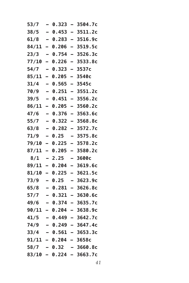| 53/7  |                          | 0.323                 |                          | 3504.7c                 |
|-------|--------------------------|-----------------------|--------------------------|-------------------------|
| 38/5  | $\overline{\phantom{0}}$ | 0.453                 | $\overline{\phantom{0}}$ | 3511.2c                 |
| 61/8  | $\overline{\phantom{0}}$ | 0.283                 | -                        | 3516.9c                 |
| 84/11 | -                        | 0.206                 | $\overline{\phantom{0}}$ | 3519.5c                 |
| 23/3  | $\overline{ }$           | 0.754                 | -                        | 3526.3c                 |
| 77/10 | -                        | 0.226                 | $\overline{\phantom{0}}$ | 3533.8c                 |
| 54/7  |                          | 0.323                 | —                        | 3537c                   |
| 85/11 | -                        | 0.205                 | -                        | 3540с                   |
| 31/4  | $\overline{\phantom{0}}$ | 0.565                 | $\overline{\phantom{0}}$ | 3545c                   |
| 70/9  | $\overline{\phantom{0}}$ | 0.251                 | -                        | 3551.2c                 |
| 39/5  | -                        | 0.451                 | -                        | 3556.2c                 |
| 86/11 | -                        | 0.205                 | -                        | 3560.2c                 |
| 47/6  |                          | 0.376                 | -                        | 3563.6c                 |
| 55/7  | $\overline{\phantom{0}}$ | 0.322                 | -                        | 3568.8c                 |
| 63/8  | $\overline{a}$           | 0.282                 | -                        | 3572.7c                 |
| 71/9  | -                        | 0.25                  |                          | 3575.8c                 |
| 79/10 | —                        | 0.225                 | -                        | 3578.2c                 |
| 87/11 | -                        | 0.205                 | -                        | 3580.2c                 |
| 8/1   |                          | 2.25                  |                          | 3600с                   |
| 89/11 | -                        | 0.204                 | -                        | 3619.6c                 |
| 81/10 | —                        | 0.225                 | —                        | 3621.5c                 |
| 73/9  |                          | 0.25                  |                          | 3623.9c                 |
| 65/8  | -                        | 0.281                 | -                        | 3626.8c                 |
| 57/7  | $\overline{\phantom{0}}$ | 0.321                 | -                        | 3630.6c                 |
| 49/6  |                          | 0.374                 |                          | 3635.7c                 |
| 90/11 | -                        | 0.204                 | -                        | 3638.9c                 |
| 41/5  |                          | 0.449                 |                          | 3642.7c                 |
| 74/9  |                          |                       |                          | $-$ 0.249 - 3647.4c     |
| 33/4  |                          |                       |                          | $-$ 0.561 - 3653.3c     |
|       |                          | 91/11 – 0.204 – 3658c |                          |                         |
| 58/7  |                          | - 0.32                |                          | $-3660.8c$              |
|       |                          |                       |                          | 83/10 - 0.224 - 3663.7c |
|       |                          |                       |                          |                         |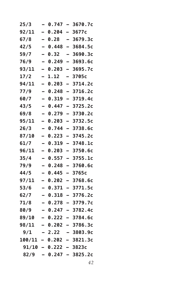| 25/3  |                          | 0.747                   |                          | 3670.7c                    |
|-------|--------------------------|-------------------------|--------------------------|----------------------------|
| 92/11 | $\overline{\phantom{0}}$ | 0.204                   | $\overline{\phantom{0}}$ | 3677c                      |
| 67/8  | $\overline{\phantom{0}}$ | 0.28                    | —                        | 3679.3c                    |
| 42/5  | -                        | 0.448                   | Ξ.                       | 3684.5c                    |
| 59/7  | $\overline{\phantom{0}}$ | 0.32                    | -                        | 3690.3c                    |
| 76/9  |                          | 0.249                   | -                        | 3693.6c                    |
| 93/11 |                          | 0.203                   | -                        | 3695.7c                    |
| 17/2  | $\overline{\phantom{0}}$ | 1.12                    | -                        | 3705с                      |
| 94/11 | $\overline{\phantom{0}}$ | 0.203                   | $\overline{\phantom{0}}$ | 3714.2c                    |
| 77/9  |                          | 0.248                   | $\overline{\phantom{0}}$ | 3716.2c                    |
| 60/7  | $\overline{\phantom{0}}$ | 0.319                   | -                        | 3719.4c                    |
| 43/5  |                          | 0.447                   | -                        | 3725.2c                    |
| 69/8  |                          | 0.279                   | $\overline{\phantom{0}}$ | 3730.2c                    |
| 95/11 | $\overline{\phantom{0}}$ | 0.203                   | $\overline{\phantom{0}}$ | 3732.5c                    |
| 26/3  | $\overline{\phantom{0}}$ | 0.744                   | -                        | 3738.6c                    |
| 87/10 | -                        | 0.223                   | $\overline{\phantom{0}}$ | 3745.2c                    |
| 61/7  | -                        | 0.319                   | -                        | 3748.1c                    |
| 96/11 |                          | 0.203                   | -                        | 3750.6c                    |
| 35/4  |                          | 0.557                   | -                        | 3755.1c                    |
| 79/9  | -                        | 0.248                   | $\overline{\phantom{0}}$ | 3760.6c                    |
| 44/5  | $\overline{\phantom{0}}$ | 0.445                   | $\overline{\phantom{0}}$ | 3765c                      |
| 97/11 |                          | 0.202                   | $\overline{\phantom{0}}$ | 3768.6c                    |
| 53/6  | $\overline{\phantom{0}}$ | 0.371                   | -                        | 3771.5c                    |
| 62/7  | $\overline{\phantom{0}}$ | 0.318                   | -                        | 3776.2c                    |
| 71/8  |                          | 0.278                   | $\overline{\phantom{0}}$ | 3779.7c                    |
| 80/9  |                          | 0.247                   | $\overline{\phantom{0}}$ | 3782.4c                    |
| 89/10 |                          | 0.222                   |                          | 3784.6c                    |
|       |                          |                         |                          | 98/11 - 0.202 - 3786.3c    |
|       |                          |                         |                          | $9/1 - 2.22 - 3803.9c$     |
|       |                          |                         |                          | $100/11 - 0.202 - 3821.3c$ |
|       |                          | $91/10 - 0.222 - 3823c$ |                          |                            |
|       |                          |                         |                          | $82/9$ - 0.247 - 3825.2c   |
|       |                          |                         |                          |                            |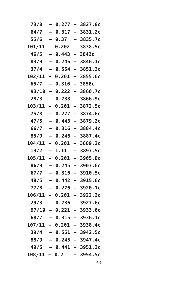| 73/8     |                          | 0.277        | $\overline{\phantom{0}}$ | 3827.8c                  |
|----------|--------------------------|--------------|--------------------------|--------------------------|
| 64/7     | $\overline{a}$           | 0.317        | $\overline{\phantom{0}}$ | 3831.2c                  |
| 55/6     | -                        | 0.37         | $\equiv$                 | 3835.7c                  |
| 101/11   | -                        | 0.202        | $\overline{\phantom{0}}$ | 3838.5c                  |
| 46/5     | $\overline{\phantom{0}}$ | 0.443        | -                        | 3842c                    |
| 83/9     | $\overline{\phantom{0}}$ | 0.246        | —                        | 3846.1c                  |
| 37/4     |                          | 0.554        | $\overline{\phantom{0}}$ | 3851.3c                  |
| 102/11   | -                        | <b>0.201</b> |                          | 3855.6c                  |
| 65/7     | $\overline{\phantom{0}}$ | 0.316        | $\equiv$                 | 3858c                    |
| 93/10    | -                        | 0.222        | $\overline{\phantom{0}}$ | 3860.7c                  |
| 28/3     | -                        | 0.738        | —                        | 3866.9c                  |
| 103/11   |                          | <b>0.201</b> | -                        | 3872.5c                  |
| 75/8     |                          | 0.277        | $\overline{a}$           | 3874.6c                  |
| 47/5     |                          | 0.443        | $\overline{\phantom{0}}$ | 3879.2c                  |
| 66/7     | $\overline{\phantom{0}}$ | 0.316        | $\overline{\phantom{0}}$ | 3884.4c                  |
| 85/9     | -                        | 0.246        | -                        | 3887.4c                  |
| 104/11   |                          | <b>0.201</b> | $\overline{\phantom{0}}$ | 3889.2c                  |
| 19/2     | -                        | 1.11         | -                        | 3897.5c                  |
| 105/11   | -                        | <b>0.201</b> |                          | 3905.8c                  |
| 86/9     | -                        | 0.245        | $\overline{\phantom{0}}$ | 3907.6c                  |
| 67/7     | $\overline{\phantom{0}}$ | 0.316        | $\overline{\phantom{0}}$ | 3910.5c                  |
| 48/5     | —                        | 0.442        | -                        | 3915.6c                  |
| 77/8     | -                        | 0.276        | -                        | 3920.1c                  |
| 106/11   | -                        | 0.201        | -                        | 3922.2c                  |
| 29/3     |                          | 0.736        |                          | 3927.6c                  |
| 97/10    |                          | 0.221        |                          | 3933.6c                  |
| 68/7     |                          | 0.315        |                          | 3936.1c                  |
|          |                          |              |                          | 107/11 - 0.201 - 3938.4c |
|          |                          |              |                          | $39/4 - 0.551 - 3942.5c$ |
|          |                          |              |                          | $88/9$ - 0.245 - 3947.4c |
| 49/5     |                          |              |                          | - 0.441 - 3951.3c        |
| 108/11 - |                          | 0.2          |                          | 3954.5c                  |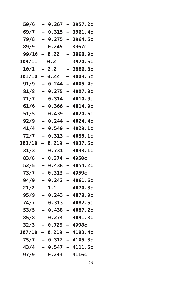| 59/6          |   | 0.367             |                          | 3957.2c                  |
|---------------|---|-------------------|--------------------------|--------------------------|
| 69/7          |   | 0.315             | $\overline{\phantom{0}}$ | 3961.4c                  |
| 79/8          |   | 0.275             | $\overline{\phantom{0}}$ | 3964.5c                  |
| 89/9          | - | 0.245             | —                        | 3967c                    |
| 99/10         | - | 0.22              | -                        | 3968.9c                  |
| 109/11        |   | 0.2               |                          | 3970.5c                  |
| 10/1          |   | 2.2               | -                        | 3986.3c                  |
| <b>101/10</b> | - | 0.22              | -                        | 4003.5c                  |
| 91/9          | - | 0.244             | $\overline{\phantom{0}}$ | 4005.4c                  |
| 81/8          |   | 0.275             | -                        | 4007.8c                  |
| 71/7          | — | 0.314             | $\overline{\phantom{0}}$ | 4010.9c                  |
| 61/6          |   | 0.366             | -                        | 4014.9c                  |
| 51/5          |   | 0.439             | $\overline{\phantom{0}}$ | 4020.6c                  |
| 92/9          |   | 0.244             | $\overline{\phantom{0}}$ | 4024.4c                  |
| 41/4          |   | 0.549             | $\overline{\phantom{0}}$ | 4029.1c                  |
| 72/7          | — | 0.313             | $\overline{\phantom{0}}$ | 4035.1c                  |
| 103/10        |   | 0.219             | -                        | 4037.5c                  |
| 31/3          |   | 0.731             |                          | 4043.1c                  |
| 83/8          |   | 0.274             | $\overline{\phantom{0}}$ | 4050с                    |
| 52/5          |   | 0.438             | $\overline{\phantom{0}}$ | 4054.2c                  |
| 73/7          |   | 0.313             | $\overline{\phantom{0}}$ | 4059с                    |
| 94/9          |   | 0.243             | -                        | 4061.6c                  |
| 21/2          | - | 1.1               | -                        | 4070.8c                  |
| 95/9          |   | 0.243             | <u>.</u>                 | 4079.9c                  |
| 74/7          |   | 0.313             | $\overline{\phantom{0}}$ | 4082.5c                  |
| 53/5          |   | 0.438             |                          | 4087.2c                  |
| 85/8          |   | 0.274             |                          | 4091.3c                  |
| 32/3          |   | $-$ 0.729 - 4098c |                          |                          |
| 107/10        |   | $-0.219$          |                          | $-4103.4c$               |
| 75/7          |   |                   |                          | <b>- 0.312 - 4105.8c</b> |
| 43/4          |   |                   |                          | $-$ 0.547 - 4111.5c      |
| 97/9          |   | $0.243 - 4116c$   |                          |                          |
|               |   |                   |                          |                          |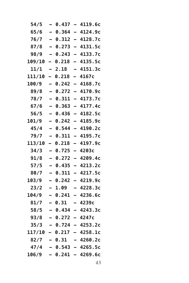| 54/5   |                          | 0.437 | $\equiv$                 | 4119.6c                    |
|--------|--------------------------|-------|--------------------------|----------------------------|
| 65/6   | $\overline{\phantom{0}}$ | 0.364 | $\equiv$                 | 4124.9c                    |
| 76/7   | $\overline{\phantom{0}}$ | 0.312 | $\overline{\phantom{0}}$ | 4128.7c                    |
| 87/8   | $\overline{\phantom{0}}$ | 0.273 | $\overline{\phantom{0}}$ | 4131.5c                    |
| 98/9   | $\overline{\phantom{0}}$ | 0.243 | $\overline{\phantom{0}}$ | 4133.7c                    |
| 109/10 | -                        | 0.218 | -                        | 4135.5c                    |
| 11/1   |                          | 2.18  |                          | 4151.3c                    |
| 111/10 | -                        | 0.218 | -                        | 4167c                      |
| 100/9  | $\overline{\phantom{0}}$ | 0.242 | $\overline{\phantom{0}}$ | 4168.7c                    |
| 89/8   |                          | 0.272 | $\overline{\phantom{0}}$ | 4170.9c                    |
| 78/7   | $\overline{\phantom{0}}$ | 0.311 | $\overline{\phantom{0}}$ | 4173.7c                    |
| 67/6   | -                        | 0.363 | $\overline{\phantom{0}}$ | 4177.4c                    |
| 56/5   |                          | 0.436 | $\overline{\phantom{0}}$ | 4182.5c                    |
| 101/9  |                          | 0.242 | $\overline{\phantom{0}}$ | 4185.9c                    |
| 45/4   | $\overline{\phantom{0}}$ | 0.544 | $\overline{\phantom{0}}$ | 4190.2c                    |
| 79/7   | $\overline{\phantom{0}}$ | 0.311 | $\overline{\phantom{0}}$ | 4195.7c                    |
| 113/10 |                          | 0.218 | -                        | 4197.9c                    |
| 34/3   | $\overline{\phantom{0}}$ | 0.725 | $\overline{ }$           | 4203c                      |
| 91/8   |                          | 0.272 | -                        | 4209.4c                    |
| $57/5$ |                          | 0.435 | $\equiv$                 | 4213.2c                    |
| 80/7   | $\overline{\phantom{0}}$ | 0.311 | $\overline{\phantom{0}}$ | 4217.5c                    |
| 103/9  |                          | 0.242 | -                        | 4219.9c                    |
| 23/2   | -                        | 1.09  | Ξ.                       | 4228.3c                    |
| 104/9  | $\overline{\phantom{0}}$ | 0.241 | -                        | 4236.6c                    |
| 81/7   |                          | 0.31  |                          | 4239c                      |
| 58/5   |                          | 0.434 | $\overline{\phantom{0}}$ | 4243.3c                    |
| 93/8   |                          | 0.272 |                          | 4247c                      |
| 35/3   |                          |       |                          | – 0.724 – 4253.2c          |
|        |                          |       |                          | $117/10 - 0.217 - 4258.1c$ |
|        |                          |       |                          | $82/7 - 0.31 - 4260.2c$    |
| 47/4   |                          |       |                          | - 0.543 - 4265.5c          |
|        |                          |       |                          | $106/9$ - 0.241 - 4269.6c  |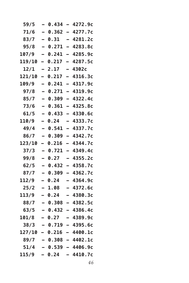| 59/5   | -                        | 0.434  | -                        | 4272.9c                    |
|--------|--------------------------|--------|--------------------------|----------------------------|
| 71/6   |                          | 0.362  | $\overline{\phantom{0}}$ | 4277.7c                    |
| 83/7   | $\overline{\phantom{0}}$ | 0.31   | $\overline{\phantom{0}}$ | 4281.2c                    |
| 95/8   | $\overline{a}$           | 0.271  | -                        | 4283.8c                    |
| 107/9  |                          | 0.241  | -                        | 4285.9c                    |
| 119/10 | -                        | 0.217  | -                        | 4287.5c                    |
| 12/1   | -                        | 2.17   | -                        | 4302с                      |
| 121/10 | L,                       | 0.217  |                          | 4316.3c                    |
| 109/9  |                          | 0.241  | $\overline{\phantom{0}}$ | 4317.9c                    |
| 97/8   | $\overline{\phantom{0}}$ | 0.271  | -                        | 4319.9c                    |
| 85/7   |                          | 0.309  | $\overline{\phantom{0}}$ | 4322.4c                    |
| 73/6   | —                        | 0.361  | -                        | 4325.8c                    |
| 61/5   | $\equiv$                 | 0.433  | -                        | 4330.6c                    |
| 110/9  |                          | 0.24   |                          | 4333.7c                    |
| 49/4   | $\overline{\phantom{0}}$ | 0.541  | $\overline{\phantom{0}}$ | 4337.7c                    |
| 86/7   | -                        | 0.309  | -                        | 4342.7c                    |
| 123/10 |                          | 0.216  | -                        | 4344.7c                    |
| 37/3   |                          | 0.721  | -                        | 4349.4c                    |
| 99/8   | -                        | 0.27   | -                        | 4355.2c                    |
| 62/5   |                          | 0.432  |                          | 4358.7c                    |
| 87/7   | $\overline{a}$           | 0.309  | $\overline{\phantom{0}}$ | 4362.7c                    |
| 112/9  | -                        | 0.24   | -                        | 4364.9c                    |
| 25/2   |                          | 1.08   |                          | 4372.6c                    |
| 113/9  |                          | 0.24   | -                        | 4380.3c                    |
| 88/7   | $\overline{\phantom{0}}$ | 0.308  | -                        | 4382.5c                    |
| 63/5   |                          | 0.432  |                          | 4386.4c                    |
| 101/8  |                          | 0.27   |                          | 4389.9c                    |
|        |                          |        |                          | $38/3 - 0.719 - 4395.6c$   |
|        |                          |        |                          | $127/10 - 0.216 - 4400.1c$ |
|        |                          |        |                          | $89/7 - 0.308 - 4402.1c$   |
|        |                          |        |                          | $51/4$ - 0.539 - 4406.9c   |
| 115/9  |                          | - 0.24 |                          | $-4410.7c$                 |
|        |                          |        |                          |                            |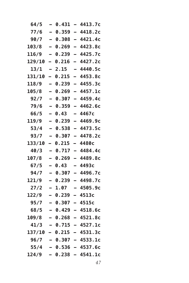| 64/5          | -                        | 0.431 | Ξ.                       | 4413.7c                    |
|---------------|--------------------------|-------|--------------------------|----------------------------|
| 77/6          | $\overline{a}$           | 0.359 | $\overline{\phantom{0}}$ | 4418.2c                    |
| 90/7          | $\overline{\phantom{0}}$ | 0.308 | $\equiv$                 | 4421.4c                    |
| 103/8         | $\overline{\phantom{0}}$ | 0.269 | $\overline{\phantom{0}}$ | 4423.8c                    |
| 116/9         | —                        | 0.239 | —                        | 4425.7c                    |
| 129/10        | —                        | 0.216 | -                        | 4427.2c                    |
| 13/1          | -                        | 2.15  | -                        | 4440.5c                    |
| 131/10        | $\overline{\phantom{0}}$ | 0.215 | $\overline{\phantom{0}}$ | 4453.8c                    |
| 118/9         | $\equiv$                 | 0.239 | $\equiv$                 | 4455.3c                    |
| 105/8         | -                        | 0.269 | $\overline{\phantom{0}}$ | 4457.1c                    |
| 92/7          | $\overline{\phantom{0}}$ | 0.307 | $\overline{\phantom{0}}$ | 4459.4c                    |
| 79/6          | -                        | 0.359 | -                        | 4462.6c                    |
| 66/5          | -                        | 0.43  | -                        | 4467c                      |
| 119/9         |                          | 0.239 | $\overline{\phantom{0}}$ | 4469.9c                    |
| 53/4          | $\overline{\phantom{0}}$ | 0.538 | $\equiv$                 | 4473.5c                    |
| 93/7          | -                        | 0.307 | $\overline{\phantom{0}}$ | 4478.2c                    |
| <b>133/10</b> |                          | 0.215 | -                        | 4480с                      |
| 40/3          | —                        | 0.717 | $\overline{\phantom{0}}$ | 4484.4c                    |
| 107/8         | $\overline{\phantom{0}}$ | 0.269 | $\overline{\phantom{0}}$ | 4489.8c                    |
| 67/5          |                          | 0.43  |                          | 4493с                      |
| 94/7          | $\overline{a}$           | 0.307 | $\overline{\phantom{0}}$ | 4496.7c                    |
| 121/9         | -                        | 0.239 | -                        | 4498.7c                    |
| 27/2          | $\overline{\phantom{0}}$ | 1.07  | -                        | 4505.9c                    |
| 122/9         |                          | 0.239 | -                        | 4513c                      |
| 95/7          | $\overline{\phantom{0}}$ | 0.307 | $\overline{\phantom{0}}$ | 4515c                      |
| 68/5          |                          | 0.429 | $\overline{\phantom{0}}$ | 4518.6c                    |
| 109/8         |                          | 0.268 |                          | 4521.8c                    |
|               |                          |       |                          | $41/3 - 0.715 - 4527.1c$   |
|               |                          |       |                          | $137/10 - 0.215 - 4531.3c$ |
|               |                          |       |                          | $96/7 - 0.307 - 4533.1c$   |
|               |                          |       |                          | $55/4$ - 0.536 - 4537.6c   |
| 124/9         |                          |       |                          | - 0.238 - 4541.1c          |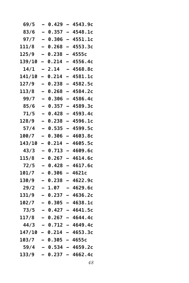| 69/5                    | -                        | 0.429 | $\overline{\phantom{0}}$ | 4543.9c                    |
|-------------------------|--------------------------|-------|--------------------------|----------------------------|
| 83/6                    |                          | 0.357 | $\overline{\phantom{0}}$ | 4548.1c                    |
| 97/7                    | $\overline{\phantom{0}}$ | 0.306 | $\equiv$                 | 4551.1c                    |
| 111/8                   | $\overline{\phantom{0}}$ | 0.268 | $\overline{\phantom{0}}$ | 4553.3c                    |
| 125/9                   | -                        | 0.238 | -                        | 4555c                      |
| 139/10                  | -                        | 0.214 | $\overline{\phantom{0}}$ | 4556.4c                    |
| 14/1                    | -                        | 2.14  | -                        | 4568.8c                    |
| 141/10                  | $\overline{\phantom{0}}$ | 0.214 | $\overline{\phantom{0}}$ | 4581.1c                    |
| 127/9                   | $\overline{\phantom{0}}$ | 0.238 | $\overline{\phantom{0}}$ | 4582.5c                    |
| 113/8                   | -                        | 0.268 | $\overline{\phantom{0}}$ | 4584.2c                    |
| 99/7                    | —                        | 0.306 | -                        | 4586.4c                    |
| 85/6                    | -                        | 0.357 | $\overline{\phantom{0}}$ | 4589.3c                    |
| 71/5                    | -                        | 0.428 | $\equiv$                 | 4593.4c                    |
| 128/9                   |                          | 0.238 | $\overline{\phantom{0}}$ | 4596.1c                    |
| 57/4                    | $\overline{\phantom{0}}$ | 0.535 | $\equiv$                 | 4599.5c                    |
| 100/7                   | -                        | 0.306 | $\overline{\phantom{0}}$ | 4603.8c                    |
| 143/10                  | -                        | 0.214 | -                        | 4605.5c                    |
| 43/3                    | -                        | 0.713 | $\overline{a}$           | 4609.6c                    |
| 115/8                   | $\overline{\phantom{0}}$ | 0.267 | $\equiv$                 | 4614.6c                    |
| 72/5                    |                          | 0.428 | $\overline{\phantom{0}}$ | 4617.6c                    |
| 101/7                   | $\equiv$                 | 0.306 | $\overline{\phantom{0}}$ | 4621c                      |
| 130/9                   | -                        | 0.238 | -                        | 4622.9c                    |
| 29/2                    |                          | 1.07  | -                        | 4629.6c                    |
| 131/9                   |                          | 0.237 | -                        | 4636.2c                    |
| 102/7                   | -                        | 0.305 | Ξ.                       | 4638.1c                    |
| 73/5                    |                          | 0.427 |                          | 4641.5c                    |
| 117/8                   |                          | 0.267 |                          | 4644.4c                    |
|                         |                          |       |                          | $44/3 - 0.712 - 4649.4c$   |
|                         |                          |       |                          | $147/10 - 0.214 - 4653.3c$ |
| $103/7 - 0.305 - 4655c$ |                          |       |                          |                            |
|                         |                          |       |                          | $59/4$ - 0.534 - 4659.2c   |
| 133/9                   |                          |       |                          | $-$ 0.237 - 4662.4c        |
|                         |                          |       |                          |                            |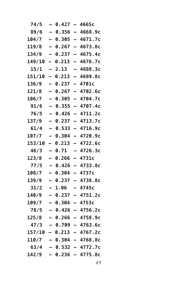| 74/5   | -                        | 0.427 | $\equiv$                 | 4665с                      |
|--------|--------------------------|-------|--------------------------|----------------------------|
| 89/6   | $\overline{\phantom{0}}$ | 0.356 | $\equiv$                 | 4668.9c                    |
| 104/7  | $\overline{\phantom{0}}$ | 0.305 | $\equiv$                 | 4671.7c                    |
| 119/8  | $\overline{\phantom{0}}$ | 0.267 | $\overline{\phantom{0}}$ | 4673.8c                    |
| 134/9  | —                        | 0.237 | -                        | 4675.4c                    |
| 149/10 | -                        | 0.213 | -                        | 4676.7c                    |
| 15/1   | -                        | 2.13  | -                        | 4688.3c                    |
| 151/10 | $\overline{\phantom{0}}$ | 0.213 | $\overline{\phantom{0}}$ | 4699.8c                    |
| 136/9  | -                        | 0.237 | $\equiv$                 | 4701c                      |
| 121/8  | -                        | 0.267 | $\overline{\phantom{0}}$ | 4702.6c                    |
| 106/7  | -                        | 0.305 | $\overline{\phantom{0}}$ | 4704.7c                    |
| 91/6   | $\overline{\phantom{0}}$ | 0.355 | $\overline{\phantom{0}}$ | 4707.4c                    |
| 76/5   | -                        | 0.426 | $\overline{\phantom{0}}$ | 4711.2c                    |
| 137/9  |                          | 0.237 | $\equiv$                 | 4713.7c                    |
| 61/4   | $\overline{\phantom{0}}$ | 0.533 | $\equiv$                 | 4716.9c                    |
| 107/7  | -                        | 0.304 | $\overline{\phantom{0}}$ | 4720.9с                    |
| 153/10 | -                        | 0.213 | -                        | 4722.6c                    |
| 46/3   | $\equiv$                 | 0.71  | -                        | 4726.3c                    |
| 123/8  | $\equiv$                 | 0.266 | -                        | 4731c                      |
| 77/5   |                          | 0.426 | $\overline{\phantom{0}}$ | 4733.8c                    |
| 108/7  | -                        | 0.304 | $\equiv$                 | 4737c                      |
| 139/9  | -                        | 0.237 | $\overline{\phantom{0}}$ | 4738.8c                    |
| 31/2   | —                        | 1.06  | -                        | 4745c                      |
| 140/9  |                          | 0.237 | $\overline{\phantom{0}}$ | 4751.2c                    |
| 109/7  | -                        | 0.304 | $\overline{\phantom{0}}$ | 4753c                      |
| 78/5   |                          | 0.426 | L,                       | 4756.2c                    |
| 125/8  |                          | 0.266 |                          | 4758.9c                    |
| 47/3   |                          |       |                          | $-$ 0.709 $-$ 4763.6c      |
|        |                          |       |                          | $157/10 - 0.213 - 4767.2c$ |
| 110/7  |                          |       |                          | $-0.304 - 4768.8c$         |
| 63/4   |                          |       |                          | – 0.532 – 4772.7c          |
| 142/9  |                          |       |                          | – 0.236 – 4775.8c          |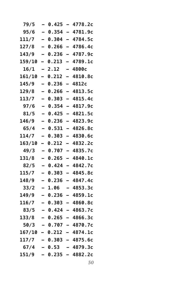| 79/5             |                          | 0.425  | $\overline{\phantom{0}}$ | 4778.2c               |
|------------------|--------------------------|--------|--------------------------|-----------------------|
| 95/6             | $\overline{a}$           | 0.354  | $\overline{\phantom{0}}$ | 4781.9c               |
| 111/7            | $\overline{\phantom{0}}$ | 0.304  | $\equiv$                 | 4784.5c               |
| 127/8            | $\equiv$                 | 0.266  | $\overline{\phantom{0}}$ | 4786.4c               |
| 143/9            | -                        | 0.236  | -                        | 4787.9c               |
| 159/10           | -                        | 0.213  | -                        | 4789.1c               |
| 16/1             |                          | 2.12   |                          | 4800с                 |
| 161/10           |                          | 0.212  |                          | 4810.8c               |
| 145/9            | $\overline{\phantom{0}}$ | 0.236  | $\overline{\phantom{0}}$ | 4812c                 |
| 129/8            |                          | 0.266  | $\overline{\phantom{0}}$ | 4813.5c               |
| 113/7            | -                        | 0.303  | $\overline{\phantom{0}}$ | 4815.4c               |
| 97/6             | $\overline{\phantom{0}}$ | 0.354  | $\overline{\phantom{0}}$ | 4817.9c               |
| 81/5             |                          | 0.425  | $\overline{a}$           | 4821.5c               |
| 146/9            |                          | 0.236  | -                        | 4823.9c               |
| 65/4             | $\overline{\phantom{0}}$ | 0.531  | -                        | 4826.8c               |
| 114/7            | -                        | 0.303  | $\overline{\phantom{0}}$ | 4830.6c               |
| 163/10           |                          | 0.212  | -                        | 4832.2c               |
| 49/3             | -                        | 0.707  | $\overline{\phantom{0}}$ | 4835.7c               |
| 131/8            |                          | 0.265  | $\overline{\phantom{0}}$ | 4840.1c               |
| 82/5             |                          | 0.424  | $\overline{\phantom{0}}$ | 4842.7c               |
| 115/7            | $\overline{\phantom{0}}$ | 0.303  | $\overline{\phantom{0}}$ | 4845.8c               |
| 148/9            |                          | 0.236  | -                        | 4847.4c               |
| 33/2             | -                        | 1.06   | -                        | 4853.3c               |
| 149/9            | $\equiv$                 | 0.236  | -                        | 4859.1c               |
| 116/7            |                          | 0.303  |                          | 4860.8c               |
| 83/5             |                          | 0.424  |                          | 4863.7c               |
| 133/8            |                          | 0.265  |                          | 4866.3c               |
| 50/3             |                          |        |                          | — 0.707 — 4870.7с     |
| $167/10 - 0.212$ |                          |        |                          | - 4874.1c             |
| 117/7            |                          |        |                          | $-$ 0.303 $-$ 4875.6c |
| 67/4             |                          | - 0.53 |                          | - 4879.3c             |
| 151/9            |                          | 0.235  | $\blacksquare$           | 4882.2c               |
|                  |                          |        |                          |                       |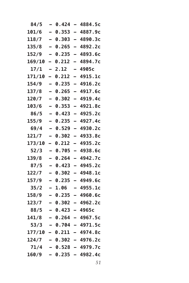| 84/5   | -                        | 0.424 | -                        | 4884.5c                    |
|--------|--------------------------|-------|--------------------------|----------------------------|
| 101/6  | $\overline{\phantom{0}}$ | 0.353 | $\overline{\phantom{0}}$ | 4887.9c                    |
| 118/7  | $\equiv$                 | 0.303 | $\overline{\phantom{0}}$ | 4890.3c                    |
| 135/8  | $\overline{\phantom{0}}$ | 0.265 | $\overline{\phantom{0}}$ | 4892.2c                    |
| 152/9  | —                        | 0.235 | —                        | 4893.6c                    |
| 169/10 | -                        | 0.212 | -                        | 4894.7c                    |
| 17/1   | -                        | 2.12  | -                        | 4905с                      |
| 171/10 | -                        | 0.212 | ▃                        | 4915.1c                    |
| 154/9  | $\equiv$                 | 0.235 | $\overline{\phantom{0}}$ | 4916.2c                    |
| 137/8  | -                        | 0.265 | $\overline{\phantom{0}}$ | 4917.6c                    |
| 120/7  | —                        | 0.302 | $\overline{\phantom{0}}$ | 4919.4c                    |
| 103/6  | —                        | 0.353 | $\overline{\phantom{0}}$ | 4921.8c                    |
| 86/5   | -                        | 0.423 | $\overline{\phantom{0}}$ | 4925.2c                    |
| 155/9  |                          | 0.235 | $\overline{\phantom{0}}$ | 4927.4c                    |
| 69/4   | $\overline{\phantom{0}}$ | 0.529 | $\overline{\phantom{0}}$ | 4930.2c                    |
| 121/7  | -                        | 0.302 | $\overline{\phantom{0}}$ | 4933.8c                    |
| 173/10 | -                        | 0.212 | —                        | 4935.2c                    |
| 52/3   | -                        | 0.705 | $\overline{\phantom{0}}$ | 4938.6c                    |
| 139/8  | $\overline{\phantom{0}}$ | 0.264 | -                        | 4942.7c                    |
| 87/5   |                          | 0.423 | -                        | 4945.2c                    |
| 122/7  | $\equiv$                 | 0.302 | $\overline{\phantom{0}}$ | 4948.1c                    |
| 157/9  | -                        | 0.235 | $\overline{\phantom{0}}$ | 4949.6c                    |
| 35/2   | -                        | 1.06  | -                        | 4955.1c                    |
| 158/9  |                          | 0.235 | -                        | 4960.6c                    |
| 123/7  | -                        | 0.302 | -                        | 4962.2c                    |
| 88/5   |                          | 0.423 |                          | 4965c                      |
| 141/8  |                          | 0.264 |                          | 4967.5c                    |
|        |                          |       |                          | $53/3 - 0.704 - 4971.5c$   |
|        |                          |       |                          | $177/10 - 0.211 - 4974.8c$ |
|        |                          |       |                          | $124/7 - 0.302 - 4976.2c$  |
|        |                          |       |                          | $71/4 - 0.528 - 4979.7c$   |
| 160/9  |                          |       |                          | $-$ 0.235 $-$ 4982.4c      |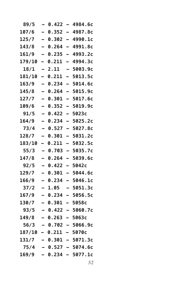| 89/5                     |                          | 0.422 | $\overline{\phantom{0}}$ | 4984.6c                   |
|--------------------------|--------------------------|-------|--------------------------|---------------------------|
| 107/6                    | $\overline{\phantom{0}}$ | 0.352 | $\overline{\phantom{0}}$ | 4987.8c                   |
| 125/7                    | $\overline{\phantom{0}}$ | 0.302 | $\overline{\phantom{0}}$ | 4990.1c                   |
| 143/8                    | $\overline{\phantom{0}}$ | 0.264 | $\equiv$                 | 4991.8c                   |
| 161/9                    | -                        | 0.235 | $\overline{\phantom{0}}$ | 4993.2c                   |
| 179/10                   | -                        | 0.211 | -                        | 4994.3c                   |
| 18/1                     |                          | 2.11  |                          | 5003.9c                   |
| 181/10                   | -                        | 0.211 | -                        | 5013.5c                   |
| 163/9                    | —                        | 0.234 | $\overline{\phantom{0}}$ | 5014.6c                   |
| 145/8                    |                          | 0.264 | $\overline{\phantom{0}}$ | 5015.9c                   |
| 127/7                    | -                        | 0.301 | -                        | 5017.6c                   |
| 109/6                    |                          | 0.352 | -                        | 5019.9c                   |
| 91/5                     |                          | 0.422 | -                        | 5023c                     |
| 164/9                    | $\overline{\phantom{0}}$ | 0.234 | $\overline{\phantom{0}}$ | 5025.2c                   |
| 73/4                     | $\overline{\phantom{0}}$ | 0.527 | $\overline{\phantom{0}}$ | 5027.8c                   |
| 128/7                    | -                        | 0.301 | $\overline{\phantom{0}}$ | 5031.2c                   |
| 183/10                   | -                        | 0.211 | -                        | 5032.5c                   |
| 55/3                     | -                        | 0.703 | -                        | 5035.7c                   |
| 147/8                    |                          | 0.264 | $\equiv$                 | 5039.6c                   |
| 92/5                     | -                        | 0.422 | $\overline{\phantom{0}}$ | 5042c                     |
| 129/7                    | -                        | 0.301 | $\overline{\phantom{0}}$ | 5044.6c                   |
| 166/9                    | $\equiv$                 | 0.234 | $\overline{\phantom{0}}$ | 5046.1c                   |
| 37/2                     | -                        | 1.05  | -                        | 5051.3c                   |
| 167/9                    |                          | 0.234 | -                        | 5056.5c                   |
| 130/7                    |                          | 0.301 | Ξ,                       | 5058c                     |
| 93/5                     |                          | 0.422 | $\overline{\phantom{0}}$ | 5060.7c                   |
| 149/8                    |                          | 0.263 |                          | 5063c                     |
|                          |                          |       |                          | $56/3 - 0.702 - 5066.9c$  |
| $187/10 - 0.211 - 5070c$ |                          |       |                          |                           |
|                          |                          |       |                          | $131/7 - 0.301 - 5071.3c$ |
|                          |                          |       |                          | $75/4 - 0.527 - 5074.6c$  |
| 169/9                    |                          |       |                          | - 0.234 - 5077.1c         |
|                          |                          |       |                          |                           |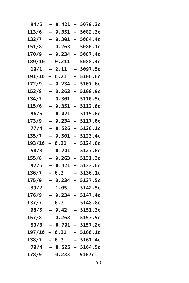| 94/5                    |                          | 0.421 |                          | 5079.2c                   |
|-------------------------|--------------------------|-------|--------------------------|---------------------------|
| 113/6                   | $\overline{\phantom{0}}$ | 0.351 | $\overline{\phantom{0}}$ | 5082.3c                   |
| 132/7                   | $\overline{\phantom{0}}$ | 0.301 | $\overline{\phantom{0}}$ | 5084.4c                   |
| 151/8                   | $\overline{\phantom{0}}$ | 0.263 | $\overline{\phantom{0}}$ | 5086.1c                   |
| 170/9                   | $\overline{\phantom{0}}$ | 0.234 | -                        | 5087.4c                   |
| 189/10                  | -                        | 0.211 | -                        | 5088.4c                   |
| 19/1                    |                          | 2.11  |                          | 5097.5c                   |
| 191/10                  | $\overline{\phantom{0}}$ | 0.21  | -                        | 5106.6c                   |
| 172/9                   | $\overline{\phantom{0}}$ | 0.234 | $\overline{\phantom{0}}$ | 5107.6c                   |
| 153/8                   | $\overline{\phantom{0}}$ | 0.263 | $\overline{\phantom{0}}$ | 5108.9c                   |
| 134/7                   | -                        | 0.301 | $\overline{\phantom{0}}$ | 5110.5c                   |
| 115/6                   | $\overline{\phantom{0}}$ | 0.351 | -                        | 5112.6c                   |
| 96/5                    | $\overline{\phantom{0}}$ | 0.421 | $\equiv$                 | 5115.6c                   |
| 173/9                   | $\overline{\phantom{0}}$ | 0.234 | -                        | 5117.6c                   |
| 77/4                    | $\overline{a}$           | 0.526 | $\overline{\phantom{0}}$ | 5120.1c                   |
| 135/7                   | $\overline{\phantom{0}}$ | 0.301 | -                        | 5123.4c                   |
| 193/10                  | -                        | 0.21  | -                        | 5124.6c                   |
| 58/3                    | -                        | 0.701 | -                        | 5127.6c                   |
| 155/8                   |                          | 0.263 | $\equiv$                 | 5131.3c                   |
| 97/5                    | $\overline{a}$           | 0.421 | $\overline{\phantom{0}}$ | 5133.6c                   |
| 136/7                   | $\overline{\phantom{0}}$ | 0.3   | $\overline{\phantom{0}}$ | 5136.1c                   |
| 175/9                   | $\overline{\phantom{0}}$ | 0.234 | -                        | 5137.5c                   |
| 39/2                    | $\overline{\phantom{0}}$ | 1.05  | -                        | 5142.5c                   |
| 176/9                   | $\overline{\phantom{0}}$ | 0.234 |                          | 5147.4c                   |
| 137/7                   |                          | 0.3   |                          | 5148.8c                   |
| 98/5                    |                          | 0.42  | $\overline{\phantom{0}}$ | 5151.3c                   |
| 157/8                   |                          | 0.263 |                          | 5153.5c                   |
|                         |                          |       |                          | $59/3 - 0.701 - 5157.2c$  |
|                         |                          |       |                          | $197/10 - 0.21 - 5160.1c$ |
| $138/7 - 0.3$           |                          |       |                          | $-5161.4c$                |
|                         |                          |       |                          | $79/4$ - 0.525 - 5164.5c  |
| $178/9$ - 0.233 - 5167c |                          |       |                          |                           |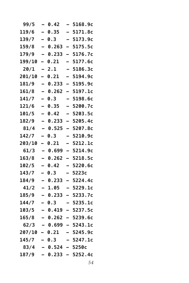| 99/5            | -                        | 0.42           | -                        | 5168.9c             |
|-----------------|--------------------------|----------------|--------------------------|---------------------|
| 119/6           | $\overline{\phantom{0}}$ | 0.35           |                          | 5171.8c             |
| 139/7           | $\overline{\phantom{0}}$ | 0.3            | $\overline{\phantom{0}}$ | 5173.9c             |
| 159/8           | $\overline{\phantom{0}}$ | 0.263          | -                        | 5175.5c             |
| 179/9           | —                        | 0.233          | -                        | 5176.7c             |
| 199/10          | -                        | 0.21           | -                        | 5177.6c             |
| 20/1            | -                        | 2.1            | -                        | 5186.3c             |
| 201/10          | -                        | 0.21           |                          | 5194.9c             |
| 181/9           | $\overline{\phantom{0}}$ | 0.233          | -                        | 5195.9c             |
| 161/8           | $\overline{\phantom{0}}$ | 0.262          | -                        | 5197.1c             |
| 141/7           | —                        | 0.3            | -                        | 5198.6c             |
| 121/6           | —                        | 0.35           | -                        | 5200.7c             |
| 101/5           | -                        | 0.42           | -                        | 5203.5c             |
| 182/9           |                          | 0.233          |                          | 5205.4c             |
| 81/4            | $\overline{\phantom{0}}$ | 0.525          | $\overline{\phantom{0}}$ | 5207.8c             |
| 142/7           | -                        | 0.3            | -                        | 5210.9c             |
| 203/10          | —                        | 0.21           |                          | 5212.1c             |
| 61/3            | -                        | 0.699          | -                        | 5214.9c             |
| 163/8           | -                        | 0.262          | -                        | 5218.5c             |
| 102/5           |                          | 0.42           |                          | 5220.6c             |
| 143/7           | $\equiv$                 | 0.3            | —                        | 5223c               |
| 184/9           | $\overline{\phantom{0}}$ | 0.233          | -                        | 5224.4c             |
| 41/2            | -                        | 1.05           |                          | 5229.1c             |
| 185/9           |                          | 0.233          | -                        | 5233.7c             |
| 144/7           | -                        | 0.3            | -                        | 5235.1c             |
| 103/5           |                          | 0.419          |                          | 5237.5c             |
| 165/8           |                          | 0.262          |                          | 5239.6c             |
| 62/3            |                          |                |                          | $-$ 0.699 - 5243.1c |
| $207/10 - 0.21$ |                          |                |                          | - 5245.9c           |
| $145/7 - 0.3$   |                          |                |                          | - 5247.1c           |
|                 |                          | $83/4 - 0.524$ |                          | $-5250c$            |
| 187/9           |                          |                |                          | $-$ 0.233 - 5252.4c |
|                 |                          |                |                          |                     |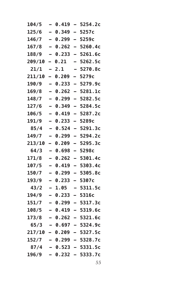| 104/5  | -                        | 0.419 | $\overline{\phantom{0}}$ | 5254.2c                    |
|--------|--------------------------|-------|--------------------------|----------------------------|
| 125/6  | $\overline{\phantom{0}}$ | 0.349 | $\overline{\phantom{0}}$ | 5257c                      |
| 146/7  | $\equiv$                 | 0.299 | $\equiv$                 | 5259c                      |
| 167/8  | $\overline{\phantom{0}}$ | 0.262 | $\overline{\phantom{0}}$ | 5260.4c                    |
| 188/9  | $\overline{\phantom{0}}$ | 0.233 | -                        | 5261.6c                    |
| 209/10 | $\overline{\phantom{0}}$ | 0.21  | $\equiv$                 | 5262.5c                    |
| 21/1   | -                        | 2.1   | -                        | 5270.8c                    |
| 211/10 | -                        | 0.209 | $\overline{\phantom{0}}$ | 5279c                      |
| 190/9  | $\overline{\phantom{0}}$ | 0.233 | $\overline{\phantom{0}}$ | 5279.9c                    |
| 169/8  | $\overline{\phantom{0}}$ | 0.262 | $\overline{\phantom{0}}$ | 5281.1c                    |
| 148/7  | $\overline{\phantom{0}}$ | 0.299 | $\overline{\phantom{0}}$ | 5282.5c                    |
| 127/6  | $\overline{\phantom{0}}$ | 0.349 | $\overline{\phantom{0}}$ | 5284.5c                    |
| 106/5  | -                        | 0.419 | $\overline{\phantom{0}}$ | 5287.2c                    |
| 191/9  | $\equiv$                 | 0.233 |                          | 5289c                      |
| 85/4   | $\overline{\phantom{0}}$ | 0.524 | $\overline{\phantom{0}}$ | 5291.3c                    |
| 149/7  | -                        | 0.299 | $\overline{\phantom{0}}$ | 5294.2c                    |
| 213/10 | -                        | 0.209 | -                        | 5295.3c                    |
| 64/3   | $\overline{\phantom{0}}$ | 0.698 | $\overline{\phantom{0}}$ | 5298c                      |
| 171/8  | $\overline{\phantom{0}}$ | 0.262 | -                        | 5301.4c                    |
| 107/5  |                          | 0.419 | $\equiv$                 | 5303.4c                    |
| 150/7  | $\overline{\phantom{0}}$ | 0.299 | $\overline{\phantom{0}}$ | 5305.8c                    |
| 193/9  | $\overline{\phantom{0}}$ | 0.233 | $\overline{\phantom{0}}$ | 5307c                      |
| 43/2   | —                        | 1.05  | -                        | 5311.5c                    |
| 194/9  | $\overline{\phantom{0}}$ | 0.233 | -                        | 5316c                      |
| 151/7  | -                        | 0.299 |                          | - 5317.3c                  |
| 108/5  |                          | 0.419 |                          | 5319.6c                    |
| 173/8  |                          | 0.262 |                          | 5321.6c                    |
|        |                          |       |                          | $65/3 - 0.697 - 5324.9c$   |
|        |                          |       |                          | $217/10 - 0.209 - 5327.5c$ |
| 152/7  |                          |       |                          | $-$ 0.299 $-$ 5328.7c      |
|        |                          |       |                          | $87/4$ - 0.523 - 5331.5c   |
| 196/9  |                          |       |                          | $-$ 0.232 $-$ 5333.7c      |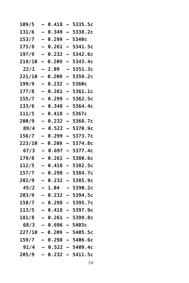| 109/5           |                          | 0.418   |                          | 5335.5c    |
|-----------------|--------------------------|---------|--------------------------|------------|
| 131/6           | $\equiv$                 | 0.349   | $\overline{\phantom{0}}$ | 5338.2c    |
| 153/7           | $\overline{\phantom{0}}$ | 0.299   | $\overline{\phantom{0}}$ | 5340с      |
| 175/8           | -                        | 0.261   | $\overline{\phantom{0}}$ | 5341.5c    |
| 197/9           | -                        | 0.232   | -                        | 5342.6c    |
| 219/10          | -                        | 0.209   | -                        | 5343.4c    |
| 22/1            |                          | 2.09    |                          | 5351.3c    |
| 221/10          | -                        | 0.209   | -                        | 5359.2c    |
| 199/9           | $\overline{\phantom{0}}$ | 0.232   | $\overline{\phantom{0}}$ | 5360с      |
| 177/8           |                          | 0.261   | $\overline{\phantom{0}}$ | 5361.1c    |
| 155/7           | —                        | 0.299   | -                        | 5362.5c    |
| 133/6           | $\overline{\phantom{0}}$ | 0.348   | $\overline{\phantom{0}}$ | 5364.4c    |
| 111/5           |                          | 0.418   | -                        | 5367c      |
| 200/9           | $\overline{\phantom{0}}$ | 0.232   | -                        | 5368.7c    |
| 89/4            | $\overline{\phantom{0}}$ | 0.522   | $\overline{\phantom{0}}$ | 5370.9c    |
| 156/7           | —                        | 0.299   | $\overline{\phantom{0}}$ | 5373.7c    |
| 223/10          | -                        | 0.209   | -                        | 5374.8c    |
| 67/3            | -                        | 0.697   | $\overline{\phantom{0}}$ | 5377.4c    |
| 179/8           |                          | 0.261   | $\overline{\phantom{0}}$ | 5380.6c    |
| 112/5           | -                        | 0.418   | $\overline{\phantom{0}}$ | 5382.5c    |
| 157/7           | $\overline{\phantom{0}}$ | 0.298   | $\overline{\phantom{0}}$ | 5384.7c    |
| 202/9           |                          | 0.232   | $\overline{\phantom{0}}$ | 5385.9c    |
| 45/2            | -                        | 1.04    | -                        | 5390.2c    |
| 203/9           | $\overline{\phantom{0}}$ | 0.232   | -                        | 5394.5c    |
| 158/7           |                          | 0.298   |                          | 5395.7c    |
| 113/5           |                          | 0.418   | $\overline{\phantom{0}}$ | 5397.9c    |
| 181/8           |                          | 0.261   |                          | 5399.8c    |
| 68/3            |                          | - 0.696 |                          | - 5403с    |
| 227/10 - 0.209  |                          |         |                          | $-5405.5c$ |
| $159/7 - 0.298$ |                          |         |                          | — 5406.6с  |
| 91/4            |                          | - 0.522 |                          | — 5409.4с  |
| 205/9           | $\overline{\phantom{0}}$ | 0.232   |                          | - 5411.5c  |
|                 |                          |         |                          |            |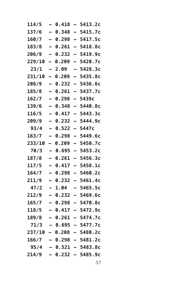| 114/5  |                          | 0.418 |                          | 5413.2c                    |
|--------|--------------------------|-------|--------------------------|----------------------------|
| 137/6  | $\overline{\phantom{0}}$ | 0.348 | $\overline{\phantom{0}}$ | 5415.7c                    |
| 160/7  |                          | 0.298 | $\overline{\phantom{0}}$ | 5417.5c                    |
| 183/8  | $\overline{\phantom{0}}$ | 0.261 | $\overline{\phantom{0}}$ | 5418.8c                    |
| 206/9  | -                        | 0.232 | $\overline{ }$           | 5419.9c                    |
| 229/10 | -                        | 0.209 | -                        | 5420.7c                    |
| 23/1   |                          | 2.09  |                          | 5428.3c                    |
| 231/10 | -                        | 0.209 | -                        | 5435.8c                    |
| 208/9  | $\overline{\phantom{0}}$ | 0.232 | $\overline{\phantom{0}}$ | 5436.6c                    |
| 185/8  |                          | 0.261 | -                        | 5437.7c                    |
| 162/7  | -                        | 0.298 | -                        | 5439c                      |
| 139/6  |                          | 0.348 | $\overline{\phantom{0}}$ | 5440.8c                    |
| 116/5  |                          | 0.417 |                          | 5443.3c                    |
| 209/9  | $\overline{\phantom{0}}$ | 0.232 | $\overline{\phantom{0}}$ | 5444.9c                    |
| 93/4   |                          | 0.522 | $\overline{ }$           | 5447c                      |
| 163/7  |                          | 0.298 | $\overline{\phantom{0}}$ | 5449.6c                    |
| 233/10 | -                        | 0.209 | -                        | 5450.7c                    |
| 70/3   | -                        | 0.695 | -                        | 5453.2c                    |
| 187/8  |                          | 0.261 |                          | 5456.3c                    |
| 117/5  | -                        | 0.417 | -                        | 5458.1c                    |
| 164/7  | $\overline{\phantom{0}}$ | 0.298 | —                        | 5460.2c                    |
| 211/9  |                          | 0.232 | -                        | 5461.4c                    |
| 47/2   | $\overline{\phantom{0}}$ | 1.04  | -                        | 5465.5c                    |
| 212/9  |                          | 0.232 |                          | 5469.6c                    |
| 165/7  |                          | 0.298 |                          | 5470.8c                    |
| 118/5  |                          | 0.417 | $\equiv$                 | 5472.9c                    |
| 189/8  |                          | 0.261 |                          | 5474.7c                    |
|        |                          |       |                          | $71/3 - 0.695 - 5477.7c$   |
|        |                          |       |                          | $237/10 - 0.208 - 5480.2c$ |
|        |                          |       |                          | $166/7 - 0.298 - 5481.2c$  |
| 95/4   |                          |       |                          | $-$ 0.521 - 5483.8c        |
| 214/9  |                          |       |                          | $-$ 0.232 - 5485.9c        |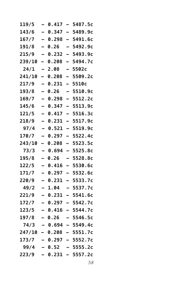| 119/5  | -                        | 0.417  | $\overline{\phantom{0}}$ | 5487.5c                    |
|--------|--------------------------|--------|--------------------------|----------------------------|
| 143/6  | $\overline{\phantom{0}}$ | 0.347  |                          | 5489.9с                    |
| 167/7  | $\equiv$                 | 0.298  | $\equiv$                 | 5491.6c                    |
| 191/8  | -                        | 0.26   | -                        | 5492.9c                    |
| 215/9  | —                        | 0.232  | -                        | 5493.9c                    |
| 239/10 | -                        | 0.208  | $\overline{\phantom{0}}$ | 5494.7c                    |
| 24/1   | -                        | 2.08   | -                        | 5502с                      |
| 241/10 | $\overline{\phantom{0}}$ | 0.208  |                          | 5509.2c                    |
| 217/9  | $\overline{\phantom{0}}$ | 0.231  | -                        | <b>5510c</b>               |
| 193/8  | -                        | 0.26   | -                        | 5510.9c                    |
| 169/7  | -                        | 0.298  | -                        | 5512.2c                    |
| 145/6  |                          | 0.347  | -                        | 5513.9c                    |
| 121/5  | -                        | 0.417  | $\overline{ }$           | 5516.3c                    |
| 218/9  |                          | 0.231  | $\overline{\phantom{0}}$ | 5517.9c                    |
| 97/4   | $\overline{\phantom{0}}$ | 0.521  | $\overline{\phantom{0}}$ | 5519.9c                    |
| 170/7  | -                        | 0.297  | $\overline{\phantom{0}}$ | 5522.4c                    |
| 243/10 | -                        | 0.208  | -                        | 5523.5c                    |
| 73/3   | -                        | 0.694  | -                        | 5525.8c                    |
| 195/8  | -                        | 0.26   | -                        | 5528.8c                    |
| 122/5  |                          | 0.416  |                          | 5530.6c                    |
| 171/7  | $\equiv$                 | 0.297  | $\overline{\phantom{0}}$ | 5532.6c                    |
| 220/9  | -                        | 0.231  | -                        | 5533.7c                    |
| 49/2   | -                        | 1.04   |                          | 5537.7c                    |
| 221/9  |                          | 0.231  | -                        | 5541.6c                    |
| 172/7  | -                        | 0.297  | -                        | 5542.7c                    |
| 123/5  |                          | 0.416  |                          | 5544.7c                    |
| 197/8  |                          | 0.26   |                          | 5546.5c                    |
| 74/3   |                          |        |                          | $-$ 0.694 - 5549.4c        |
|        |                          |        |                          | $247/10 - 0.208 - 5551.7c$ |
| 173/7  |                          |        |                          | $-$ 0.297 - 5552.7c        |
| 99/4   |                          | - 0.52 |                          | $-5555.2c$                 |
| 223/9  |                          | 0.231  |                          | – 5557.2c                  |
|        |                          |        |                          |                            |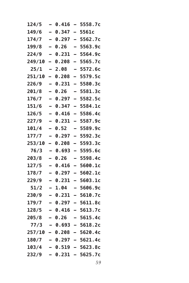| 124/5            |                          | 0.416   |                          | 5558.7c                  |
|------------------|--------------------------|---------|--------------------------|--------------------------|
| 149/6            | $\equiv$                 | 0.347   |                          | 5561c                    |
| 174/7            | $\overline{\phantom{0}}$ | 0.297   | $\equiv$                 | 5562.7c                  |
| 199/8            | $\overline{\phantom{0}}$ | 0.26    |                          | 5563.9c                  |
| 224/9            | $\overline{\phantom{0}}$ | 0.231   | -                        | 5564.9c                  |
| 249/10           | -                        | 0.208   | -                        | 5565.7c                  |
| 25/1             |                          | 2.08    |                          | 5572.6c                  |
| 251/10           | -                        | 0.208   |                          | 5579.5c                  |
| 226/9            | $\overline{\phantom{0}}$ | 0.231   | $\overline{ }$           | 5580.3c                  |
| 201/8            | $\overline{\phantom{0}}$ | 0.26    |                          | 5581.3c                  |
| 176/7            |                          | 0.297   | $\overline{\phantom{0}}$ | 5582.5c                  |
| 151/6            | $\overline{\phantom{0}}$ | 0.347   | $\overline{\phantom{0}}$ | 5584.1c                  |
| 126/5            |                          | 0.416   |                          | 5586.4c                  |
| 227/9            | $\overline{\phantom{0}}$ | 0.231   | $\overline{ }$           | 5587.9c                  |
| 101/4            | $\overline{\phantom{0}}$ | 0.52    |                          | 5589.9c                  |
| 177/7            | —                        | 0.297   | $\equiv$                 | 5592.3c                  |
| 253/10           | -                        | 0.208   | -                        | 5593.3c                  |
| 76/3             | -                        | 0.693   | -                        | 5595.6c                  |
| 203/8            | $\overline{\phantom{0}}$ | 0.26    |                          | 5598.4c                  |
| 127/5            |                          | 0.416   |                          | 5600.1c                  |
| 178/7            | $\overline{\phantom{0}}$ | 0.297   | $\overline{\phantom{0}}$ | 5602.1c                  |
| 229/9            | $\overline{\phantom{0}}$ | 0.231   | $\overline{\phantom{0}}$ | 5603.1c                  |
| 51/2             | $\overline{\phantom{0}}$ | 1.04    | -                        | 5606.9c                  |
| 230/9            | $\overline{\phantom{0}}$ | 0.231   | -                        | 5610.7c                  |
| 179/7            |                          | 0.297   |                          | 5611.8c                  |
| 128/5            |                          | 0.416   |                          | 5613.7c                  |
| 205/8            |                          | 0.26    |                          | 5615.4c                  |
| 77/3             |                          | - 0.693 |                          | $-5618.2c$               |
| $257/10 - 0.208$ |                          |         |                          | $-5620.4c$               |
| 180/7            |                          |         |                          | $-$ 0.297 - 5621.4c      |
| 103/4            |                          |         |                          | <b>- 0.519 – 5623.8c</b> |
| 232/9            |                          |         |                          | - 0.231 - 5625.7c        |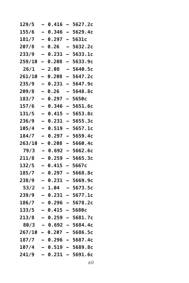| 129/5  |                          | 0.416   | $\overline{\phantom{0}}$ | 5627.2c           |
|--------|--------------------------|---------|--------------------------|-------------------|
| 155/6  | $\overline{\phantom{0}}$ | 0.346   | $\overline{\phantom{0}}$ | 5629.4c           |
| 181/7  | $\overline{\phantom{0}}$ | 0.297   | $\overline{\phantom{0}}$ | 5631c             |
| 207/8  | —                        | 0.26    | $\overline{\phantom{0}}$ | 5632.2c           |
| 233/9  | -                        | 0.231   | -                        | 5633.1c           |
| 259/10 | Ξ,                       | 0.208   |                          | 5633.9c           |
| 26/1   |                          | 2.08    | $\overline{\phantom{0}}$ | 5640.5c           |
| 261/10 | -                        | 0.208   | -                        | 5647.2c           |
| 235/9  | —                        | 0.231   | $\overline{\phantom{0}}$ | 5647.9c           |
| 209/8  |                          | 0.26    |                          | 5648.8c           |
| 183/7  | -                        | 0.297   | -                        | 5650c             |
| 157/6  |                          | 0.346   | $\overline{\phantom{0}}$ | 5651.6c           |
| 131/5  |                          | 0.415   | $\overline{\phantom{0}}$ | 5653.8c           |
| 236/9  | $\overline{\phantom{0}}$ | 0.231   | $\overline{\phantom{0}}$ | 5655.3c           |
| 105/4  | —                        | 0.519   | $\equiv$                 | 5657.1c           |
| 184/7  | —                        | 0.297   | $\overline{a}$           | 5659.4c           |
| 263/10 | -                        | 0.208   | $\overline{\phantom{0}}$ | 5660.4c           |
| 79/3   |                          | 0.692   |                          | 5662.6c           |
| 211/8  | $\overline{\phantom{0}}$ | 0.259   | $\overline{\phantom{0}}$ | 5665.3c           |
| 132/5  | $\overline{\phantom{0}}$ | 0.415   | -                        | 5667c             |
| 185/7  | $\overline{a}$           | 0.297   | -                        | 5668.8c           |
| 238/9  |                          | 0.231   | $\overline{\phantom{0}}$ | 5669.9c           |
| 53/2   | -                        | 1.04    | -                        | 5673.5c           |
| 239/9  |                          | 0.231   |                          | 5677.1c           |
| 186/7  |                          | 0.296   |                          | 5678.2c           |
| 133/5  |                          | 0.415   | $\overline{\phantom{0}}$ | 5680c             |
| 213/8  |                          | 0.259   |                          | 5681.7c           |
| 80/3   |                          |         |                          | - 0.692 - 5684.4c |
| 267/10 |                          | - 0.207 |                          | $-5686.5c$        |
| 187/7  |                          | - 0.296 |                          | $-5687.4c$        |
| 107/4  |                          |         |                          | 0.519 – 5689.8c   |
| 241/9  |                          | 0.231   |                          | - 5691.6c         |
|        |                          |         |                          |                   |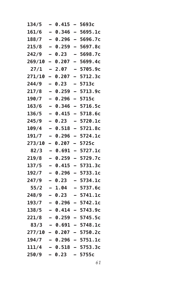| 134/5                  | -                        | 0.415 | $\qquad \qquad$          | 5693c                      |
|------------------------|--------------------------|-------|--------------------------|----------------------------|
| 161/6                  | $\overline{\phantom{0}}$ | 0.346 | $\equiv$                 | 5695.1c                    |
| 188/7                  | $\overline{\phantom{0}}$ | 0.296 | $\equiv$                 | 5696.7c                    |
| 215/8                  | $\overline{\phantom{0}}$ | 0.259 | $\overline{\phantom{0}}$ | 5697.8c                    |
| 242/9                  | -                        | 0.23  |                          | 5698.7c                    |
| 269/10                 | -                        | 0.207 | -                        | 5699.4c                    |
| 27/1                   | -                        | 2.07  | -                        | 5705.9c                    |
| 271/10                 | —                        | 0.207 |                          | 5712.3c                    |
| 244/9                  | -                        | 0.23  |                          | 5713c                      |
| 217/8                  | $\overline{\phantom{0}}$ | 0.259 | $\overline{\phantom{0}}$ | 5713.9c                    |
| 190/7                  | —                        | 0.296 | -                        | 5715c                      |
| 163/6                  | $\overline{\phantom{0}}$ | 0.346 | $\overline{\phantom{0}}$ | 5716.5c                    |
| 136/5                  | -                        | 0.415 | $\overline{\phantom{0}}$ | 5718.6c                    |
| 245/9                  | $\overline{\phantom{0}}$ | 0.23  |                          | 5720.1c                    |
| 109/4                  | $\overline{\phantom{0}}$ | 0.518 | $\equiv$                 | 5721.8c                    |
| 191/7                  | -                        | 0.296 | $\overline{\phantom{0}}$ | 5724.1c                    |
| 273/10                 | $\overline{\phantom{0}}$ | 0.207 | $\equiv$                 | 5725c                      |
| 82/3                   | -                        | 0.691 | -                        | 5727.1c                    |
| 219/8                  | $\overline{\phantom{0}}$ | 0.259 | -                        | 5729.7c                    |
| 137/5                  |                          | 0.415 |                          | 5731.3c                    |
| 192/7                  | $\overline{\phantom{0}}$ | 0.296 | $\overline{\phantom{0}}$ | 5733.1c                    |
| 247/9                  | -                        | 0.23  | -                        | 5734.1c                    |
| 55/2                   | —                        | 1.04  |                          | 5737.6c                    |
| 248/9                  |                          | 0.23  |                          | 5741.1c                    |
| 193/7                  | -                        | 0.296 | -                        | 5742.1c                    |
| 138/5                  |                          | 0.414 |                          | 5743.9c                    |
| 221/8                  |                          | 0.259 |                          | 5745.5c                    |
|                        |                          |       |                          | $83/3 - 0.691 - 5748.1c$   |
|                        |                          |       |                          | $277/10 - 0.207 - 5750.2c$ |
| 194/7                  |                          |       |                          | $-$ 0.296 - 5751.1c        |
|                        |                          |       |                          | $111/4 - 0.518 - 5753.3c$  |
| $250/9$ - 0.23 - 5755c |                          |       |                          |                            |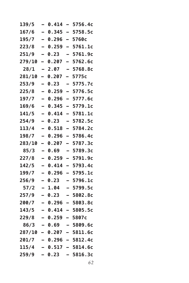| 139/5  | -                        | 0.414 | $\overline{\phantom{0}}$ | 5756.4c                  |
|--------|--------------------------|-------|--------------------------|--------------------------|
| 167/6  | $\overline{\phantom{0}}$ | 0.345 | $\overline{\phantom{0}}$ | 5758.5c                  |
| 195/7  | $\overline{\phantom{0}}$ | 0.296 | $\overline{\phantom{0}}$ | 5760c                    |
| 223/8  | —                        | 0.259 | $\overline{\phantom{0}}$ | 5761.1c                  |
| 251/9  | —                        | 0.23  |                          | 5761.9c                  |
| 279/10 | -                        | 0.207 |                          | 5762.6c                  |
| 28/1   |                          | 2.07  | $\overline{a}$           | 5768.8c                  |
| 281/10 | -                        | 0.207 | -                        | 5775c                    |
| 253/9  | —                        | 0.23  |                          | 5775.7c                  |
| 225/8  | -                        | 0.259 | -                        | 5776.5c                  |
| 197/7  |                          | 0.296 | $\overline{\phantom{0}}$ | 5777.6c                  |
| 169/6  |                          | 0.345 | $\overline{\phantom{0}}$ | 5779.1c                  |
| 141/5  |                          | 0.414 | $\equiv$                 | 5781.1c                  |
| 254/9  | $\overline{\phantom{0}}$ | 0.23  | $\overline{\phantom{0}}$ | 5782.5c                  |
| 113/4  | —                        | 0.518 | $\equiv$                 | 5784.2c                  |
| 198/7  |                          | 0.296 | $\overline{\phantom{0}}$ | 5786.4c                  |
| 283/10 | -                        | 0.207 | -                        | 5787.3c                  |
| 85/3   |                          | 0.69  |                          | 5789.3c                  |
| 227/8  | $\overline{\phantom{0}}$ | 0.259 | $\overline{\phantom{0}}$ | 5791.9c                  |
| 142/5  | $\overline{\phantom{0}}$ | 0.414 | -                        | 5793.4c                  |
| 199/7  | $\overline{\phantom{0}}$ | 0.296 | -                        | 5795.1c                  |
| 256/9  |                          | 0.23  |                          | 5796.1c                  |
| 57/2   |                          | 1.04  | -                        | 5799.5c                  |
| 257/9  |                          | 0.23  |                          | 5802.8c                  |
| 200/7  |                          | 0.296 |                          | 5803.8c                  |
| 143/5  |                          | 0.414 | -                        | 5805.5c                  |
| 229/8  |                          | 0.259 |                          | 5807с                    |
| 86/3   |                          |       |                          | – 0.69 – 5809.6c         |
|        |                          |       |                          | 287/10 - 0.207 - 5811.6c |
| 201/7  |                          |       |                          | – 0.296 – 5812.4c        |
| 115/4  |                          |       |                          | $-$ 0.517 - 5814.6c      |
| 259/9  | $\sim$                   | 0.23  |                          | - 5816.3c                |
|        |                          |       |                          |                          |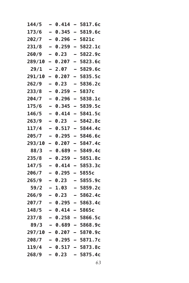| 144/5  |                          | 0.414   |                          | 5817.6c                    |
|--------|--------------------------|---------|--------------------------|----------------------------|
| 173/6  | $\overline{\phantom{0}}$ | 0.345   | $\overline{\phantom{0}}$ | 5819.6c                    |
| 202/7  | $\overline{\phantom{0}}$ | 0.296   | $\overline{\phantom{0}}$ | 5821c                      |
| 231/8  | -                        | 0.259   | -                        | 5822.1c                    |
| 260/9  | -                        | 0.23    | -                        | 5822.9c                    |
| 289/10 | -                        | 0.207   | -                        | 5823.6c                    |
| 29/1   |                          | 2.07    |                          | 5829.6c                    |
| 291/10 | -                        | 0.207   | -                        | 5835.5c                    |
| 262/9  | -                        | 0.23    | -                        | 5836.2c                    |
| 233/8  |                          | 0.259   | $\overline{\phantom{0}}$ | 5837c                      |
| 204/7  | -                        | 0.296   | -                        | 5838.1c                    |
| 175/6  | $\overline{\phantom{0}}$ | 0.345   | -                        | 5839.5c                    |
| 146/5  |                          | 0.414   |                          | 5841.5c                    |
| 263/9  | $\overline{\phantom{0}}$ | 0.23    | -                        | 5842.8c                    |
| 117/4  | $\overline{\phantom{0}}$ | 0.517   | -                        | 5844.4c                    |
| 205/7  | -                        | 0.295   | -                        | 5846.6c                    |
| 293/10 | -                        | 0.207   | -                        | 5847.4c                    |
| 88/3   | -                        | 0.689   | $\overline{ }$           | 5849.4c                    |
| 235/8  |                          | 0.259   | -                        | 5851.8c                    |
| 147/5  | -                        | 0.414   | -                        | 5853.3c                    |
| 206/7  | $\overline{\phantom{0}}$ | 0.295   | —                        | 5855c                      |
| 265/9  | $\blacksquare$           | 0.23    | -                        | 5855.9c                    |
| 59/2   | -                        | 1.03    | -                        | 5859.2c                    |
| 266/9  |                          | 0.23    | -                        | 5862.4c                    |
| 207/7  |                          | 0.295   |                          | 5863.4c                    |
| 148/5  |                          | 0.414   | $\equiv$                 | 5865c                      |
| 237/8  |                          | 0.258   |                          | 5866.5c                    |
| 89/3   |                          |         |                          | – 0.689 – 5868.9c          |
|        |                          |         |                          | $297/10 - 0.207 - 5870.9c$ |
| 208/7  |                          |         |                          | $-$ 0.295 $-$ 5871.7c      |
| 119/4  |                          |         |                          | - 0.517 - 5873.8c          |
| 268/9  |                          | $-0.23$ |                          | $-5875.4c$                 |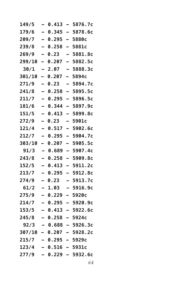| 149/5  |                          | 0.413             |                          | 5876.7c                  |
|--------|--------------------------|-------------------|--------------------------|--------------------------|
| 179/6  | $\overline{\phantom{0}}$ | 0.345             | $\overline{\phantom{0}}$ | 5878.6c                  |
| 209/7  | $\overline{\phantom{0}}$ | 0.295             | $\equiv$                 | 5880c                    |
| 239/8  | $\overline{\phantom{0}}$ | 0.258             | $\overline{\phantom{0}}$ | 5881c                    |
| 269/9  | -                        | 0.23              | -                        | 5881.8c                  |
| 299/10 | -                        | 0.207             |                          | 5882.5c                  |
| 30/1   |                          | 2.07              | $\overline{a}$           | 5888.3c                  |
| 301/10 | -                        | 0.207             | -                        | 5894c                    |
| 271/9  | —                        | 0.23              | —                        | 5894.7c                  |
| 241/8  | $\overline{\phantom{0}}$ | 0.258             | -                        | 5895.5c                  |
| 211/7  | -                        | 0.295             | $\overline{\phantom{0}}$ | 5896.5c                  |
| 181/6  |                          | 0.344             | -                        | 5897.9c                  |
| 151/5  |                          | 0.413             | $\overline{a}$           | 5899.8c                  |
| 272/9  | $\overline{\phantom{0}}$ | 0.23              | -                        | <b>5901c</b>             |
| 121/4  | $\overline{a}$           | 0.517             | -                        | 5902.6c                  |
| 212/7  | —                        | 0.295             | $\overline{a}$           | 5904.7c                  |
| 303/10 | -                        | 0.207             | $\overline{\phantom{0}}$ | 5905.5c                  |
| 91/3   |                          | 0.689             | $\overline{\phantom{0}}$ | 5907.4c                  |
| 243/8  | $\overline{\phantom{0}}$ | 0.258             | $\overline{\phantom{0}}$ | 5909.8c                  |
| 152/5  | $\overline{\phantom{0}}$ | 0.413             | $\overline{\phantom{0}}$ | 5911.2c                  |
| 213/7  | $\overline{\phantom{0}}$ | 0.295             | $\overline{\phantom{0}}$ | 5912.8c                  |
| 274/9  | —                        | 0.23              | -                        | 5913.7c                  |
| 61/2   | -                        | 1.03              | -                        | 5916.9c                  |
| 275/9  |                          | 0.229             |                          | 5920c                    |
| 214/7  |                          | 0.295             | $\overline{\phantom{0}}$ | 5920.9c                  |
| 153/5  |                          | 0.413             | $\overline{\phantom{0}}$ | 5922.6c                  |
| 245/8  |                          | 0.258             |                          | 5924с                    |
|        |                          |                   |                          | $92/3 - 0.688 - 5926.3c$ |
|        |                          |                   |                          | 307/10 - 0.207 - 5928.2c |
| 215/7  |                          | — 0.295 — 5929с   |                          |                          |
| 123/4  |                          | $-$ 0.516 - 5931c |                          |                          |
| 277/9  |                          |                   |                          | $-$ 0.229 - 5932.6c      |
|        |                          |                   |                          |                          |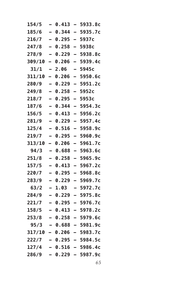| 154/5  | -                        | 0.413 | -                        | 5933.8c                    |
|--------|--------------------------|-------|--------------------------|----------------------------|
| 185/6  | $\overline{\phantom{0}}$ | 0.344 | $\overline{\phantom{0}}$ | 5935.7c                    |
| 216/7  | $\equiv$                 | 0.295 | $\equiv$                 | 5937c                      |
| 247/8  | $\overline{\phantom{0}}$ | 0.258 | $\overline{\phantom{0}}$ | 5938c                      |
| 278/9  | $\overline{\phantom{0}}$ | 0.229 | —                        | 5938.8c                    |
| 309/10 | Ξ.                       | 0.206 | $\overline{\phantom{0}}$ | 5939.4c                    |
| 31/1   | -                        | 2.06  | -                        | 5945c                      |
| 311/10 | —                        | 0.206 |                          | 5950.6c                    |
| 280/9  | $\overline{\phantom{0}}$ | 0.229 | $\overline{\phantom{0}}$ | 5951.2c                    |
| 249/8  | $\overline{\phantom{0}}$ | 0.258 | $\overline{\phantom{0}}$ | 5952c                      |
| 218/7  | —                        | 0.295 | $\overline{\phantom{0}}$ | 5953c                      |
| 187/6  | $\overline{\phantom{0}}$ | 0.344 | $\overline{\phantom{0}}$ | 5954.3c                    |
| 156/5  | -                        | 0.413 | $\overline{\phantom{0}}$ | 5956.2c                    |
| 281/9  | $\overline{\phantom{0}}$ | 0.229 |                          | 5957.4c                    |
| 125/4  | $\overline{\phantom{0}}$ | 0.516 | $\equiv$                 | 5958.9c                    |
| 219/7  | -                        | 0.295 | $\overline{\phantom{0}}$ | 5960.9c                    |
| 313/10 | -                        | 0.206 | —                        | 5961.7c                    |
| 94/3   | -                        | 0.688 | $\overline{\phantom{0}}$ | 5963.6c                    |
| 251/8  | $\overline{\phantom{0}}$ | 0.258 | $\overline{\phantom{0}}$ | 5965.9c                    |
| 157/5  |                          | 0.413 |                          | 5967.2c                    |
| 220/7  | $\overline{\phantom{0}}$ | 0.295 | $\overline{\phantom{0}}$ | 5968.8c                    |
| 283/9  | -                        | 0.229 | $\overline{\phantom{0}}$ | 5969.7c                    |
| 63/2   | —                        | 1.03  | -                        | 5972.7c                    |
| 284/9  |                          | 0.229 | -                        | 5975.8c                    |
| 221/7  | -                        | 0.295 | $\overline{\phantom{0}}$ | 5976.7c                    |
| 158/5  |                          | 0.413 |                          | 5978.2c                    |
| 253/8  |                          | 0.258 |                          | 5979.6c                    |
| 95/3   |                          |       |                          | $-$ 0.688 - 5981.9c        |
|        |                          |       |                          | $317/10 - 0.206 - 5983.7c$ |
| 222/7  |                          |       |                          | – 0.295 – 5984.5c          |
| 127/4  |                          |       |                          | <b>- 0.516 - 5986.4c</b>   |
| 286/9  |                          |       |                          | – 0.229 – 5987.9c          |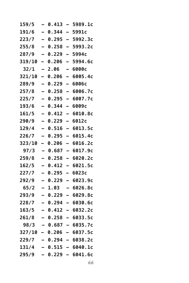| 159/5  |                          | 0.413     |                          | 5989.1c                  |
|--------|--------------------------|-----------|--------------------------|--------------------------|
| 191/6  | $\overline{\phantom{0}}$ | 0.344     | $\overline{\phantom{0}}$ | 5991c                    |
| 223/7  | $\overline{\phantom{0}}$ | 0.295     | $\overline{\phantom{0}}$ | 5992.3c                  |
| 255/8  | -                        | 0.258     | $\overline{\phantom{0}}$ | 5993.2c                  |
| 287/9  | -                        | 0.229     | -                        | 5994c                    |
| 319/10 | -                        | 0.206     | -                        | 5994.6c                  |
| 32/1   |                          | 2.06      |                          | 6000с                    |
| 321/10 | $\overline{\phantom{0}}$ | 0.206     | -                        | 6005.4c                  |
| 289/9  | -                        | 0.229     | -                        | 6006с                    |
| 257/8  | —                        | 0.258     | $\overline{\phantom{0}}$ | 6006.7c                  |
| 225/7  | -                        | 0.295     | $\overline{\phantom{0}}$ | 6007.7c                  |
| 193/6  | $\overline{\phantom{0}}$ | 0.344     | -                        | 6009с                    |
| 161/5  |                          | 0.412     |                          | 6010.8c                  |
| 290/9  | -                        | 0.229     | $\overline{\phantom{0}}$ | 6012c                    |
| 129/4  | -                        | 0.516     | -                        | 6013.5c                  |
| 226/7  | -                        | 0.295     | $\overline{\phantom{0}}$ | 6015.4c                  |
| 323/10 | $\overline{\phantom{0}}$ | 0.206     | -                        | 6016.2c                  |
| 97/3   | -                        | 0.687     | $\overline{a}$           | 6017.9c                  |
| 259/8  | $\overline{\phantom{0}}$ | 0.258     | -                        | 6020.2c                  |
| 162/5  | $\overline{\phantom{0}}$ | 0.412     | -                        | 6021.5c                  |
| 227/7  | -                        | 0.295     | -                        | 6023c                    |
| 292/9  | —                        | 0.229     | $\overline{\phantom{0}}$ | 6023.9c                  |
| 65/2   | -                        | 1.03      | -                        | 6026.8c                  |
| 293/9  | $\overline{\phantom{0}}$ | 0.229     | -                        | 6029.8c                  |
| 228/7  |                          | 0.294     |                          | 6030.6с                  |
| 163/5  |                          | 0.412     | $\overline{\phantom{0}}$ | 6032.2c                  |
| 261/8  | $\overline{\phantom{0}}$ | 0.258     | $\sim$                   | 6033.5c                  |
| 98/3   |                          |           |                          | – 0.687 – 6035.7c        |
|        |                          |           |                          | 327/10 - 0.206 - 6037.5c |
| 229/7  |                          |           |                          | $-$ 0.294 - 6038.2c      |
| 131/4  |                          |           |                          | $-$ 0.515 - 6040.1c      |
| 295/9  | $\overline{\phantom{0}}$ | $0.229 -$ |                          | 6041.6c                  |
|        |                          |           |                          |                          |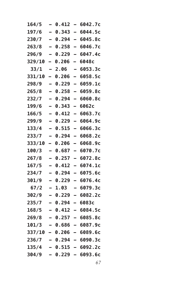| 164/5  | -                        | 0.412   | -                        | 6042.7c           |
|--------|--------------------------|---------|--------------------------|-------------------|
| 197/6  |                          | 0.343   | $\equiv$                 | 6044.5c           |
| 230/7  | $\overline{\phantom{0}}$ | 0.294   | $\overline{\phantom{0}}$ | 6045.8c           |
| 263/8  | $\overline{\phantom{0}}$ | 0.258   | $\overline{\phantom{0}}$ | 6046.7c           |
| 296/9  | -                        | 0.229   | -                        | 6047.4c           |
| 329/10 | -                        | 0.206   | -                        | 6048с             |
| 33/1   | -                        | 2.06    | -                        | 6053.3c           |
| 331/10 | -                        | 0.206   |                          | 6058.5c           |
| 298/9  | $\overline{\phantom{0}}$ | 0.229   | —                        | 6059.1c           |
| 265/8  | -                        | 0.258   | $\overline{\phantom{0}}$ | 6059.8c           |
| 232/7  | $\overline{\phantom{0}}$ | 0.294   | —                        | 6060.8c           |
| 199/6  | —                        | 0.343   | -                        | 6062c             |
| 166/5  | -                        | 0.412   | -                        | 6063.7c           |
| 299/9  |                          | 0.229   | -                        | 6064.9c           |
| 133/4  | $\overline{\phantom{0}}$ | 0.515   | $\overline{\phantom{0}}$ | 6066.3c           |
| 233/7  | -                        | 0.294   | $\overline{\phantom{0}}$ | 6068.2c           |
| 333/10 | -                        | 0.206   | -                        | 6068.9с           |
| 100/3  | -                        | 0.687   | -                        | 6070.7c           |
| 267/8  | -                        | 0.257   | -                        | 6072.8c           |
| 167/5  |                          | 0.412   |                          | 6074.1c           |
| 234/7  | $\overline{\phantom{0}}$ | 0.294   | -                        | 6075.6c           |
| 301/9  | -                        | 0.229   | $\overline{\phantom{0}}$ | 6076.4c           |
| 67/2   | —                        | 1.03    | -                        | 6079.3c           |
| 302/9  |                          | 0.229   | -                        | 6082.2c           |
| 235/7  | -                        | 0.294   | -                        | 6083с             |
| 168/5  |                          | 0.412   |                          | 6084.5c           |
| 269/8  |                          | 0.257   |                          | 6085.8c           |
| 101/3  |                          |         |                          | — 0.686 — 6087.9с |
| 337/10 |                          | - 0.206 |                          | — 6089.6с         |
| 236/7  |                          |         |                          | — 0.294 — 6090.3с |
| 135/4  |                          |         |                          | - 0.515 - 6092.2c |
| 304/9  |                          | 0.229 — |                          | 6093.6c           |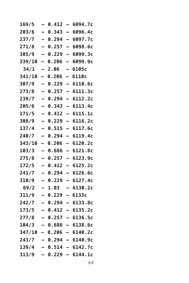| 169/5         |   | 0.412 | $\overline{\phantom{0}}$ | 6094.7c             |
|---------------|---|-------|--------------------------|---------------------|
| 203/6         | — | 0.343 | $\overline{\phantom{0}}$ | 6096.4c             |
| 237/7         |   | 0.294 | $\overline{\phantom{0}}$ | 6097.7c             |
| 271/8         | — | 0.257 | $\overline{\phantom{0}}$ | 6098.6c             |
| 305/9         |   | 0.229 | $\overline{\phantom{0}}$ | 6099.3c             |
| 339/10        | - | 0.206 |                          | 6099.9c             |
| 34/1          |   | 2.06  | -                        | 6105c               |
| <b>341/10</b> | - | 0.206 | -                        | 6110c               |
| 307/9         | — | 0.229 | $\overline{\phantom{0}}$ | 6110.6с             |
| 273/8         |   | 0.257 | $\overline{\phantom{0}}$ | 6111.3c             |
| 239/7         |   | 0.294 | $\overline{\phantom{0}}$ | 6112.2c             |
| 205/6         |   | 0.343 | $\overline{\phantom{0}}$ | 6113.4c             |
| 171/5         |   | 0.412 | $\overline{\phantom{0}}$ | 6115.1c             |
| 308/9         | — | 0.229 | $\overline{\phantom{0}}$ | 6116.2c             |
| 137/4         |   | 0.515 | $\overline{\phantom{0}}$ | 6117.6c             |
| 240/7         |   | 0.294 | $\overline{\phantom{0}}$ | 6119.4c             |
| 343/10        | - | 0.206 | $\overline{\phantom{0}}$ | 6120.2c             |
| 103/3         |   | 0.686 |                          | 6121.8c             |
| 275/8         | — | 0.257 | $\overline{\phantom{0}}$ | 6123.9c             |
| 172/5         |   | 0.412 | -                        | 6125.2c             |
| 241/7         | — | 0.294 | $\overline{\phantom{0}}$ | 6126.6c             |
| 310/9         |   | 0.229 | -                        | 6127.4c             |
| 69/2          |   | 1.03  | -                        | 6130.2c             |
| 311/9         |   | 0.229 |                          | 6133c               |
| 242/7         |   | 0.294 | $\overline{\phantom{0}}$ | 6133.8c             |
| 173/5         |   | 0.412 | -                        | 6135.2c             |
| 277/8         |   | 0.257 |                          | 6136.5c             |
| 104/3         |   |       |                          | — 0.686 — 6138.6с   |
| <b>347/10</b> |   |       |                          | $-$ 0.206 - 6140.2c |
| 243/7         |   |       |                          | — 0.294 — 6140.9с   |
| 139/4         |   |       |                          | $-$ 0.514 - 6142.7c |
| 313/9         |   | 0.229 | $\blacksquare$           | 6144.1c             |
|               |   |       |                          |                     |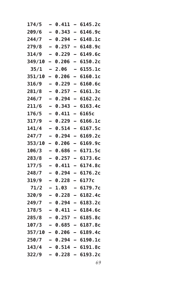| 174/5  | -                        | 0.411   | -                        | 6145.2c                    |
|--------|--------------------------|---------|--------------------------|----------------------------|
| 209/6  |                          | 0.343   | $\equiv$                 | 6146.9с                    |
| 244/7  | $\overline{\phantom{0}}$ | 0.294   | -                        | 6148.1c                    |
| 279/8  | $\overline{\phantom{0}}$ | 0.257   | —                        | 6148.9c                    |
| 314/9  | -                        | 0.229   | —                        | 6149.6c                    |
| 349/10 | -                        | 0.206   | $\overline{\phantom{0}}$ | 6150.2c                    |
| 35/1   | -                        | 2.06    | -                        | 6155.1c                    |
| 351/10 | -                        | 0.206   | -                        | 6160.1c                    |
| 316/9  | $\overline{\phantom{0}}$ | 0.229   | —                        | 6160.6c                    |
| 281/8  | -                        | 0.257   | —                        | 6161.3c                    |
| 246/7  | —                        | 0.294   | —                        | 6162.2c                    |
| 211/6  |                          | 0.343   | -                        | 6163.4c                    |
| 176/5  | -                        | 0.411   | $\overline{\phantom{0}}$ | 6165c                      |
| 317/9  | $\overline{\phantom{0}}$ | 0.229   | -                        | 6166.1c                    |
| 141/4  | $\overline{\phantom{0}}$ | 0.514   | -                        | 6167.5c                    |
| 247/7  | -                        | 0.294   | -                        | 6169.2c                    |
| 353/10 | $\overline{\phantom{0}}$ | 0.206   | —                        | 6169.9c                    |
| 106/3  | -                        | 0.686   | -                        | 6171.5c                    |
| 283/8  | -                        | 0.257   | -                        | 6173.6c                    |
| 177/5  |                          | 0.411   | $\equiv$                 | 6174.8c                    |
| 248/7  | $\overline{\phantom{0}}$ | 0.294   | —                        | 6176.2c                    |
| 319/9  | $\overline{\phantom{0}}$ | 0.228   | $\overline{\phantom{0}}$ | 6177c                      |
| 71/2   | —                        | 1.03    | -                        | 6179.7c                    |
| 320/9  |                          | 0.228   | -                        | 6182.4c                    |
| 249/7  | -                        | 0.294   | -                        | 6183.2c                    |
| 178/5  |                          | 0.411   |                          | 6184.6c                    |
| 285/8  |                          | 0.257   |                          | 6185.8c                    |
| 107/3  |                          |         |                          | - 0.685 - 6187.8c          |
|        |                          |         |                          | $357/10 - 0.206 - 6189.4c$ |
| 250/7  |                          |         |                          | <b>- 0.294 - 6190.1c</b>   |
| 143/4  |                          |         |                          | - 0.514 - 6191.8c          |
| 322/9  |                          | 0.228 — |                          | 6193.2c                    |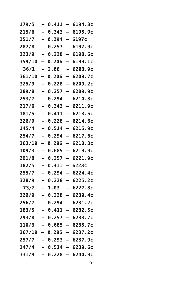| 179/5  |                          | 0.411     | -                        | 6194.3c                  |
|--------|--------------------------|-----------|--------------------------|--------------------------|
| 215/6  | $\overline{\phantom{0}}$ | 0.343     | $\overline{\phantom{0}}$ | 6195.9c                  |
| 251/7  | -                        | 0.294     | -                        | 6197с                    |
| 287/8  | -                        | 0.257     | $\overline{\phantom{0}}$ | 6197.9c                  |
| 323/9  | -                        | 0.228     | -                        | 6198.6c                  |
| 359/10 | -                        | 0.206     | -                        | 6199.1c                  |
| 36/1   |                          | 2.06      | -                        | 6203.9с                  |
| 361/10 | -                        | 0.206     | -                        | 6208.7c                  |
| 325/9  | -                        | 0.228     | -                        | 6209.2c                  |
| 289/8  | —                        | 0.257     | —                        | 6209.9c                  |
| 253/7  | -                        | 0.294     | $\overline{\phantom{0}}$ | 6210.8c                  |
| 217/6  | -                        | 0.343     | -                        | 6211.9c                  |
| 181/5  |                          | 0.411     | $\overline{\phantom{0}}$ | 6213.5c                  |
| 326/9  | $\overline{\phantom{0}}$ | 0.228     | $\overline{\phantom{0}}$ | 6214.6с                  |
| 145/4  | -                        | 0.514     | -                        | 6215.9c                  |
| 254/7  | —                        | 0.294     | $\overline{\phantom{0}}$ | 6217.6c                  |
| 363/10 | -                        | 0.206     | -                        | 6218.3c                  |
| 109/3  | -                        | 0.685     | -                        | 6219.9c                  |
| 291/8  |                          | 0.257     | -                        | 6221.9c                  |
| 182/5  | -                        | 0.411     | —                        | 6223c                    |
| 255/7  | —                        | 0.294     | -                        | 6224.4c                  |
| 328/9  |                          | 0.228     | -                        | 6225.2c                  |
| 73/2   | -                        | 1.03      | -                        | 6227.8c                  |
| 329/9  | -                        | 0.228     | -                        | 6230.4c                  |
| 256/7  |                          | 0.294     | -                        | 6231.2c                  |
| 183/5  |                          | 0.411     | -                        | 6232.5c                  |
| 293/8  | $\overline{\phantom{a}}$ | 0.257     | $\sim$                   | 6233.7c                  |
| 110/3  |                          |           |                          | $0.685 - 6235.7c$        |
|        |                          |           |                          | 367/10 – 0.205 – 6237.2c |
| 257/7  |                          |           |                          | $-$ 0.293 $-$ 6237.9c    |
| 147/4  |                          |           |                          | $-$ 0.514 - 6239.6c      |
| 331/9  |                          | $0.228 -$ |                          | 6240.9c                  |
|        |                          |           |                          |                          |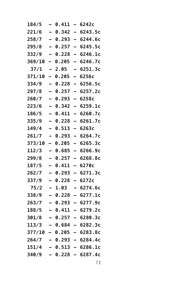| 184/5  | -                        | 0.411     | $\overline{\phantom{0}}$ | 6242c                      |
|--------|--------------------------|-----------|--------------------------|----------------------------|
| 221/6  | $\overline{\phantom{0}}$ | 0.342     | $\equiv$                 | 6243.5c                    |
| 258/7  | $\equiv$                 | 0.293     | $\equiv$                 | 6244.6c                    |
| 295/8  | -                        | 0.257     | $\overline{\phantom{0}}$ | 6245.5c                    |
| 332/9  | $\overline{\phantom{0}}$ | 0.228     | —                        | 6246.1c                    |
| 369/10 | Ξ.                       | 0.205     | —                        | 6246.7c                    |
| 37/1   | -                        | 2.05      | -                        | 6251.3c                    |
| 371/10 | -                        | 0.205     | -                        | 6256c                      |
| 334/9  | $\overline{\phantom{0}}$ | 0.228     | $\overline{\phantom{0}}$ | 6256.5c                    |
| 297/8  | -                        | 0.257     | $\overline{\phantom{0}}$ | 6257.2c                    |
| 260/7  | —                        | 0.293     | —                        | 6258c                      |
| 223/6  | $\overline{\phantom{0}}$ | 0.342     | $\overline{\phantom{0}}$ | 6259.1c                    |
| 186/5  | -                        | 0.411     | $\overline{\phantom{0}}$ | 6260.7c                    |
| 335/9  | $\overline{\phantom{0}}$ | 0.228     | -                        | 6261.7c                    |
| 149/4  | $\overline{\phantom{0}}$ | 0.513     | $\overline{\phantom{0}}$ | 6263c                      |
| 261/7  | -                        | 0.293     | $\overline{\phantom{0}}$ | 6264.7c                    |
| 373/10 | $\overline{\phantom{0}}$ | 0.205     | —                        | 6265.3c                    |
| 112/3  | -                        | 0.685     | $\overline{\phantom{0}}$ | 6266.9c                    |
| 299/8  | $\overline{\phantom{0}}$ | 0.257     | $\overline{\phantom{0}}$ | 6268.8c                    |
| 187/5  |                          | 0.411     | -                        | 6270с                      |
| 262/7  | $\overline{\phantom{0}}$ | 0.293     | -                        | 6271.3c                    |
| 337/9  | $\overline{\phantom{0}}$ | 0.228     | -                        | 6272c                      |
| 75/2   | —                        | 1.03      | -                        | 6274.6c                    |
| 338/9  |                          | 0.228     | -                        | 6277.1c                    |
| 263/7  | -                        | 0.293     | -                        | 6277.9c                    |
| 188/5  |                          | 0.411     |                          | 6279.2c                    |
| 301/8  |                          | 0.257     |                          | 6280.3c                    |
| 113/3  |                          | - 0.684   |                          | $-6282.3c$                 |
|        |                          |           |                          | $377/10 - 0.205 - 6283.8c$ |
| 264/7  |                          |           |                          | — 0.293 — 6284.4с          |
| 151/4  |                          |           |                          | <b>- 0.513 - 6286.1c</b>   |
| 340/9  |                          | $0.228 -$ |                          | 6287.4c                    |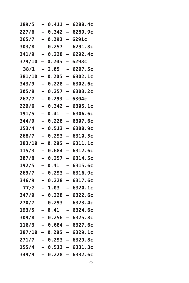| 189/5         |                          | 0.411     | $\overline{\phantom{0}}$ | 6288.4c                  |
|---------------|--------------------------|-----------|--------------------------|--------------------------|
| 227/6         | —                        | 0.342     | -                        | 6289.9c                  |
| 265/7         | —                        | 0.293     | -                        | 6291c                    |
| 303/8         | -                        | 0.257     | $\overline{ }$           | 6291.8c                  |
| 341/9         |                          | 0.228     | -                        | 6292.4c                  |
| 379/10        | Ξ,                       | 0.205     | -                        | 6293c                    |
| 38/1          |                          | 2.05      | $\overline{\phantom{0}}$ | 6297.5c                  |
| <b>381/10</b> | -                        | 0.205     | -                        | 6302.1c                  |
| 343/9         | —                        | 0.228     | $\overline{\phantom{0}}$ | 6302.6с                  |
| 305/8         |                          | 0.257     | -                        | 6303.2c                  |
| 267/7         | -                        | 0.293     | -                        | 6304с                    |
| 229/6         |                          | 0.342     | -                        | 6305.1c                  |
| 191/5         |                          | 0.41      |                          | 6306.6c                  |
| 344/9         | —                        | 0.228     | —                        | 6307.6c                  |
| 153/4         |                          | 0.513     | $\overline{\phantom{0}}$ | 6308.9c                  |
| 268/7         |                          | 0.293     | $\overline{\phantom{0}}$ | 6310.5c                  |
| 383/10        | -                        | 0.205     | $\overline{\phantom{0}}$ | 6311.1c                  |
| 115/3         |                          | 0.684     | $\equiv$                 | 6312.6c                  |
| 307/8         | —                        | 0.257     | $\overline{\phantom{0}}$ | 6314.5c                  |
| 192/5         | -                        | 0.41      | —                        | 6315.6c                  |
| 269/7         | $\overline{\phantom{0}}$ | 0.293     | -                        | 6316.9c                  |
| 346/9         |                          | 0.228     | -                        | 6317.6c                  |
| 77/2          |                          | 1.03      | -                        | 6320.1c                  |
| 347/9         |                          | 0.228     | -                        | 6322.6c                  |
| 270/7         |                          | 0.293     | $\equiv$                 | 6323.4c                  |
| 193/5         |                          | 0.41      | -                        | 6324.6c                  |
| 309/8         |                          | 0.256     |                          | 6325.8c                  |
| 116/3         |                          |           |                          | — 0.684 — 6327.6с        |
|               |                          |           |                          | 387/10 - 0.205 - 6329.1c |
| 271/7         |                          |           |                          | — 0.293 — 6329.8с        |
| 155/4         |                          |           |                          | $-$ 0.513 - 6331.3c      |
| 349/9         |                          | $0.228 -$ |                          | 6332.6c                  |
|               |                          |           |                          |                          |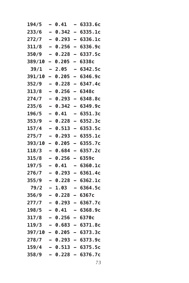| 194/5  | -                        | 0.41      | -                        | 6333.6c                    |
|--------|--------------------------|-----------|--------------------------|----------------------------|
| 233/6  | $\overline{\phantom{0}}$ | 0.342     | $\overline{\phantom{0}}$ | 6335.1c                    |
| 272/7  | $\overline{\phantom{0}}$ | 0.293     | $\overline{\phantom{0}}$ | 6336.1c                    |
| 311/8  | -                        | 0.256     | $\overline{\phantom{0}}$ | 6336.9c                    |
| 350/9  | $\overline{\phantom{0}}$ | 0.228     | —                        | 6337.5c                    |
| 389/10 | Ξ.                       | 0.205     | $\overline{\phantom{0}}$ | 6338c                      |
| 39/1   | -                        | 2.05      | -                        | 6342.5c                    |
| 391/10 | -                        | 0.205     | $\equiv$                 | 6346.9c                    |
| 352/9  | $\overline{\phantom{0}}$ | 0.228     | $\overline{\phantom{0}}$ | 6347.4c                    |
| 313/8  | $\overline{\phantom{0}}$ | 0.256     | $\overline{\phantom{0}}$ | 6348c                      |
| 274/7  | $\overline{\phantom{0}}$ | 0.293     | -                        | 6348.8c                    |
| 235/6  | $\overline{\phantom{0}}$ | 0.342     | $\overline{\phantom{0}}$ | 6349.9c                    |
| 196/5  | -                        | 0.41      | -                        | 6351.3c                    |
| 353/9  | $\overline{\phantom{0}}$ | 0.228     | $\overline{\phantom{0}}$ | 6352.3c                    |
| 157/4  | $\overline{\phantom{0}}$ | 0.513     | $\overline{\phantom{0}}$ | 6353.5c                    |
| 275/7  | -                        | 0.293     | $\overline{\phantom{0}}$ | 6355.1c                    |
| 393/10 | $\overline{\phantom{0}}$ | 0.205     | $\overline{\phantom{0}}$ | 6355.7c                    |
| 118/3  | -                        | 0.684     | $\overline{\phantom{0}}$ | 6357.2c                    |
| 315/8  | $\equiv$                 | 0.256     | -                        | 6359с                      |
| 197/5  |                          | 0.41      |                          | 6360.1c                    |
| 276/7  | $\overline{\phantom{0}}$ | 0.293     | -                        | 6361.4c                    |
| 355/9  | -                        | 0.228     | -                        | 6362.1c                    |
| 79/2   | —                        | 1.03      | -                        | 6364.5c                    |
| 356/9  |                          | 0.228     | -                        | 6367c                      |
| 277/7  | -                        | 0.293     | н.                       | 6367.7c                    |
| 198/5  |                          | 0.41      |                          | 6368.9c                    |
| 317/8  |                          | 0.256     |                          | 6370c                      |
| 119/3  |                          | - 0.683   |                          | $-6371.8c$                 |
|        |                          |           |                          | $397/10 - 0.205 - 6373.3c$ |
| 278/7  |                          |           |                          | $-$ 0.293 $-$ 6373.9c      |
| 159/4  |                          |           |                          | - 0.513 - 6375.5c          |
| 358/9  |                          | $0.228 -$ |                          | 6376.7c                    |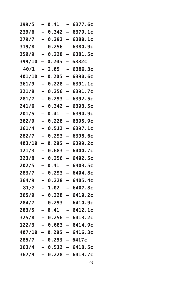| 199/5                 |                          | 0.41  |                          | 6377.6c                   |
|-----------------------|--------------------------|-------|--------------------------|---------------------------|
| 239/6                 | $\overline{\phantom{0}}$ | 0.342 | $\overline{\phantom{0}}$ | 6379.1c                   |
| 279/7                 |                          | 0.293 | -                        | 6380.1c                   |
| 319/8                 | -                        | 0.256 | $\overline{\phantom{0}}$ | 6380.9c                   |
| 359/9                 | -                        | 0.228 | -                        | 6381.5c                   |
| 399/10                | -                        | 0.205 | -                        | 6382c                     |
| 40/1                  |                          | 2.05  | -                        | 6386.3c                   |
| <b>401/10</b>         | -                        | 0.205 | -                        | 6390.6c                   |
| 361/9                 |                          | 0.228 | $\overline{\phantom{0}}$ | 6391.1c                   |
| 321/8                 |                          | 0.256 | $\overline{\phantom{0}}$ | 6391.7c                   |
| 281/7                 | -                        | 0.293 | -                        | 6392.5c                   |
| 241/6                 |                          | 0.342 | -                        | 6393.5c                   |
| 201/5                 |                          | 0.41  |                          | 6394.9c                   |
| 362/9                 | $\overline{\phantom{0}}$ | 0.228 | -                        | 6395.9c                   |
| 161/4                 |                          | 0.512 | $\overline{\phantom{0}}$ | 6397.1c                   |
| 282/7                 | -                        | 0.293 | $\overline{\phantom{0}}$ | 6398.6c                   |
| <b>403/10</b>         | -                        | 0.205 | -                        | 6399.2c                   |
| 121/3                 |                          | 0.683 | -                        | 6400.7c                   |
| 323/8                 |                          | 0.256 | $\overline{\phantom{0}}$ | 6402.5c                   |
| 202/5                 | $\overline{\phantom{0}}$ | 0.41  | -                        | 6403.5c                   |
| 283/7                 | -                        | 0.293 | —                        | 6404.8с                   |
| 364/9                 |                          | 0.228 | $\overline{\phantom{0}}$ | 6405.4c                   |
| 81/2                  | -                        | 1.02  | -                        | 6407.8c                   |
| 365/9                 |                          | 0.228 | -                        | 6410.2c                   |
| 284/7                 |                          | 0.293 | <u>.</u>                 | 6410.9с                   |
| 203/5                 |                          | 0.41  | -                        | 6412.1c                   |
| 325/8                 |                          | 0.256 |                          | 6413.2c                   |
|                       |                          |       |                          | $122/3 - 0.683 - 6414.9c$ |
|                       |                          |       |                          | 407/10 - 0.205 - 6416.3c  |
| 285/7 – 0.293 – 6417c |                          |       |                          |                           |
|                       |                          |       |                          | $163/4$ - 0.512 - 6418.5c |
| 367/9                 |                          |       |                          | $-$ 0.228 - 6419.7c       |
|                       |                          |       |                          |                           |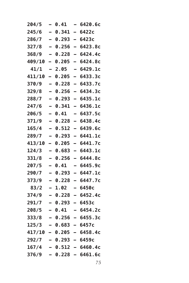| 204/5  |                          | 0.41             |                          | 6420.6c                  |
|--------|--------------------------|------------------|--------------------------|--------------------------|
| 245/6  | $\equiv$                 | 0.341            | $\overline{\phantom{0}}$ | 6422c                    |
| 286/7  | $\overline{\phantom{0}}$ | 0.293            | -                        | 6423c                    |
| 327/8  | $\overline{\phantom{0}}$ | 0.256            | $\overline{\phantom{0}}$ | 6423.8c                  |
| 368/9  |                          | 0.228            | -                        | 6424.4c                  |
| 409/10 | -                        | 0.205            | -                        | 6424.8c                  |
| 41/1   |                          | 2.05             |                          | 6429.1c                  |
| 411/10 | -                        | 0.205            | -                        | 6433.3c                  |
| 370/9  | -                        | 0.228            | $\overline{\phantom{0}}$ | 6433.7c                  |
| 329/8  |                          | 0.256            | -                        | 6434.3c                  |
| 288/7  |                          | 0.293            | -                        | 6435.1c                  |
| 247/6  | -                        | 0.341            | $\overline{ }$           | 6436.1c                  |
| 206/5  |                          | 0.41             |                          | 6437.5c                  |
| 371/9  | $\overline{\phantom{0}}$ | 0.228            | $\overline{\phantom{0}}$ | 6438.4c                  |
| 165/4  | $\overline{\phantom{0}}$ | 0.512            | -                        | 6439.6c                  |
| 289/7  | —                        | 0.293            | -                        | 6441.1c                  |
| 413/10 | -                        | 0.205            | -                        | 6441.7c                  |
| 124/3  | -                        | 0.683            | -                        | 6443.1c                  |
| 331/8  |                          | 0.256            | -                        | 6444.8c                  |
| 207/5  |                          | 0.41             |                          | 6445.9c                  |
| 290/7  | $\overline{\phantom{0}}$ | 0.293            | -                        | 6447.1c                  |
| 373/9  |                          | 0.228            | $\equiv$                 | 6447.7c                  |
| 83/2   |                          | 1.02             | -                        | 6450с                    |
| 374/9  | -                        | 0.228            | -                        | 6452.4c                  |
| 291/7  |                          | 0.293            | -                        | 6453c                    |
| 208/5  |                          | 0.41             |                          | 6454.2c                  |
| 333/8  |                          | 0.256            |                          | 6455.3c                  |
| 125/3  |                          | - 0.683          | $\overline{\phantom{0}}$ | 6457c                    |
| 417/10 |                          |                  |                          | $-$ 0.205 - 6458.4c      |
| 292/7  |                          | $-0.293 - 6459c$ |                          |                          |
| 167/4  |                          |                  |                          | <b>- 0.512 – 6460.4c</b> |
| 376/9  |                          | $0.228 -$        |                          | 6461.6c                  |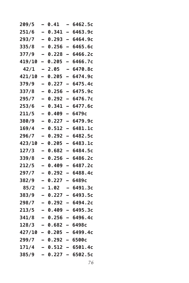| 209/5                   |                          | 0.41  | -                        | 6462.5c                   |
|-------------------------|--------------------------|-------|--------------------------|---------------------------|
| 251/6                   | $\overline{\phantom{0}}$ | 0.341 | $\overline{\phantom{0}}$ | 6463.9c                   |
| 293/7                   |                          | 0.293 | -                        | 6464.9c                   |
| 335/8                   | $\equiv$                 | 0.256 | $\overline{\phantom{0}}$ | 6465.6c                   |
| 377/9                   | -                        | 0.228 | -                        | 6466.2c                   |
| 419/10                  | -                        | 0.205 | -                        | 6466.7c                   |
| 42/1                    |                          | 2.05  | -                        | 6470.8c                   |
| <b>421/10</b>           | -                        | 0.205 | -                        | 6474.9c                   |
| 379/9                   |                          | 0.227 | $\overline{\phantom{0}}$ | 6475.4c                   |
| 337/8                   |                          | 0.256 | -                        | 6475.9c                   |
| 295/7                   | -                        | 0.292 | -                        | 6476.7c                   |
| 253/6                   |                          | 0.341 | -                        | 6477.6c                   |
| 211/5                   |                          | 0.409 | <u>.</u>                 | 6479с                     |
| 380/9                   | $\overline{\phantom{0}}$ | 0.227 | -                        | 6479.9c                   |
| 169/4                   |                          | 0.512 | $\overline{\phantom{0}}$ | 6481.1c                   |
| 296/7                   | -                        | 0.292 | -                        | 6482.5c                   |
| 423/10                  | -                        | 0.205 | -                        | 6483.1c                   |
| 127/3                   |                          | 0.682 | -                        | 6484.5c                   |
| 339/8                   |                          | 0.256 | $\overline{\phantom{0}}$ | 6486.2c                   |
| 212/5                   | -                        | 0.409 | -                        | 6487.2c                   |
| 297/7                   | -                        | 0.292 | -                        | 6488.4c                   |
| 382/9                   |                          | 0.227 | $\overline{\phantom{0}}$ | 6489с                     |
| 85/2                    | -                        | 1.02  | -                        | 6491.3c                   |
| 383/9                   |                          | 0.227 | -                        | 6493.5c                   |
| 298/7                   |                          | 0.292 |                          | 6494.2c                   |
| 213/5                   |                          | 0.409 | -                        | 6495.3c                   |
| 341/8                   |                          | 0.256 |                          | 6496.4c                   |
| $128/3 - 0.682 - 6498c$ |                          |       |                          |                           |
|                         |                          |       |                          | 427/10 - 0.205 - 6499.4c  |
| $299/7 - 0.292 - 6500c$ |                          |       |                          |                           |
|                         |                          |       |                          | $171/4 - 0.512 - 6501.4c$ |
| 385/9                   |                          |       |                          | $-$ 0.227 - 6502.5c       |
|                         |                          |       |                          |                           |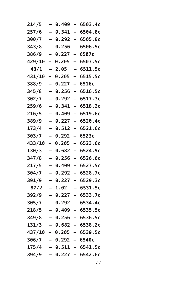| 214/5  | -                        | 0.409               | $\overline{\phantom{0}}$ | 6503.4c                    |
|--------|--------------------------|---------------------|--------------------------|----------------------------|
| 257/6  |                          | 0.341               | $\equiv$                 | 6504.8c                    |
| 300/7  | $\overline{\phantom{0}}$ | 0.292               | $\equiv$                 | 6505.8c                    |
| 343/8  | -                        | 0.256               | $\overline{\phantom{0}}$ | 6506.5c                    |
| 386/9  | —                        | 0.227               | -                        | 6507с                      |
| 429/10 | -                        | 0.205               | -                        | 6507.5c                    |
| 43/1   | -                        | 2.05                | -                        | 6511.5c                    |
| 431/10 | -                        | 0.205               |                          | 6515.5c                    |
| 388/9  | —                        | 0.227               | -                        | 6516c                      |
| 345/8  | -                        | 0.256               | $\overline{\phantom{0}}$ | 6516.5c                    |
| 302/7  |                          | 0.292               | -                        | 6517.3c                    |
| 259/6  |                          | 0.341               | $\overline{\phantom{0}}$ | 6518.2c                    |
| 216/5  | -                        | 0.409               | -                        | 6519.6c                    |
| 389/9  | $\equiv$                 | 0.227               | -                        | 6520.4c                    |
| 173/4  | $\overline{\phantom{0}}$ | 0.512               | $\overline{\phantom{0}}$ | 6521.6c                    |
| 303/7  | -                        | 0.292               | $\overline{\phantom{0}}$ | 6523c                      |
| 433/10 | -                        | 0.205               | —                        | 6523.6c                    |
| 130/3  | -                        | 0.682               | $\overline{\phantom{0}}$ | 6524.9c                    |
| 347/8  | -                        | 0.256               | -                        | 6526.6c                    |
| 217/5  |                          | 0.409               |                          | 6527.5c                    |
| 304/7  | $\overline{\phantom{0}}$ | 0.292               | -                        | 6528.7c                    |
| 391/9  | -                        | 0.227               | $\overline{\phantom{0}}$ | 6529.3c                    |
| 87/2   | —                        | 1.02                | -                        | 6531.5c                    |
| 392/9  |                          | 0.227               | -                        | 6533.7c                    |
| 305/7  | -                        | 0.292               | -                        | 6534.4c                    |
| 218/5  |                          | 0.409               |                          | 6535.5c                    |
| 349/8  |                          | 0.256               |                          | 6536.5c                    |
| 131/3  |                          |                     |                          | $-$ 0.682 $-$ 6538.2c      |
|        |                          |                     |                          | $437/10 - 0.205 - 6539.5c$ |
| 306/7  |                          | $-$ 0.292 $-$ 6540c |                          |                            |
| 175/4  |                          |                     |                          | <b>- 0.511 - 6541.5c</b>   |
| 394/9  |                          |                     |                          | $0.227 - 6542.6c$          |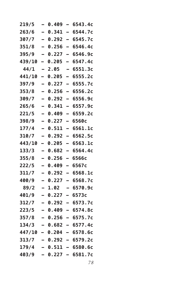| 219/5         |                          | 0.409     |                          | 6543.4c                  |
|---------------|--------------------------|-----------|--------------------------|--------------------------|
| 263/6         | -                        | 0.341     | -                        | 6544.7c                  |
| 307/7         |                          | 0.292     | $\overline{ }$           | 6545.7c                  |
| 351/8         | —                        | 0.256     | $\overline{\phantom{0}}$ | 6546.4c                  |
| 395/9         |                          | 0.227     | -                        | 6546.9c                  |
| 439/10        | -                        | 0.205     | <u>.</u>                 | 6547.4c                  |
| 44/1          |                          | 2.05      | $\overline{\phantom{0}}$ | 6551.3c                  |
| <b>441/10</b> | -                        | 0.205     | $\overline{\phantom{0}}$ | 6555.2c                  |
| 397/9         | —                        | 0.227     | -                        | 6555.7c                  |
| 353/8         |                          | 0.256     | $\overline{\phantom{0}}$ | 6556.2c                  |
| 309/7         |                          | 0.292     | -                        | 6556.9c                  |
| 265/6         |                          | 0.341     | -                        | 6557.9c                  |
| 221/5         |                          | 0.409     | $\overline{\phantom{0}}$ | 6559.2c                  |
| 398/9         | $\overline{\phantom{0}}$ | 0.227     | —                        | 6560с                    |
| 177/4         |                          | 0.511     | $\overline{a}$           | 6561.1c                  |
| 310/7         |                          | 0.292     | $\overline{\phantom{0}}$ | 6562.5c                  |
| 443/10        | -                        | 0.205     | $\overline{\phantom{0}}$ | 6563.1c                  |
| 133/3         |                          | 0.682     |                          | 6564.4c                  |
| 355/8         | $\overline{\phantom{0}}$ | 0.256     | -                        | 6566c                    |
| 222/5         |                          | 0.409     | -                        | 6567c                    |
| 311/7         | —                        | 0.292     | $\overline{\phantom{0}}$ | 6568.1c                  |
| 400/9         |                          | 0.227     | -                        | 6568.7c                  |
| 89/2          |                          | 1.02      | -                        | 6570.9c                  |
| 401/9         |                          | 0.227     |                          | 6573c                    |
| 312/7         |                          | 0.292     | $\equiv$                 | 6573.7c                  |
| 223/5         |                          | 0.409     | -                        | 6574.8c                  |
| 357/8         |                          | 0.256     |                          | 6575.7c                  |
| 134/3         |                          |           |                          | - 0.682 - 6577.4c        |
|               |                          |           |                          | 447/10 - 0.204 - 6578.6c |
| 313/7         |                          |           |                          | – 0.292 – 6579.2c        |
| 179/4         |                          |           |                          | $-$ 0.511 - 6580.6c      |
| 403/9         |                          | $0.227 -$ |                          | 6581.7c                  |
|               |                          |           |                          |                          |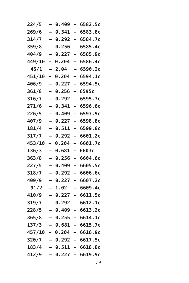| 224/5  | -                        | 0.409     | -                        | 6582.5c                  |
|--------|--------------------------|-----------|--------------------------|--------------------------|
| 269/6  |                          | 0.341     | $\equiv$                 | 6583.8c                  |
| 314/7  | $\overline{\phantom{0}}$ | 0.292     | -                        | 6584.7c                  |
| 359/8  | -                        | 0.256     | $\overline{\phantom{0}}$ | 6585.4c                  |
| 404/9  | -                        | 0.227     | -                        | 6585.9c                  |
| 449/10 | -                        | 0.204     | -                        | 6586.4c                  |
| 45/1   | -                        | 2.04      | -                        | 6590.2c                  |
| 451/10 | -                        | 0.204     | -                        | 6594.1c                  |
| 406/9  | $\overline{\phantom{0}}$ | 0.227     | $\overline{\phantom{0}}$ | 6594.5c                  |
| 361/8  | -                        | 0.256     | -                        | 6595c                    |
| 316/7  | $\overline{\phantom{0}}$ | 0.292     | —                        | 6595.7c                  |
| 271/6  |                          | 0.341     | $\overline{\phantom{0}}$ | 6596.6c                  |
| 226/5  | -                        | 0.409     | $\overline{\phantom{0}}$ | 6597.9c                  |
| 407/9  |                          | 0.227     | -                        | 6598.8c                  |
| 181/4  | $\overline{\phantom{0}}$ | 0.511     | $\overline{\phantom{0}}$ | 6599.8c                  |
| 317/7  | -                        | 0.292     | $\overline{\phantom{0}}$ | 6601.2c                  |
| 453/10 | $\overline{\phantom{0}}$ | 0.204     | -                        | 6601.7c                  |
| 136/3  | -                        | 0.681     | -                        | 6603c                    |
| 363/8  | -                        | 0.256     | -                        | 6604.6c                  |
| 227/5  |                          | 0.409     |                          | 6605.5c                  |
| 318/7  | $\overline{\phantom{0}}$ | 0.292     | —                        | 6606.6c                  |
| 409/9  | -                        | 0.227     | $\overline{\phantom{0}}$ | 6607.2c                  |
| 91/2   | —                        | 1.02      | -                        | 6609.4c                  |
| 410/9  |                          | 0.227     | -                        | 6611.5c                  |
| 319/7  | -                        | 0.292     | -                        | 6612.1c                  |
| 228/5  |                          | 0.409     |                          | 6613.2c                  |
| 365/8  |                          | 0.255     |                          | 6614.1c                  |
| 137/3  |                          |           |                          | $-$ 0.681 $-$ 6615.7c    |
| 457/10 |                          | $-0.204$  |                          | $-6616.9c$               |
| 320/7  |                          |           |                          | $-$ 0.292 $-$ 6617.5c    |
| 183/4  |                          |           |                          | <b>- 0.511 - 6618.8c</b> |
| 412/9  |                          | $0.227 -$ |                          | 6619.9c                  |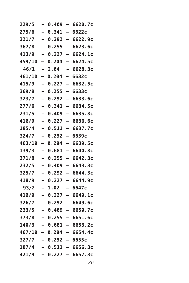| 229/5                 |                          | 0.409 | $\overline{\phantom{0}}$ | 6620.7c                  |
|-----------------------|--------------------------|-------|--------------------------|--------------------------|
| 275/6                 | $\overline{\phantom{0}}$ | 0.341 | $\overline{\phantom{0}}$ | 6622c                    |
| 321/7                 | $\overline{\phantom{0}}$ | 0.292 | -                        | 6622.9c                  |
| 367/8                 | -                        | 0.255 | $\overline{\phantom{0}}$ | 6623.6c                  |
| 413/9                 | -                        | 0.227 | $\overline{\phantom{0}}$ | 6624.1c                  |
| 459/10                | Ξ.                       | 0.204 | -                        | 6624.5c                  |
| 46/1                  |                          | 2.04  | -                        | 6628.3c                  |
| 461/10                | $\overline{\phantom{0}}$ | 0.204 | $\overline{\phantom{0}}$ | 6632c                    |
| 415/9                 | $\overline{\phantom{0}}$ | 0.227 | $\overline{\phantom{0}}$ | 6632.5c                  |
| 369/8                 | -                        | 0.255 | —                        | 6633c                    |
| 323/7                 | -                        | 0.292 | -                        | 6633.6c                  |
| 277/6                 | $\overline{\phantom{0}}$ | 0.341 | -                        | 6634.5c                  |
| 231/5                 |                          | 0.409 | $\overline{\phantom{0}}$ | 6635.8c                  |
| 416/9                 | $\overline{\phantom{0}}$ | 0.227 | -                        | 6636.6c                  |
| 185/4                 | -                        | 0.511 | $\overline{\phantom{0}}$ | 6637.7c                  |
| 324/7                 | -                        | 0.292 | -                        | 6639c                    |
| 463/10                | -                        | 0.204 | $\overline{\phantom{0}}$ | 6639.5c                  |
| 139/3                 | $\overline{\phantom{0}}$ | 0.681 | -                        | 6640.8c                  |
| 371/8                 |                          | 0.255 | $\overline{\phantom{0}}$ | 6642.3c                  |
| 232/5                 | $\overline{\phantom{0}}$ | 0.409 | $\overline{\phantom{0}}$ | 6643.3c                  |
| 325/7                 | -                        | 0.292 | -                        | 6644.3c                  |
| 418/9                 |                          | 0.227 | $\overline{\phantom{0}}$ | 6644.9c                  |
| 93/2                  | -                        | 1.02  | -                        | 6647c                    |
| 419/9                 | -                        | 0.227 | -                        | 6649.1c                  |
| 326/7                 |                          | 0.292 |                          | 6649.6c                  |
| 233/5                 |                          | 0.409 | -                        | 6650.7c                  |
| 373/8                 | $\overline{\phantom{0}}$ | 0.255 | $\sim$                   | 6651.6c                  |
| 140/3                 |                          |       |                          | – 0.681 – 6653.2c        |
|                       |                          |       |                          | 467/10 - 0.204 - 6654.4c |
| 327/7 – 0.292 – 6655c |                          |       |                          |                          |
| 187/4                 |                          |       |                          | $-$ 0.511 - 6656.3c      |
| 421/9                 |                          |       |                          | $-$ 0.227 - 6657.3c      |
|                       |                          |       |                          |                          |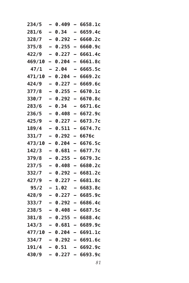| 234/5  |                          | 0.409  | $\equiv$                 | 6658.1c                    |
|--------|--------------------------|--------|--------------------------|----------------------------|
| 281/6  | $\overline{\phantom{0}}$ | 0.34   | -                        | 6659.4c                    |
| 328/7  | -                        | 0.292  | -                        | 6660.2c                    |
| 375/8  | -                        | 0.255  | -                        | 6660.9c                    |
| 422/9  | -                        | 0.227  | -                        | 6661.4c                    |
| 469/10 | -                        | 0.204  | $\overline{\phantom{0}}$ | 6661.8c                    |
| 47/1   |                          | 2.04   | —                        | 6665.5c                    |
| 471/10 | -                        | 0.204  | -                        | 6669.2c                    |
| 424/9  | $\overline{\phantom{0}}$ | 0.227  | —                        | 6669.6c                    |
| 377/8  |                          | 0.255  | -                        | 6670.1c                    |
| 330/7  | -                        | 0.292  | -                        | 6670.8c                    |
| 283/6  |                          | 0.34   | -                        | 6671.6c                    |
| 236/5  |                          | 0.408  | -                        | 6672.9c                    |
| 425/9  | $\overline{a}$           | 0.227  | -                        | 6673.7c                    |
| 189/4  | $\overline{\phantom{0}}$ | 0.511  | —                        | 6674.7c                    |
| 331/7  | -                        | 0.292  | $\overline{\phantom{0}}$ | 6676с                      |
| 473/10 | -                        | 0.204  | $\overline{\phantom{0}}$ | 6676.5c                    |
| 142/3  | -                        | 0.681  | -                        | 6677.7c                    |
| 379/8  |                          | 0.255  | -                        | 6679.3c                    |
| 237/5  | -                        | 0.408  | -                        | 6680.2c                    |
| 332/7  | $\overline{\phantom{0}}$ | 0.292  | -                        | 6681.2c                    |
| 427/9  |                          | 0.227  | -                        | 6681.8c                    |
| 95/2   | -                        | 1.02   | -                        | 6683.8c                    |
| 428/9  |                          | 0.227  | -                        | 6685.9c                    |
| 333/7  |                          | 0.292  | <u>.</u>                 | 6686.4c                    |
| 238/5  |                          | 0.408  | $\equiv$                 | 6687.5c                    |
| 381/8  |                          | 0.255  |                          | 6688.4c                    |
| 143/3  |                          |        |                          | $-$ 0.681 $-$ 6689.9c      |
|        |                          |        |                          | $477/10 - 0.204 - 6691.1c$ |
| 334/7  |                          |        |                          | $-$ 0.292 - 6691.6c        |
| 191/4  |                          | - 0.51 |                          | $-6692.9c$                 |
| 430/9  |                          |        |                          | - 0.227 - 6693.9c          |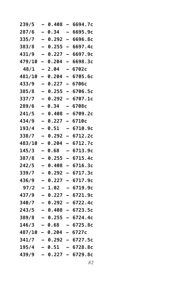| 239/5          |                          | 0.408   | $\overline{\phantom{0}}$ | 6694.7c              |
|----------------|--------------------------|---------|--------------------------|----------------------|
| 287/6          | —                        | 0.34    | -                        | 6695.9c              |
| 335/7          |                          | 0.292   | -                        | 6696.8c              |
| 383/8          | -                        | 0.255   | $\overline{\phantom{0}}$ | 6697.4c              |
| 431/9          | -                        | 0.227   | $\overline{\phantom{0}}$ | 6697.9c              |
| 479/10         | -                        | 0.204   | $\overline{\phantom{0}}$ | 6698.3c              |
| 48/1           |                          | 2.04    | $\overline{\phantom{0}}$ | 6702c                |
| <b>481/10</b>  | -                        | 0.204   | -                        | 6705.6c              |
| 433/9          | -                        | 0.227   | $\overline{\phantom{0}}$ | 6706с                |
| 385/8          |                          | 0.255   | $\overline{\phantom{0}}$ | 6706.5c              |
| 337/7          | -                        | 0.292   | -                        | 6707.1c              |
| 289/6          |                          | 0.34    |                          | 6708с                |
| 241/5          |                          | 0.408   | $\equiv$                 | 6709.2c              |
| 434/9          | $\overline{\phantom{0}}$ | 0.227   | -                        | 6710c                |
| 193/4          | —                        | 0.51    | -                        | 6710.9с              |
| 338/7          |                          | 0.292   | —                        | 6712.2c              |
| 483/10         | -                        | 0.204   | -                        | 6712.7c              |
| 145/3          |                          | 0.68    |                          | 6713.9c              |
| 387/8          | —                        | 0.255   | $\overline{\phantom{0}}$ | 6715.4c              |
| 242/5          |                          | 0.408   | -                        | 6716.3c              |
| 339/7          | $\overline{a}$           | 0.292   | —                        | 6717.3c              |
| 436/9          |                          | 0.227   | -                        | 6717.9c              |
| 97/2           |                          | 1.02    | —                        | 6719.9c              |
| 437/9          |                          | 0.227   |                          | 6721.9c              |
| 340/7          |                          | 0.292   | $\equiv$                 | 6722.4c              |
| 243/5          |                          | 0.408   | -                        | 6723.5c              |
| 389/8          |                          | 0.255   |                          | 6724.4c              |
| 146/3          |                          |         |                          | $-$ 0.68 $-$ 6725.8c |
| 487/10 - 0.204 |                          |         |                          | $-6727c$             |
| 341/7          |                          |         |                          | – 0.292 – 6727.5c    |
| 195/4          |                          | $-0.51$ |                          | $-6728.8c$           |
| 439/9          |                          |         |                          | $-$ 0.227 - 6729.8c  |
|                |                          |         |                          |                      |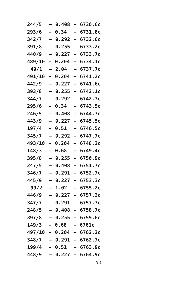|                          | 0.408 |          | 6730.6c                                                              |
|--------------------------|-------|----------|----------------------------------------------------------------------|
| $\overline{\phantom{0}}$ | 0.34  | -        | 6731.8c                                                              |
| $\overline{\phantom{0}}$ | 0.292 | -        | 6732.6c                                                              |
| -                        | 0.255 | -        | 6733.2c                                                              |
| -                        | 0.227 | -        | 6733.7c                                                              |
| -                        | 0.204 | -        | 6734.1c                                                              |
|                          | 2.04  | -        | 6737.7c                                                              |
| -                        | 0.204 | -        | 6741.2c                                                              |
| $\overline{\phantom{0}}$ | 0.227 | —        | 6741.6c                                                              |
|                          | 0.255 | -        | 6742.1c                                                              |
| -                        | 0.292 | -        | 6742.7c                                                              |
|                          | 0.34  | -        | 6743.5c                                                              |
|                          | 0.408 | $\equiv$ | 6744.7c                                                              |
| $\overline{\phantom{0}}$ | 0.227 | -        | 6745.5c                                                              |
| $\overline{\phantom{0}}$ | 0.51  | -        | 6746.5c                                                              |
|                          | 0.292 | -        | 6747.7c                                                              |
| -                        | 0.204 | -        | 6748.2c                                                              |
|                          | 0.68  | -        | 6749.4c                                                              |
|                          | 0.255 | -        | 6750.9с                                                              |
| -                        | 0.408 | -        | 6751.7c                                                              |
| $\overline{\phantom{0}}$ | 0.291 | -        | 6752.7c                                                              |
|                          | 0.227 | -        | 6753.3c                                                              |
| -                        | 1.02  | -        | 6755.2c                                                              |
|                          | 0.227 | -        | 6757.2c                                                              |
|                          | 0.291 |          | 6757.7c                                                              |
|                          | 0.408 | -        | 6758.7c                                                              |
|                          | 0.255 |          | 6759.6c                                                              |
|                          |       |          | $-6761c$                                                             |
|                          |       |          | $-6762.2c$                                                           |
|                          |       |          |                                                                      |
|                          |       |          | - 6763.9c                                                            |
|                          |       |          |                                                                      |
|                          |       | - 0.68   | $497/10 - 0.204$<br>- 0.291 - 6762.7c<br>- 0.51<br>- 0.227 - 6764.9c |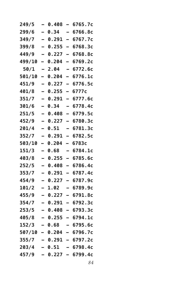| 249/5          |   | 0.408     | $\equiv$                 | 6765.7c           |
|----------------|---|-----------|--------------------------|-------------------|
| 299/6          | - | 0.34      | —                        | 6766.8c           |
| 349/7          |   | 0.291     | <u>.</u>                 | 6767.7c           |
| 399/8          | — | 0.255     | $\overline{\phantom{0}}$ | 6768.3c           |
| 449/9          |   | 0.227     | $\overline{\phantom{0}}$ | 6768.8c           |
| 499/10         | - | 0.204     | $\equiv$                 | 6769.2c           |
| 50/1           |   | 2.04      | $\overline{\phantom{0}}$ | 6772.6c           |
| 501/10         | - | 0.204     | -                        | 6776.1c           |
| 451/9          | — | 0.227     | -                        | 6776.5c           |
| 401/8          | - | 0.255     | $\overline{\phantom{0}}$ | 6777c             |
| 351/7          |   | 0.291     | -                        | 6777.6c           |
| 301/6          |   | 0.34      |                          | 6778.4c           |
| 251/5          |   | 0.408     | -                        | 6779.5c           |
| 452/9          | — | 0.227     | -                        | 6780.3c           |
| 201/4          | - | 0.51      |                          | 6781.3c           |
| 352/7          |   | 0.291     | —                        | 6782.5c           |
| 503/10         | - | 0.204     | -                        | 6783c             |
| 151/3          |   | 0.68      |                          | 6784.1c           |
| 403/8          | — | 0.255     | $\overline{\phantom{0}}$ | 6785.6c           |
| 252/5          |   | 0.408     | -                        | 6786.4c           |
| 353/7          | — | 0.291     | —                        | 6787.4c           |
| 454/9          |   | 0.227     | -                        | 6787.9c           |
| 101/2          | - | 1.02      | -                        | 6789.9c           |
| 455/9          |   | 0.227     |                          | 6791.8c           |
| 354/7          |   | 0.291     | $\overline{\phantom{0}}$ | 6792.3c           |
| 253/5          |   | 0.408     | Ξ,                       | 6793.3c           |
| 405/8          |   | 0.255     |                          | 6794.1c           |
| 152/3          |   |           |                          | - 0.68 - 6795.6c  |
| 507/10 - 0.204 |   |           |                          | – 6796.7c         |
| 355/7          |   |           |                          | – 0.291 – 6797.2c |
| 203/4          |   | - 0.51    |                          | $-6798.4c$        |
| 457/9          |   | $0.227 -$ |                          | 6799.4c           |
|                |   |           |                          |                   |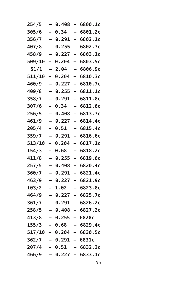| 254/5  |                          | 0.408                  |                          | 6800.1c                    |
|--------|--------------------------|------------------------|--------------------------|----------------------------|
| 305/6  | $\overline{\phantom{0}}$ | 0.34                   | -                        | 6801.2c                    |
| 356/7  | -                        | 0.291                  | -                        | 6802.1c                    |
| 407/8  | $\overline{\phantom{0}}$ | 0.255                  | -                        | 6802.7c                    |
| 458/9  | -                        | 0.227                  | —                        | 6803.1c                    |
| 509/10 | -                        | 0.204                  | -                        | 6803.5c                    |
| 51/1   |                          | 2.04                   | -                        | 6806.9c                    |
| 511/10 | -                        | 0.204                  | -                        | 6810.3c                    |
| 460/9  | -                        | 0.227                  | —                        | 6810.7c                    |
| 409/8  |                          | 0.255                  | -                        | 6811.1c                    |
| 358/7  | -                        | 0.291                  | -                        | 6811.8c                    |
| 307/6  |                          | 0.34                   | -                        | 6812.6c                    |
| 256/5  |                          | 0.408                  | -                        | 6813.7c                    |
| 461/9  | $\overline{\phantom{0}}$ | 0.227                  | $\overline{\phantom{0}}$ | 6814.4c                    |
| 205/4  | $\overline{\phantom{0}}$ | 0.51                   | -                        | 6815.4c                    |
| 359/7  | -                        | 0.291                  | -                        | 6816.6c                    |
| 513/10 | -                        | 0.204                  | -                        | 6817.1c                    |
| 154/3  | -                        | 0.68                   | -                        | 6818.2c                    |
| 411/8  |                          | 0.255                  | -                        | 6819.6c                    |
| 257/5  | -                        | 0.408                  | $\overline{\phantom{0}}$ | 6820.4c                    |
| 360/7  | $\overline{\phantom{0}}$ | 0.291                  | -                        | 6821.4c                    |
| 463/9  |                          | 0.227                  | -                        | 6821.9c                    |
| 103/2  | -                        | 1.02                   | -                        | 6823.8c                    |
| 464/9  |                          | 0.227                  | -                        | 6825.7c                    |
| 361/7  |                          | 0.291                  | Ξ,                       | 6826.2c                    |
| 258/5  |                          | 0.408                  | $\overline{\phantom{0}}$ | 6827.2c                    |
| 413/8  |                          | 0.255                  |                          | 6828c                      |
| 155/3  |                          |                        |                          | $-0.68 - 6829.4c$          |
|        |                          |                        |                          | $517/10 - 0.204 - 6830.5c$ |
| 362/7  |                          | <b>- 0.291 - 6831c</b> |                          |                            |
| 207/4  |                          | - 0.51                 |                          | $-6832.2c$                 |
| 466/9  |                          |                        |                          | - 0.227 - 6833.1c          |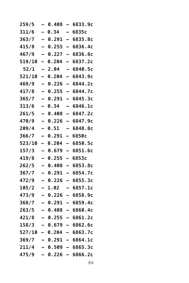| 259/5  |                          | 0.408     | $\overline{\phantom{0}}$ | 6833.9c                  |
|--------|--------------------------|-----------|--------------------------|--------------------------|
| 311/6  | $\overline{\phantom{0}}$ | 0.34      | -                        | 6835c                    |
| 363/7  | -                        | 0.291     | $\overline{\phantom{0}}$ | 6835.8c                  |
| 415/8  | -                        | 0.255     | $\overline{\phantom{0}}$ | 6836.4c                  |
| 467/9  |                          | 0.227     | -                        | 6836.8c                  |
| 519/10 | -                        | 0.204     | -                        | 6837.2c                  |
| 52/1   |                          | 2.04      | -                        | 6840.5c                  |
| 521/10 | -                        | 0.204     | -                        | 6843.9с                  |
| 469/9  | -                        | 0.226     | -                        | 6844.2c                  |
| 417/8  | —                        | 0.255     | -                        | 6844.7c                  |
| 365/7  | -                        | 0.291     | -                        | 6845.3c                  |
| 313/6  | -                        | 0.34      | -                        | 6846.1c                  |
| 261/5  |                          | 0.408     | -                        | 6847.2c                  |
| 470/9  | $\overline{\phantom{0}}$ | 0.226     | -                        | 6847.9c                  |
| 209/4  | -                        | 0.51      | -                        | 6848.8c                  |
| 366/7  | -                        | 0.291     | —                        | 6850c                    |
| 523/10 | -                        | 0.204     | —                        | 6850.5c                  |
| 157/3  | -                        | 0.679     | -                        | 6851.6c                  |
| 419/8  |                          | 0.255     | -                        | 6853c                    |
| 262/5  |                          | 0.408     | $\overline{\phantom{0}}$ | 6853.8c                  |
| 367/7  | -                        | 0.291     | -                        | 6854.7c                  |
| 472/9  |                          | 0.226     | -                        | 6855.3c                  |
| 105/2  | -                        | 1.02      | -                        | 6857.1c                  |
| 473/9  | -                        | 0.226     | -                        | 6858.9c                  |
| 368/7  |                          | 0.291     | -                        | 6859.4c                  |
| 263/5  |                          | 0.408     | -                        | 6860.4c                  |
| 421/8  |                          | 0.255     | $\overline{\phantom{0}}$ | 6861.2c                  |
| 158/3  |                          | $0.679 -$ |                          | 6862.6c                  |
| 527/10 |                          |           |                          | $-$ 0.204 - 6863.7c      |
| 369/7  |                          |           |                          | <b>- 0.291 - 6864.1c</b> |
| 211/4  |                          |           |                          | $-$ 0.509 - 6865.3c      |
| 475/9  |                          | $0.226 -$ |                          | 6866.2c                  |
|        |                          |           |                          |                          |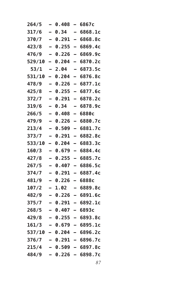|                          | 0.408 | -                        | 6867c                                         |
|--------------------------|-------|--------------------------|-----------------------------------------------|
| $\overline{\phantom{0}}$ | 0.34  | $\overline{\phantom{0}}$ | 6868.1c                                       |
| $\overline{\phantom{0}}$ | 0.291 | -                        | 6868.8c                                       |
| $\overline{\phantom{0}}$ | 0.255 | $\overline{\phantom{0}}$ | 6869.4c                                       |
| $\overline{\phantom{0}}$ | 0.226 | -                        | 6869.9c                                       |
| -                        | 0.204 | -                        | 6870.2c                                       |
|                          | 2.04  |                          | 6873.5c                                       |
| -                        | 0.204 | -                        | 6876.8c                                       |
| $\overline{\phantom{0}}$ | 0.226 | -                        | 6877.1c                                       |
| $\overline{\phantom{0}}$ | 0.255 | —                        | 6877.6c                                       |
| $\overline{\phantom{0}}$ | 0.291 | -                        | 6878.2c                                       |
| -                        | 0.34  | -                        | 6878.9c                                       |
|                          | 0.408 | $\overline{\phantom{0}}$ | 6880с                                         |
| $\overline{\phantom{0}}$ | 0.226 | $\overline{\phantom{0}}$ | 6880.7c                                       |
| $\overline{\phantom{0}}$ | 0.509 | $\overline{\phantom{0}}$ | 6881.7c                                       |
| —                        | 0.291 | -                        | 6882.8c                                       |
| -                        | 0.204 | —                        | 6883.3c                                       |
| -                        | 0.679 | $\overline{\phantom{0}}$ | 6884.4c                                       |
|                          | 0.255 | -                        | 6885.7c                                       |
|                          | 0.407 | $\overline{\phantom{0}}$ | 6886.5c                                       |
| $\overline{\phantom{0}}$ | 0.291 | —                        | 6887.4c                                       |
| -                        | 0.226 | $\overline{\phantom{0}}$ | 6888c                                         |
|                          | 1.02  | -                        | 6889.8c                                       |
| -                        | 0.226 | -                        | 6891.6c                                       |
|                          | 0.291 |                          | 6892.1c                                       |
|                          | 0.407 |                          | 6893c                                         |
|                          | 0.255 |                          | 6893.8c                                       |
| -                        |       | $\blacksquare$           | 6895.1c                                       |
| 537/10                   |       |                          | - 6896.2c                                     |
|                          |       | $\overline{\phantom{0}}$ | 6896.7c                                       |
|                          |       |                          | — 6897.8с                                     |
|                          |       | $\overline{\phantom{0}}$ | 6898.7c                                       |
|                          |       |                          | 0.679<br>- 0.204<br>- 0.291<br>0.509<br>0.226 |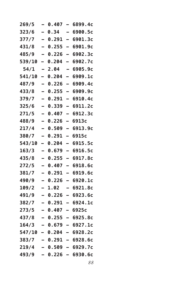| 269/5         |                          | 0.407     | $\overline{\phantom{0}}$ | 6899.4c             |
|---------------|--------------------------|-----------|--------------------------|---------------------|
| 323/6         | —                        | 0.34      | -                        | 6900.5c             |
| 377/7         |                          | 0.291     | -                        | 6901.3c             |
| 431/8         | -                        | 0.255     | $\overline{\phantom{0}}$ | 6901.9c             |
| 485/9         |                          | 0.226     | -                        | 6902.3c             |
| 539/10        | -                        | 0.204     |                          | 6902.7c             |
| 54/1          |                          | 2.04      | $\overline{\phantom{0}}$ | 6905.9c             |
| <b>541/10</b> | -                        | 0.204     | -                        | 6909.1c             |
| 487/9         | —                        | 0.226     | $\overline{\phantom{0}}$ | 6909.4c             |
| 433/8         |                          | 0.255     | $\overline{\phantom{0}}$ | 6909.9с             |
| 379/7         | -                        | 0.291     | -                        | 6910.4с             |
| 325/6         |                          | 0.339     | $\overline{\phantom{0}}$ | 6911.2c             |
| 271/5         |                          | 0.407     | $\overline{\phantom{0}}$ | 6912.3c             |
| 488/9         | $\overline{\phantom{0}}$ | 0.226     | $\overline{\phantom{0}}$ | 6913с               |
| 217/4         |                          | 0.509     | $\overline{\phantom{0}}$ | 6913.9c             |
| 380/7         |                          | 0.291     | —                        | 6915c               |
| 543/10        | -                        | 0.204     | $\overline{\phantom{0}}$ | 6915.5c             |
| 163/3         |                          | 0.679     | $\equiv$                 | 6916.5c             |
| 435/8         | —                        | 0.255     | $\overline{\phantom{0}}$ | 6917.8c             |
| 272/5         |                          | 0.407     | $\overline{ }$           | 6918.6c             |
| 381/7         | $\overline{a}$           | 0.291     | $\overline{\phantom{0}}$ | 6919.6с             |
| 490/9         |                          | 0.226     | -                        | 6920.1c             |
| 109/2         | -                        | 1.02      | -                        | 6921.8c             |
| 491/9         |                          | 0.226     |                          | 6923.6c             |
| 382/7         |                          | 0.291     | -                        | 6924.1c             |
| 273/5         |                          | 0.407     |                          | 6925с               |
| 437/8         |                          | 0.255     |                          | 6925.8c             |
| 164/3         |                          |           |                          | - 0.679 - 6927.1c   |
| 547/10        |                          |           |                          | $-$ 0.204 - 6928.2c |
| 383/7         |                          |           |                          | — 0.291 — 6928.6с   |
| 219/4         |                          |           |                          | $-$ 0.509 - 6929.7c |
| 493/9         |                          | $0.226 -$ |                          | 6930.6c             |
|               |                          |           |                          |                     |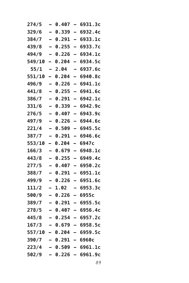| 274/5  | -                        | 0.407           | $\qquad \qquad =$        | 6931.3c                    |
|--------|--------------------------|-----------------|--------------------------|----------------------------|
| 329/6  |                          | 0.339           | $\equiv$                 | 6932.4c                    |
| 384/7  | $\overline{\phantom{0}}$ | 0.291           | $\overline{\phantom{0}}$ | 6933.1c                    |
| 439/8  | $\overline{\phantom{0}}$ | 0.255           | $\overline{\phantom{0}}$ | 6933.7c                    |
| 494/9  | —                        | 0.226           | —                        | 6934.1c                    |
| 549/10 | -                        | 0.204           | -                        | 6934.5c                    |
| 55/1   | -                        | 2.04            | -                        | 6937.6c                    |
| 551/10 | -                        | 0.204           |                          | 6940.8с                    |
| 496/9  | $\overline{\phantom{0}}$ | 0.226           | $\overline{\phantom{0}}$ | 6941.1c                    |
| 441/8  | -                        | 0.255           | $\overline{\phantom{0}}$ | 6941.6c                    |
| 386/7  | $\overline{\phantom{0}}$ | 0.291           | $\overline{\phantom{0}}$ | 6942.1c                    |
| 331/6  |                          | 0.339           | $\overline{\phantom{0}}$ | 6942.9c                    |
| 276/5  | -                        | 0.407           | -                        | 6943.9c                    |
| 497/9  |                          | 0.226           |                          | 6944.6с                    |
| 221/4  | $\overline{\phantom{0}}$ | 0.509           | $\overline{\phantom{0}}$ | 6945.5c                    |
| 387/7  | -                        | 0.291           | $\overline{\phantom{0}}$ | 6946.6c                    |
| 553/10 | $\overline{\phantom{0}}$ | 0.204           | -                        | 6947c                      |
| 166/3  | $\overline{\phantom{0}}$ | 0.679           | -                        | 6948.1c                    |
| 443/8  | -                        | 0.255           | -                        | 6949.4c                    |
| 277/5  |                          | 0.407           |                          | 6950.2c                    |
| 388/7  | $\overline{\phantom{0}}$ | 0.291           | -                        | 6951.1c                    |
| 499/9  | -                        | 0.226           | $\overline{\phantom{0}}$ | 6951.6c                    |
| 111/2  | -                        | 1.02            | -                        | 6953.3c                    |
| 500/9  |                          | 0.226           | -                        | 6955c                      |
| 389/7  | -                        | 0.291           | -                        | 6955.5c                    |
| 278/5  |                          | 0.407           |                          | 6956.4c                    |
| 445/8  |                          | 0.254           |                          | 6957.2c                    |
| 167/3  |                          |                 |                          | - 0.679 - 6958.5c          |
|        |                          |                 |                          | $557/10 - 0.204 - 6959.5c$ |
| 390/7  |                          | — 0.291 — 6960с |                          |                            |
| 223/4  |                          |                 |                          | $-$ 0.509 - 6961.1c        |
| 502/9  |                          | - 0.226 -       |                          | 6961.9c                    |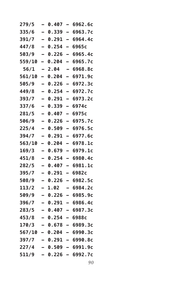| 279/5  |                          | 0.407      | $\overline{\phantom{0}}$ | 6962.6c                  |
|--------|--------------------------|------------|--------------------------|--------------------------|
| 335/6  | —                        | 0.339      | $\overline{\phantom{0}}$ | 6963.7c                  |
| 391/7  | $\overline{\phantom{0}}$ | 0.291      | $\overline{\phantom{0}}$ | 6964.4c                  |
| 447/8  | —                        | 0.254      | —                        | 6965c                    |
| 503/9  |                          | 0.226      | -                        | 6965.4c                  |
| 559/10 | -                        | 0.204      | $\overline{\phantom{0}}$ | 6965.7c                  |
| 56/1   |                          | 2.04       | $\overline{\phantom{0}}$ | 6968.8c                  |
| 561/10 | —                        | 0.204      | -                        | 6971.9c                  |
| 505/9  | —                        | 0.226      | $\overline{\phantom{0}}$ | 6972.3c                  |
| 449/8  |                          | 0.254      | $\overline{a}$           | 6972.7c                  |
| 393/7  | -                        | 0.291      | -                        | 6973.2c                  |
| 337/6  |                          | 0.339      | -                        | 6974c                    |
| 281/5  |                          | 0.407      | $\overline{\phantom{0}}$ | 6975c                    |
| 506/9  | —                        | 0.226      | —                        | 6975.7c                  |
| 225/4  |                          | 0.509      | $\overline{\phantom{0}}$ | 6976.5c                  |
| 394/7  |                          | 0.291      | $\overline{\phantom{0}}$ | 6977.6c                  |
| 563/10 | -                        | 0.204      | $\overline{\phantom{0}}$ | 6978.1c                  |
| 169/3  |                          | 0.679      | $\overline{a}$           | 6979.1c                  |
| 451/8  | —                        | 0.254      | $\overline{ }$           | 6980.4c                  |
| 282/5  |                          | 0.407      | -                        | 6981.1c                  |
| 395/7  | -                        | 0.291      | -                        | 6982c                    |
| 508/9  |                          | 0.226      | $\overline{\phantom{0}}$ | 6982.5c                  |
| 113/2  | -                        | 1.02       | -                        | 6984.2c                  |
| 509/9  |                          | 0.226      | -                        | 6985.9c                  |
| 396/7  |                          | 0.291      | -                        | 6986.4c                  |
| 283/5  |                          | 0.407      | -                        | 6987.3c                  |
| 453/8  |                          | 0.254      |                          | 6988c                    |
| 170/3  |                          |            |                          | — 0.678 — 6989.3с        |
|        |                          |            |                          | 567/10 – 0.204 – 6990.3c |
| 397/7  |                          |            |                          | — 0.291 — 6990.8с        |
| 227/4  |                          |            |                          | $-$ 0.509 - 6991.9c      |
| 511/9  |                          | $-0.226 -$ |                          | 6992.7c                  |
|        |                          |            |                          |                          |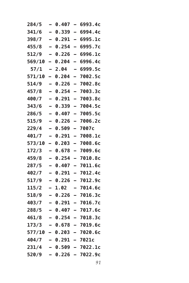| 284/5            | -                        | 0.407            | $\qquad \qquad =$        | 6993.4c             |
|------------------|--------------------------|------------------|--------------------------|---------------------|
| 341/6            | $\overline{\phantom{0}}$ | 0.339            | $\equiv$                 | 6994.4c             |
| 398/7            | $\overline{\phantom{0}}$ | 0.291            | $\overline{\phantom{0}}$ | 6995.1c             |
| 455/8            | $\overline{\phantom{0}}$ | 0.254            | $\overline{\phantom{0}}$ | 6995.7c             |
| 512/9            | -                        | 0.226            | —                        | 6996.1c             |
| 569/10           | -                        | 0.204            | -                        | 6996.4c             |
| 57/1             | -                        | 2.04             | -                        | 6999.5c             |
| 571/10           | -                        | 0.204            |                          | 7002.5c             |
| 514/9            | $\overline{\phantom{0}}$ | 0.226            | $\overline{\phantom{0}}$ | 7002.8c             |
| 457/8            | -                        | 0.254            | $\overline{\phantom{0}}$ | 7003.3c             |
| 400/7            | $\overline{\phantom{0}}$ | 0.291            | $\overline{\phantom{0}}$ | 7003.8c             |
| 343/6            |                          | 0.339            | $\overline{\phantom{0}}$ | 7004.5c             |
| 286/5            | -                        | 0.407            | $\equiv$                 | 7005.5c             |
| 515/9            | $\overline{\phantom{0}}$ | 0.226            | -                        | 7006.2c             |
| 229/4            | -                        | 0.509            | $\equiv$                 | 7007c               |
| 401/7            | -                        | 0.291            | $\overline{\phantom{0}}$ | 7008.1c             |
| 573/10           | $\overline{\phantom{0}}$ | 0.203            | —                        | 7008.6c             |
| 172/3            | $\overline{\phantom{0}}$ | 0.678            | $\overline{\phantom{0}}$ | 7009.6c             |
| 459/8            | -                        | 0.254            | $\equiv$                 | 7010.8c             |
| 287/5            |                          | 0.407            |                          | 7011.6c             |
| 402/7            | $\overline{\phantom{0}}$ | 0.291            | —                        | 7012.4c             |
| 517/9            | -                        | 0.226            | $\overline{\phantom{0}}$ | 7012.9c             |
| 115/2            | —                        | 1.02             | -                        | 7014.6c             |
| 518/9            |                          | 0.226            |                          | 7016.3c             |
| 403/7            | -                        | 0.291            |                          | 7016.7c             |
| 288/5            |                          | 0.407            |                          | 7017.6c             |
| 461/8            |                          | 0.254            |                          | 7018.3c             |
| 173/3            |                          |                  |                          | - 0.678 - 7019.6c   |
| $577/10 - 0.203$ |                          |                  |                          | — 7020.6с           |
| 404/7            |                          | $-0.291 - 7021c$ |                          |                     |
| 231/4            |                          |                  |                          | $-$ 0.509 - 7022.1c |
| 520/9            |                          |                  |                          | $0.226 - 7022.9c$   |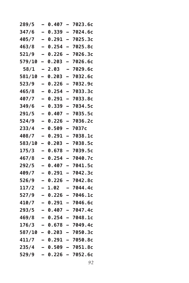| 289/5  |                          | 0.407 |                          | 7023.6c                   |
|--------|--------------------------|-------|--------------------------|---------------------------|
| 347/6  | $\overline{\phantom{0}}$ | 0.339 | $\overline{\phantom{0}}$ | 7024.6c                   |
| 405/7  |                          | 0.291 | $\overline{\phantom{0}}$ | 7025.3c                   |
| 463/8  | —                        | 0.254 | $\overline{\phantom{0}}$ | 7025.8c                   |
| 521/9  | -                        | 0.226 | -                        | 7026.3c                   |
| 579/10 | -                        | 0.203 | $\overline{\phantom{0}}$ | 7026.6c                   |
| 58/1   |                          | 2.03  |                          | 7029.6c                   |
| 581/10 | -                        | 0.203 | -                        | 7032.6c                   |
| 523/9  | -                        | 0.226 | $\overline{\phantom{0}}$ | 7032.9c                   |
| 465/8  |                          | 0.254 | $\overline{\phantom{0}}$ | 7033.3c                   |
| 407/7  | -                        | 0.291 | -                        | 7033.8c                   |
| 349/6  |                          | 0.339 | $\overline{\phantom{0}}$ | 7034.5c                   |
| 291/5  |                          | 0.407 |                          | 7035.5c                   |
| 524/9  | $\overline{\phantom{0}}$ | 0.226 | $\overline{\phantom{0}}$ | 7036.2c                   |
| 233/4  | $\overline{\phantom{0}}$ | 0.509 | $\overline{\phantom{0}}$ | 7037c                     |
| 408/7  | -                        | 0.291 | $\overline{\phantom{0}}$ | 7038.1c                   |
| 583/10 | -                        | 0.203 | -                        | 7038.5c                   |
| 175/3  |                          | 0.678 |                          | 7039.5c                   |
| 467/8  | $\equiv$                 | 0.254 | —                        | 7040.7c                   |
| 292/5  | -                        | 0.407 | $\overline{\phantom{0}}$ | 7041.5c                   |
| 409/7  |                          | 0.291 | $\overline{\phantom{0}}$ | 7042.3c                   |
| 526/9  |                          | 0.226 | $\overline{\phantom{0}}$ | 7042.8c                   |
| 117/2  | -                        | 1.02  | -                        | 7044.4с                   |
| 527/9  |                          | 0.226 |                          | 7046.1c                   |
| 410/7  |                          | 0.291 |                          | 7046.6c                   |
| 293/5  |                          | 0.407 | $\overline{\phantom{0}}$ | 7047.4c                   |
| 469/8  |                          | 0.254 |                          | 7048.1c                   |
|        |                          |       |                          | $176/3 - 0.678 - 7049.4c$ |
|        |                          |       |                          | 587/10 – 0.203 – 7050.3c  |
|        |                          |       |                          | 411/7 – 0.291 – 7050.8c   |
| 235/4  |                          |       |                          | $-$ 0.509 - 7051.8c       |
| 529/9  |                          |       |                          | $-$ 0.226 - 7052.6c       |
|        |                          |       |                          |                           |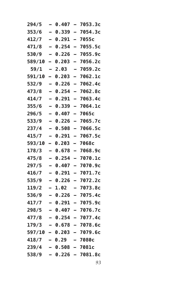| 294/5                   | -                        | 0.407  | $\equiv$                 | 7053.3c                    |
|-------------------------|--------------------------|--------|--------------------------|----------------------------|
| 353/6                   | $\overline{a}$           | 0.339  | $\overline{a}$           | 7054.3c                    |
| 412/7                   | $\equiv$                 | 0.291  | $\overline{\phantom{0}}$ | 7055c                      |
| 471/8                   | $\overline{\phantom{0}}$ | 0.254  | $\overline{\phantom{0}}$ | 7055.5c                    |
| 530/9                   | $\overline{\phantom{0}}$ | 0.226  | $\overline{\phantom{0}}$ | 7055.9c                    |
| 589/10                  | -                        | 0.203  | -                        | 7056.2c                    |
| 59/1                    | -                        | 2.03   | -                        | 7059.2c                    |
| 591/10                  | $\overline{\phantom{0}}$ | 0.203  |                          | 7062.1c                    |
| 532/9                   | $\overline{\phantom{0}}$ | 0.226  | $\overline{a}$           | 7062.4c                    |
| 473/8                   | -                        | 0.254  | $\overline{\phantom{0}}$ | 7062.8c                    |
| 414/7                   | $\overline{\phantom{0}}$ | 0.291  | $\overline{\phantom{0}}$ | 7063.4c                    |
| 355/6                   | $\overline{\phantom{0}}$ | 0.339  | $\overline{\phantom{0}}$ | 7064.1c                    |
| 296/5                   | -                        | 0.407  | $\equiv$                 | 7065c                      |
| 533/9                   | $\equiv$                 | 0.226  | $\equiv$                 | 7065.7c                    |
| 237/4                   | $\equiv$                 | 0.508  | $\equiv$                 | 7066.5c                    |
| 415/7                   | -                        | 0.291  | $\overline{\phantom{0}}$ | 7067.5c                    |
| 593/10                  | $\overline{\phantom{0}}$ | 0.203  | —                        | 7068c                      |
| 178/3                   | $\overline{\phantom{0}}$ | 0.678  | $\overline{\phantom{0}}$ | 7068.9c                    |
| 475/8                   | $\overline{\phantom{0}}$ | 0.254  | $\equiv$                 | 7070.1c                    |
| 297/5                   |                          | 0.407  | $\overline{\phantom{0}}$ | 7070.9c                    |
| 416/7                   | $\equiv$                 | 0.291  | —                        | 7071.7c                    |
| 535/9                   | -                        | 0.226  | $\overline{\phantom{0}}$ | 7072.2c                    |
| 119/2                   | —                        | 1.02   |                          | 7073.8c                    |
| 536/9                   |                          | 0.226  |                          | 7075.4c                    |
| 417/7                   | -                        | 0.291  |                          | 7075.9c                    |
| 298/5                   |                          | 0.407  |                          | 7076.7c                    |
| 477/8                   |                          | 0.254  |                          | 7077.4c                    |
| 179/3                   |                          |        |                          | $-$ 0.678 - 7078.6c        |
|                         |                          |        |                          | $597/10 - 0.203 - 7079.6c$ |
| 418/7                   |                          | - 0.29 |                          | — 7080с                    |
| $239/4 - 0.508 - 7081c$ |                          |        |                          |                            |
|                         |                          |        |                          |                            |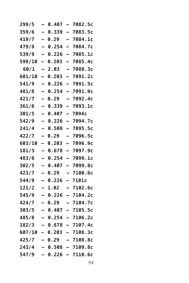| 299/5          |                          | 0.407   |                          | 7082.5c                   |
|----------------|--------------------------|---------|--------------------------|---------------------------|
| 359/6          | $\equiv$                 | 0.339   | $\overline{\phantom{0}}$ | 7083.5c                   |
| 419/7          | -                        | 0.29    |                          | 7084.1c                   |
| 479/8          | —                        | 0.254   | $\overline{\phantom{0}}$ | 7084.7c                   |
| 539/9          | -                        | 0.226   | $\overline{\phantom{0}}$ | 7085.1c                   |
| 599/10         | -                        | 0.203   | $\overline{\phantom{0}}$ | 7085.4c                   |
| 60/1           |                          | 2.03    |                          | 7088.3c                   |
| <b>601/10</b>  | $\overline{\phantom{0}}$ | 0.203   | -                        | 7091.2c                   |
| 541/9          | —                        | 0.226   | $\overline{\phantom{0}}$ | 7091.5c                   |
| 481/8          |                          | 0.254   | $\overline{\phantom{0}}$ | 7091.9с                   |
| 421/7          | -                        | 0.29    | -                        | 7092.4c                   |
| 361/6          |                          | 0.339   |                          | 7093.1c                   |
| 301/5          |                          | 0.407   |                          | 7094c                     |
| 542/9          | $\overline{\phantom{0}}$ | 0.226   | -                        | 7094.7c                   |
| 241/4          | $\overline{\phantom{0}}$ | 0.508   | $\overline{\phantom{0}}$ | 7095.5c                   |
| 422/7          |                          | 0.29    |                          | 7096.5c                   |
| 603/10         | -                        | 0.203   | -                        | 7096.9c                   |
| 181/3          |                          | 0.678   |                          | 7097.9c                   |
| 483/8          | $\overline{\phantom{0}}$ | 0.254   | —                        | 7099.1c                   |
| 302/5          | -                        | 0.407   | $\overline{\phantom{0}}$ | 7099.8c                   |
| 423/7          | —                        | 0.29    | -                        | 7100.6с                   |
| 544/9          |                          | 0.226   | -                        | 7101c                     |
| 121/2          | -                        | 1.02    | -                        | 7102.6c                   |
| 545/9          |                          | 0.226   |                          | 7104.2c                   |
| 424/7          |                          | 0.29    |                          | 7104.7c                   |
| 303/5          |                          | 0.407   |                          | 7105.5c                   |
| 485/8          |                          | 0.254   |                          | 7106.2c                   |
|                |                          |         |                          | $182/3 - 0.678 - 7107.4c$ |
| 607/10 - 0.203 |                          |         |                          | $-7108.3c$                |
| 425/7 – 0.29   |                          |         |                          | $-7108.8c$                |
| 243/4          |                          | - 0.508 |                          | — 7109.8с                 |
| 547/9          |                          |         |                          | $-$ 0.226 - 7110.6c       |
|                |                          |         |                          |                           |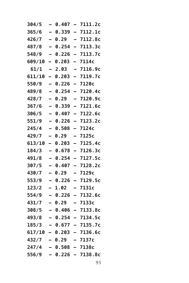| 304/5                   | -                        | 0.407 | $\overline{\phantom{0}}$ | 7111.2c                    |
|-------------------------|--------------------------|-------|--------------------------|----------------------------|
| 365/6                   | $\overline{a}$           | 0.339 | $\overline{a}$           | 7112.1c                    |
| 426/7                   | $\equiv$                 | 0.29  | $\overline{\phantom{0}}$ | 7112.8c                    |
| 487/8                   | $\overline{\phantom{0}}$ | 0.254 | $\blacksquare$           | 7113.3c                    |
| 548/9                   | —                        | 0.226 | $\overline{\phantom{0}}$ | 7113.7c                    |
| 609/10                  | $\overline{\phantom{0}}$ | 0.203 | Ξ.                       | 7114c                      |
| 61/1                    | -                        | 2.03  | -                        | 7116.9c                    |
| 611/10                  | Ξ.                       | 0.203 | $\overline{a}$           | 7119.7c                    |
| 550/9                   | —                        | 0.226 | $\equiv$                 | 7120c                      |
| 489/8                   | $\overline{\phantom{0}}$ | 0.254 | $\overline{\phantom{0}}$ | 7120.4c                    |
| 428/7                   | $\overline{\phantom{0}}$ | 0.29  |                          | 7120.9c                    |
| 367/6                   | $\overline{\phantom{0}}$ | 0.339 | $\equiv$                 | 7121.6c                    |
| 306/5                   | -                        | 0.407 | $\overline{\phantom{0}}$ | 7122.6c                    |
| 551/9                   | $\overline{a}$           | 0.226 | $\equiv$                 | 7123.2c                    |
| 245/4                   | $\equiv$                 | 0.508 | $\overline{a}$           | 7124c                      |
| 429/7                   | -                        | 0.29  | -                        | 7125c                      |
| 613/10                  | $\overline{\phantom{0}}$ | 0.203 | $\overline{\phantom{0}}$ | 7125.4c                    |
| 184/3                   | -                        | 0.678 | $\overline{\phantom{0}}$ | 7126.3c                    |
| 491/8                   | $\overline{\phantom{0}}$ | 0.254 | $\equiv$                 | 7127.5c                    |
| 307/5                   |                          | 0.407 | $\equiv$                 | 7128.2c                    |
| 430/7                   | $\equiv$                 | 0.29  | $\overline{\phantom{0}}$ | 7129c                      |
| 553/9                   | $\overline{a}$           | 0.226 | $\overline{\phantom{0}}$ | 7129.5c                    |
| 123/2                   | $\blacksquare$           | 1.02  |                          | 7131c                      |
| 554/9                   | -                        | 0.226 | $\overline{\phantom{0}}$ | 7132.6c                    |
| 431/7                   | Ξ.                       | 0.29  |                          | 7133c                      |
| 308/5                   |                          | 0.406 |                          | 7133.8c                    |
| 493/8                   |                          | 0.254 |                          | 7134.5c                    |
|                         |                          |       |                          | $185/3 - 0.677 - 7135.7c$  |
|                         |                          |       |                          | $617/10 - 0.203 - 7136.6c$ |
| 432/7 – 0.29            |                          |       |                          | $-7137c$                   |
| $247/4 - 0.508 - 7138c$ |                          |       |                          |                            |
| 556/9                   |                          |       |                          | $-$ 0.226 - 7138.8c        |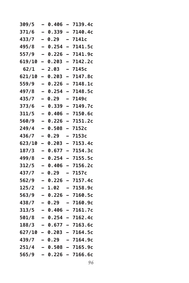| 309/5  |                          | 0.406     |                          | 7139.4c             |
|--------|--------------------------|-----------|--------------------------|---------------------|
| 371/6  | $\overline{a}$           | 0.339     | $\overline{\phantom{0}}$ | 7140.4c             |
| 433/7  | -                        | 0.29      |                          | 7141c               |
| 495/8  | $\overline{\phantom{0}}$ | 0.254     | $\overline{\phantom{0}}$ | 7141.5c             |
| 557/9  | -                        | 0.226     | $\overline{ }$           | 7141.9c             |
| 619/10 | -                        | 0.203     |                          | 7142.2c             |
| 62/1   |                          | 2.03      |                          | 7145c               |
| 621/10 | —                        | 0.203     | $\overline{\phantom{0}}$ | 7147.8c             |
| 559/9  | —                        | 0.226     | -                        | 7148.1c             |
| 497/8  | $\overline{\phantom{0}}$ | 0.254     | $\overline{\phantom{0}}$ | 7148.5c             |
| 435/7  | -                        | 0.29      | -                        | 7149c               |
| 373/6  |                          | 0.339     | $\overline{a}$           | 7149.7c             |
| 311/5  |                          | 0.406     |                          | 7150.6c             |
| 560/9  | $\overline{\phantom{0}}$ | 0.226     | $\overline{\phantom{0}}$ | 7151.2c             |
| 249/4  | $\overline{\phantom{0}}$ | 0.508     | $\equiv$                 | 7152c               |
| 436/7  | -                        | 0.29      | -                        | 7153c               |
| 623/10 | -                        | 0.203     | $\equiv$                 | 7153.4c             |
| 187/3  |                          | 0.677     |                          | 7154.3c             |
| 499/8  | $\equiv$                 | 0.254     | $\overline{a}$           | 7155.5c             |
| 312/5  | $\overline{\phantom{0}}$ | 0.406     | $\overline{\phantom{0}}$ | 7156.2c             |
| 437/7  | -                        | 0.29      |                          | 7157c               |
| 562/9  | $\overline{\phantom{0}}$ | 0.226     | -                        | 7157.4c             |
| 125/2  | -                        | 1.02      | -                        | 7158.9c             |
| 563/9  |                          | 0.226     |                          | 7160.5c             |
| 438/7  |                          | 0.29      |                          | 7160.9c             |
| 313/5  |                          | 0.406     | -                        | 7161.7c             |
| 501/8  |                          | 0.254     |                          | 7162.4c             |
| 188/3  |                          |           |                          | $-$ 0.677 - 7163.6c |
| 627/10 |                          | - 0.203   |                          | $-7164.5c$          |
| 439/7  |                          | - 0.29    |                          | — 7164.9с           |
| 251/4  |                          | - 0.508   |                          | - 7165.9c           |
| 565/9  |                          | $0.226 -$ |                          | 7166.6c             |
|        |                          |           |                          |                     |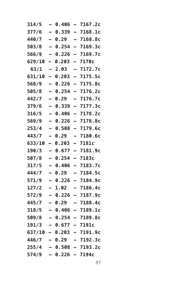| 314/5  | -                        | 0.406             | $\overline{\phantom{0}}$ | 7167.2c                    |
|--------|--------------------------|-------------------|--------------------------|----------------------------|
| 377/6  | $\overline{\phantom{0}}$ | 0.339             | $\overline{\phantom{0}}$ | 7168.1c                    |
| 440/7  | $\overline{\phantom{0}}$ | 0.29              |                          | 7168.8c                    |
| 503/8  | $\overline{\phantom{0}}$ | 0.254             | $\equiv$                 | 7169.3c                    |
| 566/9  | $\overline{\phantom{0}}$ | 0.226             | $\overline{\phantom{0}}$ | 7169.7c                    |
| 629/10 | Ξ.                       | 0.203             | -                        | 7170c                      |
| 63/1   | -                        | 2.03              | -                        | 7172.7c                    |
| 631/10 | $\overline{\phantom{0}}$ | 0.203             |                          | 7175.5c                    |
| 568/9  | $\overline{\phantom{0}}$ | 0.226             | $\overline{\phantom{0}}$ | 7175.8c                    |
| 505/8  | -                        | 0.254             | $\overline{\phantom{0}}$ | 7176.2c                    |
| 442/7  | —                        | 0.29              |                          | 7176.7c                    |
| 379/6  | $\overline{\phantom{0}}$ | 0.339             | $\overline{\phantom{0}}$ | 7177.3c                    |
| 316/5  | -                        | 0.406             | $\equiv$                 | 7178.2c                    |
| 569/9  | $\overline{\phantom{0}}$ | 0.226             |                          | 7178.8c                    |
| 253/4  | $\overline{\phantom{0}}$ | 0.508             | $\equiv$                 | 7179.6c                    |
| 443/7  | -                        | 0.29              | -                        | 7180.6c                    |
| 633/10 | -                        | 0.203             | -                        | 7181c                      |
| 190/3  | -                        | 0.677             | $\equiv$                 | 7181.9c                    |
| 507/8  | $\equiv$                 | 0.254             | $\overline{\phantom{0}}$ | 7183c                      |
| 317/5  |                          | 0.406             |                          | 7183.7c                    |
| 444/7  | $\overline{\phantom{0}}$ | 0.29              |                          | 7184.5c                    |
| 571/9  | -                        | 0.226             | $\overline{\phantom{0}}$ | 7184.9c                    |
| 127/2  | -                        | 1.02              |                          | 7186.4c                    |
| 572/9  |                          | 0.226             | $\overline{\phantom{0}}$ | 7187.9c                    |
| 445/7  | -                        | 0.29              |                          | 7188.4c                    |
| 318/5  |                          | 0.406             |                          | 7189.1c                    |
| 509/8  |                          | 0.254             |                          | 7189.8c                    |
| 191/3  |                          | $-$ 0.677 - 7191c |                          |                            |
|        |                          |                   |                          | $637/10 - 0.203 - 7191.9c$ |
| 446/7  |                          | - 0.29            |                          | - 7192.3c                  |
| 255/4  |                          | - 0.508           |                          | - 7193.2c                  |
| 574/9  |                          | 0.226 -           |                          | 7194c                      |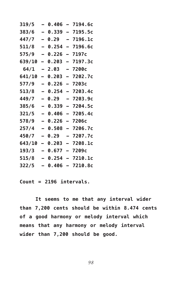| 319/5         |                          | 0.406 |                          | 7194.6c |
|---------------|--------------------------|-------|--------------------------|---------|
| 383/6         |                          | 0.339 |                          | 7195.5c |
| 447/7         |                          | 0.29  |                          | 7196.1c |
| 511/8         | $\overline{\phantom{0}}$ | 0.254 | $\overline{\phantom{0}}$ | 7196.6c |
| 575/9         | $\overline{\phantom{0}}$ | 0.226 | $\overline{\phantom{0}}$ | 7197с   |
| 639/10        | <u>.</u>                 | 0.203 | $\overline{a}$           | 7197.3c |
| 64/1          |                          | 2.03  | $\overline{\phantom{0}}$ | 7200c   |
| 641/10        | -                        | 0.203 | $\overline{\phantom{0}}$ | 7202.7c |
| 577/9         |                          | 0.226 | $\equiv$                 | 7203c   |
| 513/8         |                          | 0.254 | $\overline{\phantom{0}}$ | 7203.4c |
| 449/7         |                          | 0.29  |                          | 7203.9с |
| 385/6         | $\overline{\phantom{0}}$ | 0.339 | $\equiv$                 | 7204.5c |
| 321/5         | $\overline{\phantom{0}}$ | 0.406 | $\overline{\phantom{0}}$ | 7205.4c |
| 578/9         | $\overline{\phantom{0}}$ | 0.226 | $\equiv$                 | 7206с   |
| 257/4         | $\overline{\phantom{0}}$ | 0.508 | $\overline{a}$           | 7206.7c |
| 450/7         |                          | 0.29  | —                        | 7207.7c |
| <b>643/10</b> | $\overline{\phantom{0}}$ | 0.203 | $\overline{\phantom{0}}$ | 7208.1c |
| 193/3         |                          | 0.677 |                          | 7209с   |
| 515/8         |                          | 0.254 |                          | 7210.1c |
| 322/5         |                          | 0.406 |                          | 7210.8c |

**Count = 2196 intervals.**

**It seems to me that any interval wider than 7,200 cents should be within 8.474 cents of a good harmony or melody interval which means that any harmony or melody interval wider than 7,200 should be good.**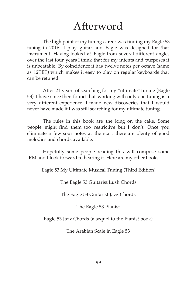## Afterword

The high point of my tuning career was finding my Eagle 53 tuning in 2016. I play guitar and Eagle was designed for that instrument. Having looked at Eagle from several different angles over the last four years I think that for my intents and purposes it is unbeatable. By coincidence it has twelve notes per octave (same as 12TET) which makes it easy to play on regular keyboards that can be retuned.

After 21 years of searching for my "ultimate" tuning (Eagle 53) I have since then found that working with only one tuning is a very different experience. I made new discoveries that I would never have made if I was still searching for my ultimate tuning.

The rules in this book are the icing on the cake. Some people might find them too restrictive but I don't. Once you eliminate a few sour notes at the start there are plenty of good melodies and chords available.

Hopefully some people reading this will compose some JRM and I look forward to hearing it. Here are my other books…

Eagle 53 My Ultimate Musical Tuning (Third Edition)

The Eagle 53 Guitarist Lush Chords

The Eagle 53 Guitarist Jazz Chords

The Eagle 53 Pianist

Eagle 53 Jazz Chords (a sequel to the Pianist book)

The Arabian Scale in Eagle 53